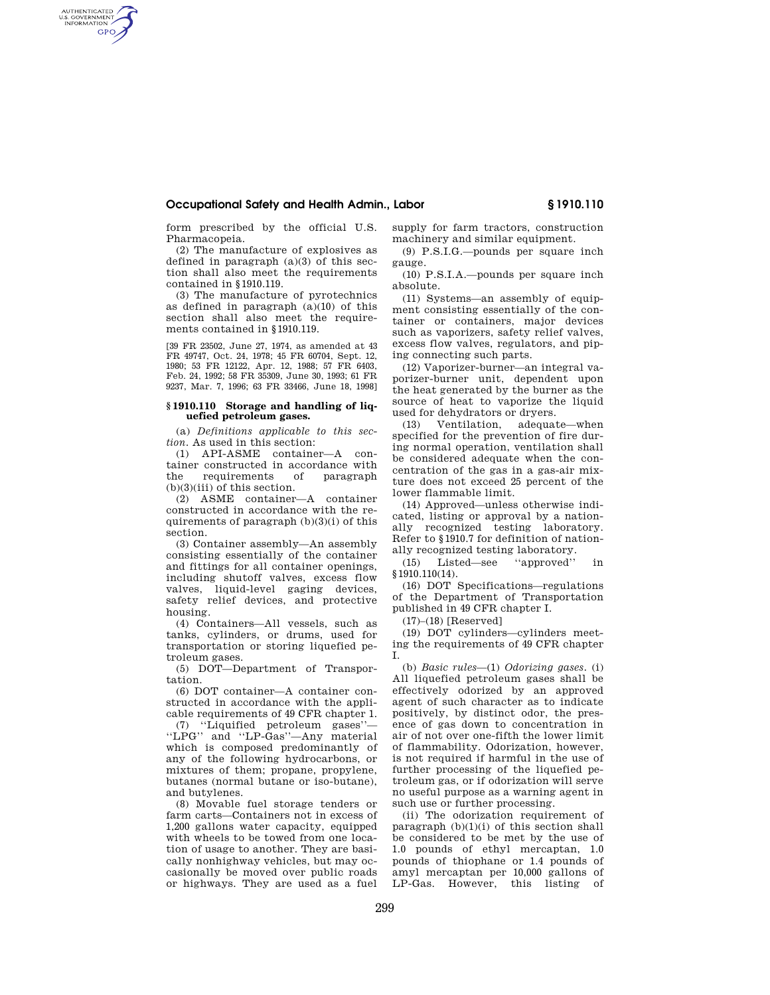form prescribed by the official U.S. Pharmacopeia.

AUTHENTICATED<br>U.S. GOVERNMENT<br>INFORMATION **GPO** 

> (2) The manufacture of explosives as defined in paragraph (a)(3) of this section shall also meet the requirements contained in §1910.119.

> (3) The manufacture of pyrotechnics as defined in paragraph (a)(10) of this section shall also meet the requirements contained in §1910.119.

> [39 FR 23502, June 27, 1974, as amended at 43 FR 49747, Oct. 24, 1978; 45 FR 60704, Sept. 12, 1980; 53 FR 12122, Apr. 12, 1988; 57 FR 6403, Feb. 24, 1992; 58 FR 35309, June 30, 1993; 61 FR 9237, Mar. 7, 1996; 63 FR 33466, June 18, 1998]

### **§ 1910.110 Storage and handling of liquefied petroleum gases.**

(a) *Definitions applicable to this section.* As used in this section:

(1) API-ASME container—A container constructed in accordance with the requirements of paragraph (b)(3)(iii) of this section.

(2) ASME container—A container constructed in accordance with the requirements of paragraph (b)(3)(i) of this section.

(3) Container assembly—An assembly consisting essentially of the container and fittings for all container openings, including shutoff valves, excess flow valves, liquid-level gaging devices, safety relief devices, and protective housing.

(4) Containers—All vessels, such as tanks, cylinders, or drums, used for transportation or storing liquefied petroleum gases.

(5) DOT—Department of Transportation.

(6) DOT container—A container constructed in accordance with the applicable requirements of 49 CFR chapter 1.

(7) ''Liquified petroleum gases''— "LPG" and "LP-Gas"—Any material which is composed predominantly of any of the following hydrocarbons, or mixtures of them; propane, propylene, butanes (normal butane or iso-butane), and butylenes.

(8) Movable fuel storage tenders or farm carts—Containers not in excess of 1,200 gallons water capacity, equipped with wheels to be towed from one location of usage to another. They are basically nonhighway vehicles, but may occasionally be moved over public roads or highways. They are used as a fuel

supply for farm tractors, construction machinery and similar equipment.

(9) P.S.I.G.—pounds per square inch gauge.

(10) P.S.I.A.—pounds per square inch absolute.

(11) Systems—an assembly of equipment consisting essentially of the container or containers, major devices such as vaporizers, safety relief valves, excess flow valves, regulators, and piping connecting such parts.

(12) Vaporizer-burner—an integral vaporizer-burner unit, dependent upon the heat generated by the burner as the source of heat to vaporize the liquid used for dehydrators or dryers.

(13) Ventilation, adequate—when specified for the prevention of fire during normal operation, ventilation shall be considered adequate when the concentration of the gas in a gas-air mixture does not exceed 25 percent of the lower flammable limit.

(14) Approved—unless otherwise indicated, listing or approval by a nationally recognized testing laboratory. Refer to §1910.7 for definition of nation-

ally recognized testing laboratory.<br>(15) Listed—see "approved" (15) Listed—see ''approved'' in §1910.110(14).

(16) DOT Specifications—regulations of the Department of Transportation published in 49 CFR chapter I.

(17)–(18) [Reserved]

(19) DOT cylinders—cylinders meeting the requirements of 49 CFR chapter I.

(b) *Basic rules*—(1) *Odorizing gases.* (i) All liquefied petroleum gases shall be effectively odorized by an approved agent of such character as to indicate positively, by distinct odor, the presence of gas down to concentration in air of not over one-fifth the lower limit of flammability. Odorization, however, is not required if harmful in the use of further processing of the liquefied petroleum gas, or if odorization will serve no useful purpose as a warning agent in such use or further processing.

(ii) The odorization requirement of  $\frac{1}{2}$  paragraph  $(b)(1)(i)$  of this section shall be considered to be met by the use of 1.0 pounds of ethyl mercaptan, 1.0 pounds of thiophane or 1.4 pounds of amyl mercaptan per 10,000 gallons of LP-Gas. However, this listing of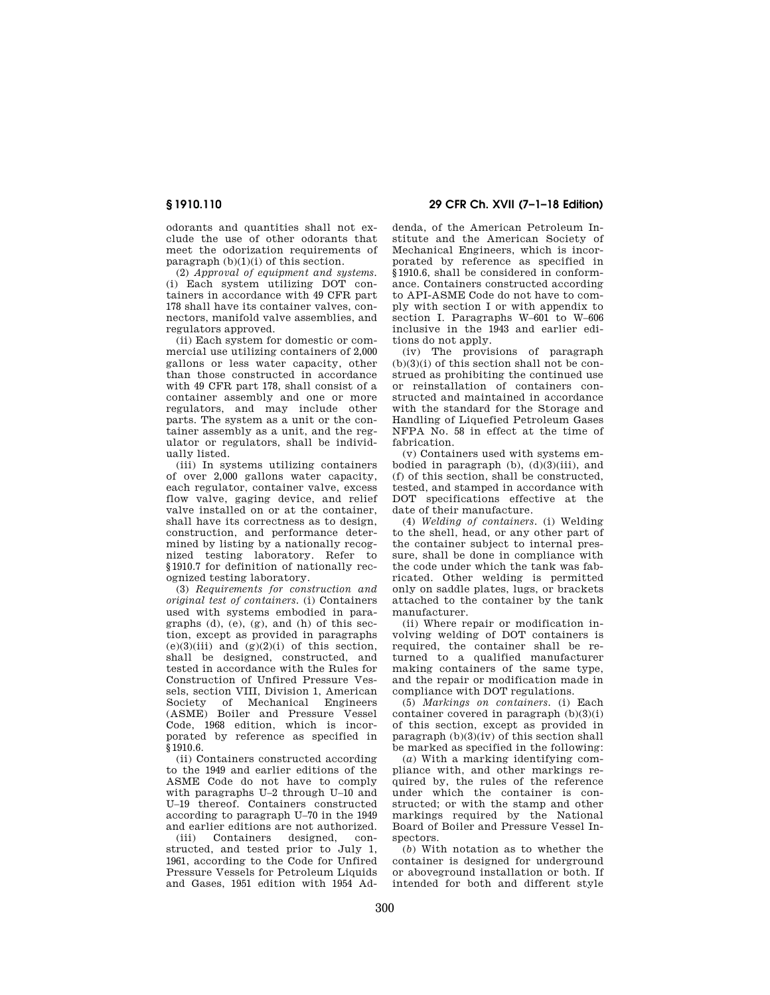odorants and quantities shall not exclude the use of other odorants that meet the odorization requirements of paragraph  $(b)(1)(i)$  of this section.

(2) *Approval of equipment and systems.*  (i) Each system utilizing DOT containers in accordance with 49 CFR part 178 shall have its container valves, connectors, manifold valve assemblies, and regulators approved.

(ii) Each system for domestic or commercial use utilizing containers of 2,000 gallons or less water capacity, other than those constructed in accordance with 49 CFR part 178, shall consist of a container assembly and one or more regulators, and may include other parts. The system as a unit or the container assembly as a unit, and the regulator or regulators, shall be individually listed.

(iii) In systems utilizing containers of over 2,000 gallons water capacity, each regulator, container valve, excess flow valve, gaging device, and relief valve installed on or at the container, shall have its correctness as to design, construction, and performance determined by listing by a nationally recognized testing laboratory. Refer to §1910.7 for definition of nationally recognized testing laboratory.

(3) *Requirements for construction and original test of containers.* (i) Containers used with systems embodied in paragraphs (d), (e), (g), and (h) of this section, except as provided in paragraphs  $(e)(3)(iii)$  and  $(g)(2)(i)$  of this section, shall be designed, constructed, and tested in accordance with the Rules for Construction of Unfired Pressure Vessels, section VIII, Division 1, American<br>Society of Mechanical Engineers of Mechanical Engineers (ASME) Boiler and Pressure Vessel Code, 1968 edition, which is incorporated by reference as specified in §1910.6.

(ii) Containers constructed according to the 1949 and earlier editions of the ASME Code do not have to comply with paragraphs U–2 through U–10 and U–19 thereof. Containers constructed according to paragraph U–70 in the 1949 and earlier editions are not authorized.

(iii) Containers designed, constructed, and tested prior to July 1, 1961, according to the Code for Unfired Pressure Vessels for Petroleum Liquids and Gases, 1951 edition with 1954 Ad-

**§ 1910.110 29 CFR Ch. XVII (7–1–18 Edition)** 

denda, of the American Petroleum Institute and the American Society of Mechanical Engineers, which is incorporated by reference as specified in §1910.6, shall be considered in conformance. Containers constructed according to API-ASME Code do not have to comply with section I or with appendix to section I. Paragraphs W–601 to W–606 inclusive in the 1943 and earlier editions do not apply.

(iv) The provisions of paragraph  $(b)(3)(i)$  of this section shall not be construed as prohibiting the continued use or reinstallation of containers constructed and maintained in accordance with the standard for the Storage and Handling of Liquefied Petroleum Gases NFPA No. 58 in effect at the time of fabrication.

(v) Containers used with systems embodied in paragraph  $(b)$ ,  $(d)(3)(iii)$ , and (f) of this section, shall be constructed, tested, and stamped in accordance with DOT specifications effective at the date of their manufacture.

(4) *Welding of containers.* (i) Welding to the shell, head, or any other part of the container subject to internal pressure, shall be done in compliance with the code under which the tank was fabricated. Other welding is permitted only on saddle plates, lugs, or brackets attached to the container by the tank manufacturer.

(ii) Where repair or modification involving welding of DOT containers is required, the container shall be returned to a qualified manufacturer making containers of the same type and the repair or modification made in compliance with DOT regulations.

(5) *Markings on containers.* (i) Each container covered in paragraph  $(b)(3)(i)$ of this section, except as provided in paragraph (b)(3)(iv) of this section shall be marked as specified in the following:

(*a*) With a marking identifying compliance with, and other markings required by, the rules of the reference under which the container is constructed; or with the stamp and other markings required by the National Board of Boiler and Pressure Vessel Inspectors.

(*b*) With notation as to whether the container is designed for underground or aboveground installation or both. If intended for both and different style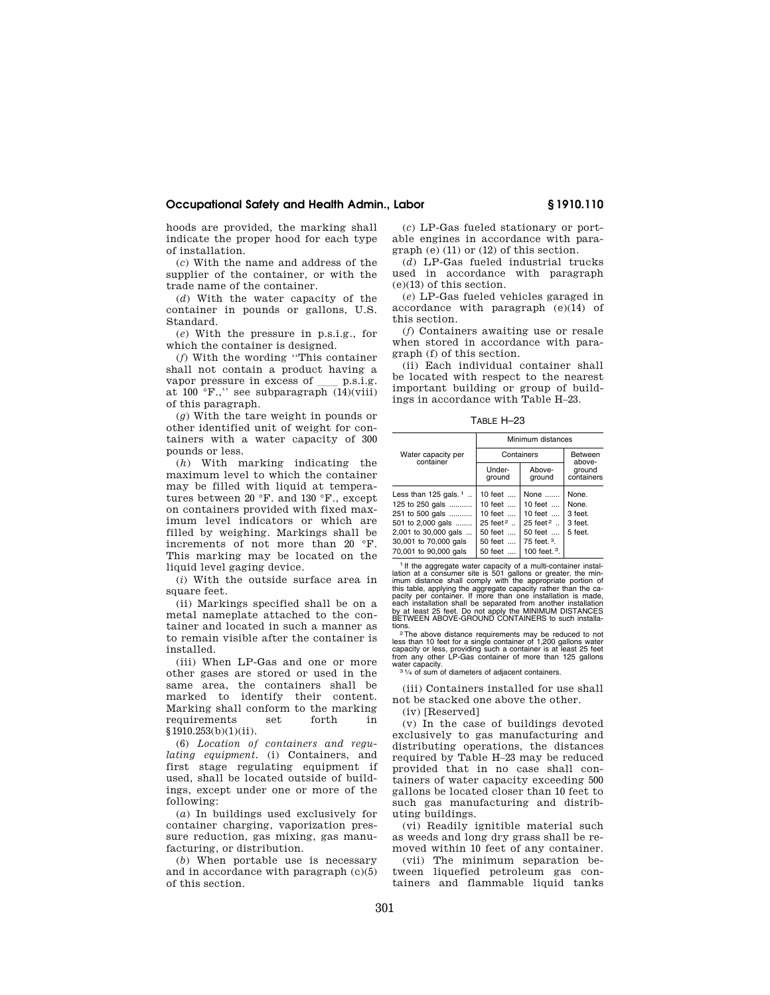hoods are provided, the marking shall indicate the proper hood for each type of installation.

(*c*) With the name and address of the supplier of the container, or with the trade name of the container.

(*d*) With the water capacity of the container in pounds or gallons, U.S. Standard.

(*e*) With the pressure in p.s.i.g., for which the container is designed.

(*f*) With the wording ''This container shall not contain a product having a vapor pressure in excess of <u>easiliese.</u><br>at 100 °F.,'' see subparagraph (14)(viii) of this paragraph.

(*g*) With the tare weight in pounds or other identified unit of weight for containers with a water capacity of 300 pounds or less.

(*h*) With marking indicating the maximum level to which the container may be filled with liquid at temperatures between 20 °F. and 130 °F., except on containers provided with fixed maximum level indicators or which are filled by weighing. Markings shall be increments of not more than 20 °F. This marking may be located on the liquid level gaging device.

(*i*) With the outside surface area in square feet.

(ii) Markings specified shall be on a metal nameplate attached to the container and located in such a manner as to remain visible after the container is installed.

(iii) When LP-Gas and one or more other gases are stored or used in the same area, the containers shall be marked to identify their content. Marking shall conform to the marking requirements set forth in §1910.253(b)(1)(ii).

(6) *Location of containers and regulating equipment.* (i) Containers, and first stage regulating equipment if used, shall be located outside of buildings, except under one or more of the following:

(*a*) In buildings used exclusively for container charging, vaporization pressure reduction, gas mixing, gas manufacturing, or distribution.

(*b*) When portable use is necessary and in accordance with paragraph (c)(5) of this section.

(*c*) LP-Gas fueled stationary or portable engines in accordance with paragraph (e) (11) or (12) of this section.

(*d*) LP-Gas fueled industrial trucks used in accordance with paragraph (e)(13) of this section.

(*e*) LP-Gas fueled vehicles garaged in accordance with paragraph (e)(14) of this section.

(*f*) Containers awaiting use or resale when stored in accordance with paragraph (f) of this section.

(ii) Each individual container shall be located with respect to the nearest important building or group of buildings in accordance with Table H–23.

TABLE H–23

|                                                                                                                                                                     | Minimum distances                                                                                                      |                                                                                                                          |                                                 |  |
|---------------------------------------------------------------------------------------------------------------------------------------------------------------------|------------------------------------------------------------------------------------------------------------------------|--------------------------------------------------------------------------------------------------------------------------|-------------------------------------------------|--|
| Water capacity per                                                                                                                                                  | Containers                                                                                                             |                                                                                                                          | <b>Between</b><br>above-                        |  |
| container                                                                                                                                                           | Under-<br>ground                                                                                                       | Above-<br>ground                                                                                                         | ground<br>containers                            |  |
| Less than 125 gals. $1 \ldots$<br>125 to 250 gals<br>251 to 500 gals<br>501 to 2,000 gals<br>2,001 to 30,000 gals<br>30,001 to 70,000 gals<br>70,001 to 90,000 gals | $10$ feet $\dots$<br>$10 \text{ feet}$<br>$10$ feet $\dots$<br>$25$ feet <sup>2</sup><br>50 feet<br>50 feet<br>50 feet | None<br>$10$ feet $\dots$<br>$10$ feet $\dots$<br>25 feet <sup>2</sup><br>50 feet<br>$75$ feet. $3$ .<br>100 feet. $3$ . | None.<br>None.<br>3 feet.<br>3 feet.<br>5 feet. |  |

1 If the aggregate water capacity of a multi-container instal-lation at a consumer site is 501 gallons or greater, the min-imum distance shall comply with the appropriate portion of this table, applying the aggregate capacity rather than the ca-<br>pacity per container. If more than one installation is made,<br>each installation shall be separated from another installation<br>by at least 25 feet. Do not apply

tions.<br>
<sup>2</sup>The above distance requirements may be reduced to not<br>
less than 10 feet for a single container of 1,200 gallons water<br>capacity or less, providing such a container is at least 25 feet<br>from any other LP-Gas conta water capacity.<br> $3\frac{1}{4}$  of sum of diameters of adjacent containers.

(iii) Containers installed for use shall not be stacked one above the other.

(iv) [Reserved]

(v) In the case of buildings devoted exclusively to gas manufacturing and distributing operations, the distances required by Table H–23 may be reduced provided that in no case shall containers of water capacity exceeding 500 gallons be located closer than 10 feet to such gas manufacturing and distributing buildings.

(vi) Readily ignitible material such as weeds and long dry grass shall be removed within 10 feet of any container.

(vii) The minimum separation between liquefied petroleum gas containers and flammable liquid tanks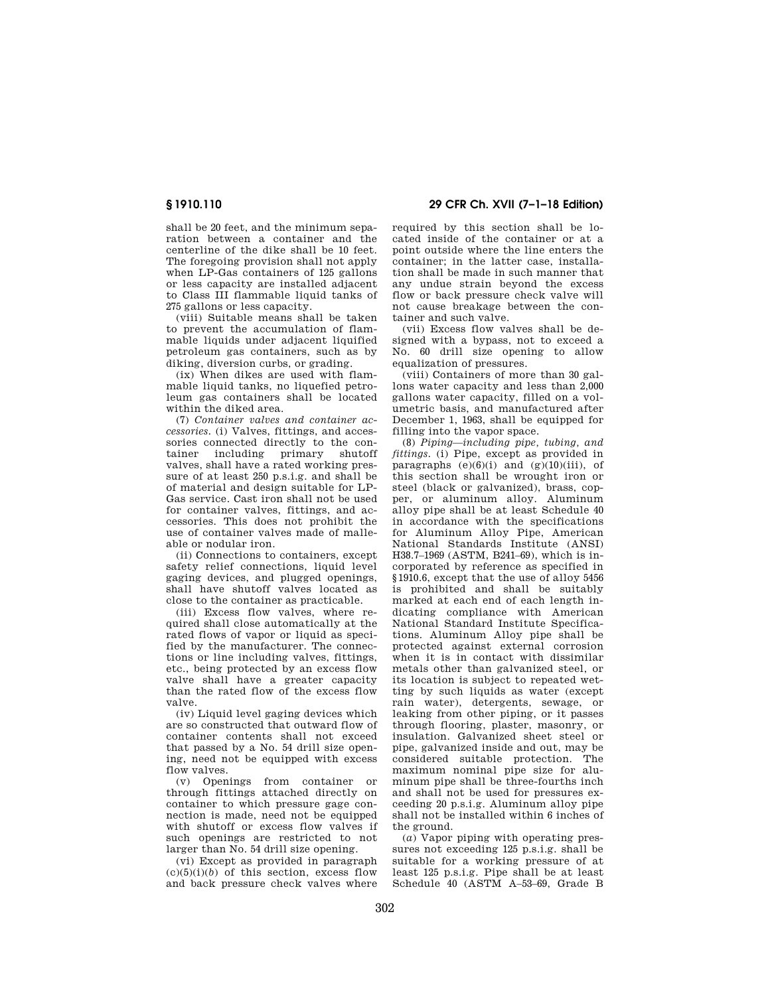shall be 20 feet, and the minimum separation between a container and the centerline of the dike shall be 10 feet. The foregoing provision shall not apply when LP-Gas containers of 125 gallons or less capacity are installed adjacent to Class III flammable liquid tanks of 275 gallons or less capacity.

(viii) Suitable means shall be taken to prevent the accumulation of flammable liquids under adjacent liquified petroleum gas containers, such as by diking, diversion curbs, or grading.

(ix) When dikes are used with flammable liquid tanks, no liquefied petroleum gas containers shall be located within the diked area.

(7) *Container valves and container accessories.* (i) Valves, fittings, and accessories connected directly to the con-<br>tainer including primary shutoff including primary valves, shall have a rated working pressure of at least 250 p.s.i.g. and shall be of material and design suitable for LP-Gas service. Cast iron shall not be used for container valves, fittings, and accessories. This does not prohibit the use of container valves made of malleable or nodular iron.

(ii) Connections to containers, except safety relief connections, liquid level gaging devices, and plugged openings, shall have shutoff valves located as close to the container as practicable.

(iii) Excess flow valves, where required shall close automatically at the rated flows of vapor or liquid as specified by the manufacturer. The connections or line including valves, fittings, etc., being protected by an excess flow valve shall have a greater capacity than the rated flow of the excess flow valve.

(iv) Liquid level gaging devices which are so constructed that outward flow of container contents shall not exceed that passed by a No. 54 drill size opening, need not be equipped with excess flow valves.

(v) Openings from container or through fittings attached directly on container to which pressure gage connection is made, need not be equipped with shutoff or excess flow valves if such openings are restricted to not larger than No. 54 drill size opening.

(vi) Except as provided in paragraph  $(c)(5)(i)(b)$  of this section, excess flow and back pressure check valves where

**§ 1910.110 29 CFR Ch. XVII (7–1–18 Edition)** 

required by this section shall be located inside of the container or at a point outside where the line enters the container; in the latter case, installation shall be made in such manner that any undue strain beyond the excess flow or back pressure check valve will not cause breakage between the container and such valve.

(vii) Excess flow valves shall be designed with a bypass, not to exceed a No. 60 drill size opening to allow equalization of pressures.

(viii) Containers of more than 30 gallons water capacity and less than 2,000 gallons water capacity, filled on a volumetric basis, and manufactured after December 1, 1963, shall be equipped for filling into the vapor space.

(8) *Piping—including pipe, tubing, and fittings.* (i) Pipe, except as provided in paragraphs  $(e)(6)(i)$  and  $(g)(10)(iii)$ , of this section shall be wrought iron or steel (black or galvanized), brass, copper, or aluminum alloy. Aluminum alloy pipe shall be at least Schedule 40 in accordance with the specifications for Aluminum Alloy Pipe, American National Standards Institute (ANSI) H38.7–1969 (ASTM, B241–69), which is incorporated by reference as specified in §1910.6, except that the use of alloy 5456 is prohibited and shall be suitably marked at each end of each length indicating compliance with American National Standard Institute Specifications. Aluminum Alloy pipe shall be protected against external corrosion when it is in contact with dissimilar metals other than galvanized steel, or its location is subject to repeated wetting by such liquids as water (except rain water), detergents, sewage, or leaking from other piping, or it passes through flooring, plaster, masonry, or insulation. Galvanized sheet steel or pipe, galvanized inside and out, may be considered suitable protection. The maximum nominal pipe size for aluminum pipe shall be three-fourths inch and shall not be used for pressures exceeding 20 p.s.i.g. Aluminum alloy pipe shall not be installed within 6 inches of the ground.

(*a*) Vapor piping with operating pressures not exceeding 125 p.s.i.g. shall be suitable for a working pressure of at least 125 p.s.i.g. Pipe shall be at least Schedule 40 (ASTM A–53–69, Grade B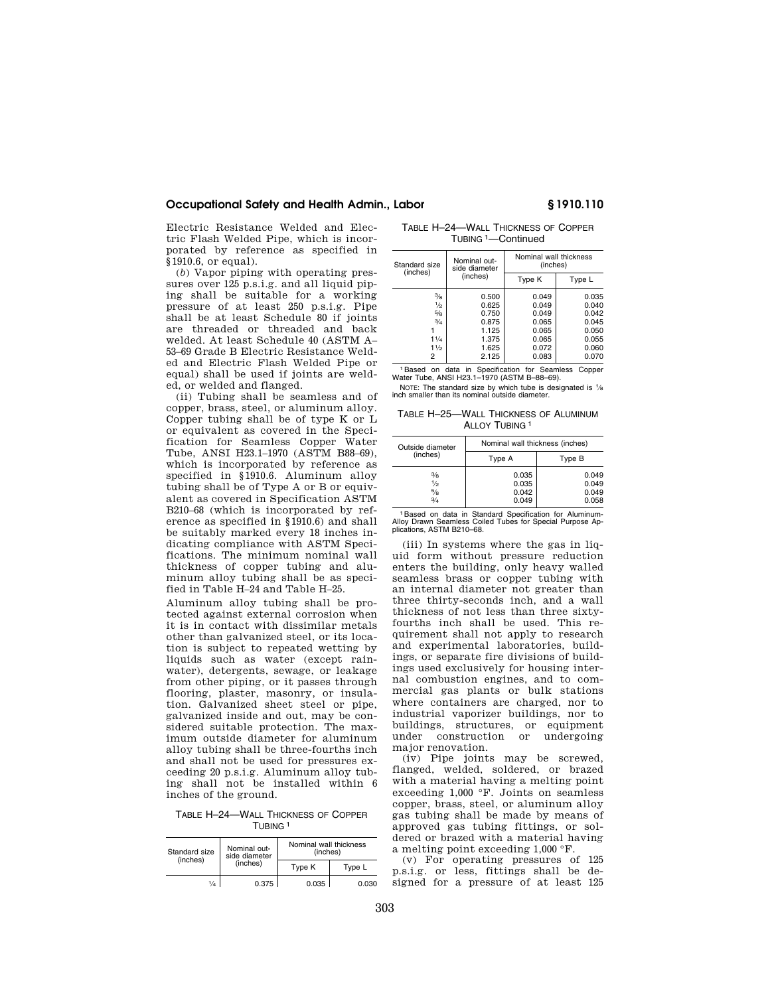Electric Resistance Welded and Electric Flash Welded Pipe, which is incorporated by reference as specified in §1910.6, or equal).

(*b*) Vapor piping with operating pressures over 125 p.s.i.g. and all liquid piping shall be suitable for a working pressure of at least 250 p.s.i.g. Pipe shall be at least Schedule 80 if joints are threaded or threaded and back welded. At least Schedule 40 (ASTM A– 53–69 Grade B Electric Resistance Welded and Electric Flash Welded Pipe or equal) shall be used if joints are welded, or welded and flanged.

(ii) Tubing shall be seamless and of copper, brass, steel, or aluminum alloy. Copper tubing shall be of type K or L or equivalent as covered in the Specification for Seamless Copper Water Tube, ANSI H23.1–1970 (ASTM B88–69), which is incorporated by reference as specified in §1910.6. Aluminum alloy tubing shall be of Type A or B or equivalent as covered in Specification ASTM B210–68 (which is incorporated by reference as specified in §1910.6) and shall be suitably marked every 18 inches indicating compliance with ASTM Specifications. The minimum nominal wall thickness of copper tubing and aluminum alloy tubing shall be as specified in Table H–24 and Table H–25.

Aluminum alloy tubing shall be protected against external corrosion when it is in contact with dissimilar metals other than galvanized steel, or its location is subject to repeated wetting by liquids such as water (except rainwater), detergents, sewage, or leakage from other piping, or it passes through flooring, plaster, masonry, or insulation. Galvanized sheet steel or pipe, galvanized inside and out, may be considered suitable protection. The maximum outside diameter for aluminum alloy tubing shall be three-fourths inch and shall not be used for pressures exceeding 20 p.s.i.g. Aluminum alloy tubing shall not be installed within 6 inches of the ground.

TABLE H–24—WALL THICKNESS OF COPPER TUBING 1

| Standard size<br>(inches) | Nominal out-<br>side diameter<br>(inches) | Nominal wall thickness<br>(inches) |        |
|---------------------------|-------------------------------------------|------------------------------------|--------|
|                           |                                           | Type K                             | Type L |
| $\frac{1}{4}$             | 0.375                                     | 0.035                              | 0.030  |

TABLE H–24—WALL THICKNESS OF COPPER TUBING 1—Continued

| Standard size<br>(inches) | Nominal out-<br>side diameter<br>(inches) | Nominal wall thickness<br>(inches) |        |
|---------------------------|-------------------------------------------|------------------------------------|--------|
|                           |                                           | Type K                             | Type L |
| $^{3/8}$                  | 0.500                                     | 0.049                              | 0.035  |
| $\frac{1}{2}$             | 0.625                                     | 0.049                              | 0.040  |
| 5/8                       | 0.750                                     | 0.049                              | 0.042  |
| 3/4                       | 0.875                                     | 0.065                              | 0.045  |
|                           | 1.125                                     | 0.065                              | 0.050  |
| $1\frac{1}{4}$            | 1.375                                     | 0.065                              | 0.055  |
| $1\frac{1}{2}$            | 1.625                                     | 0.072                              | 0.060  |
| 2                         | 2.125                                     | 0.083                              | 0.070  |

1Based on data in Specification for Seamless Copper Water Tube, ANSI H23.1–1970 (ASTM B–88–69).

NOTE: The standard size by which tube is designated is 1⁄8 inch smaller than its nominal outside diameter.

TABLE H–25—WALL THICKNESS OF ALUMINUM ALLOY TUBING 1

| Outside diameter                      | Nominal wall thickness (inches) |                         |
|---------------------------------------|---------------------------------|-------------------------|
| (inches)                              | Type A                          | Type B                  |
| $\frac{3}{8}$<br>$\frac{1}{2}$<br>5/8 | 0.035<br>0.035<br>0.042         | 0.049<br>0.049<br>0.049 |
| 3/4                                   | 0.049                           | 0.058                   |

1Based on data in Standard Specification for Aluminum-Alloy Drawn Seamless Coiled Tubes for Special Purpose Applications, ASTM B210–68.

(iii) In systems where the gas in liquid form without pressure reduction enters the building, only heavy walled seamless brass or copper tubing with an internal diameter not greater than three thirty-seconds inch, and a wall thickness of not less than three sixtyfourths inch shall be used. This requirement shall not apply to research and experimental laboratories, buildings, or separate fire divisions of buildings used exclusively for housing internal combustion engines, and to commercial gas plants or bulk stations where containers are charged, nor to industrial vaporizer buildings, nor to buildings, structures, or equipment under construction or undergoing major renovation.

(iv) Pipe joints may be screwed, flanged, welded, soldered, or brazed with a material having a melting point exceeding 1,000 °F. Joints on seamless copper, brass, steel, or aluminum alloy gas tubing shall be made by means of approved gas tubing fittings, or soldered or brazed with a material having a melting point exceeding 1,000 °F.

(v) For operating pressures of 125 p.s.i.g. or less, fittings shall be designed for a pressure of at least 125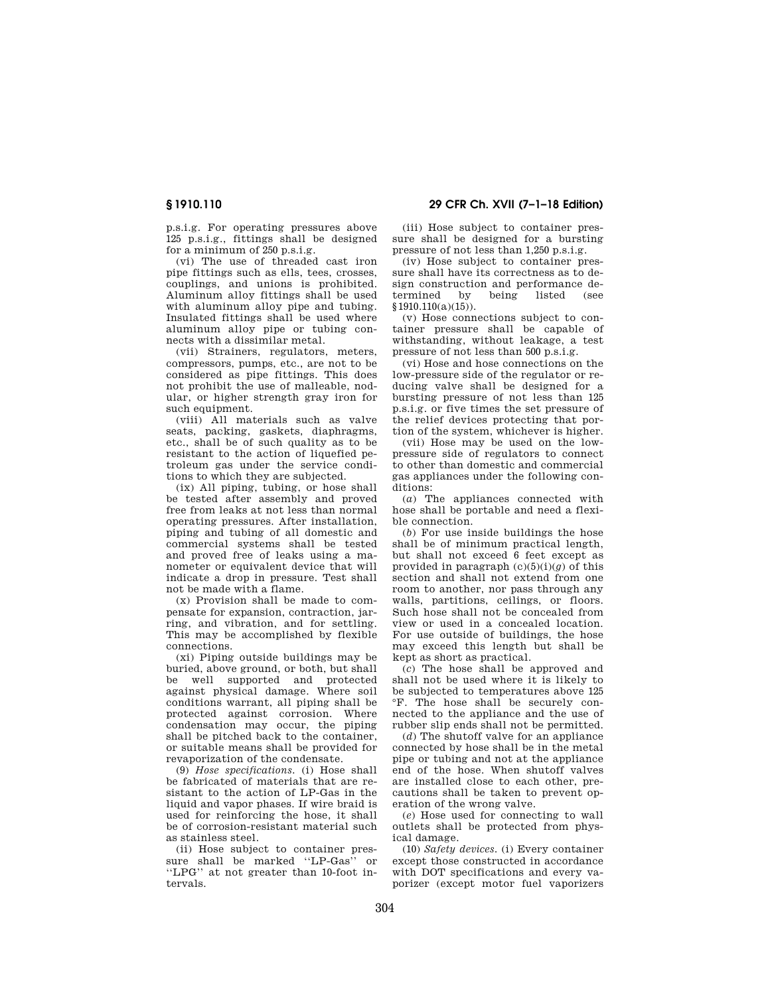p.s.i.g. For operating pressures above 125 p.s.i.g., fittings shall be designed for a minimum of 250 p.s.i.g.

(vi) The use of threaded cast iron pipe fittings such as ells, tees, crosses, couplings, and unions is prohibited. Aluminum alloy fittings shall be used with aluminum alloy pipe and tubing. Insulated fittings shall be used where aluminum alloy pipe or tubing connects with a dissimilar metal.

(vii) Strainers, regulators, meters, compressors, pumps, etc., are not to be considered as pipe fittings. This does not prohibit the use of malleable, nodular, or higher strength gray iron for such equipment.

(viii) All materials such as valve seats, packing, gaskets, diaphragms, etc., shall be of such quality as to be resistant to the action of liquefied petroleum gas under the service conditions to which they are subjected.

(ix) All piping, tubing, or hose shall be tested after assembly and proved free from leaks at not less than normal operating pressures. After installation, piping and tubing of all domestic and commercial systems shall be tested and proved free of leaks using a manometer or equivalent device that will indicate a drop in pressure. Test shall not be made with a flame.

(x) Provision shall be made to compensate for expansion, contraction, jarring, and vibration, and for settling. This may be accomplished by flexible connections.

(xi) Piping outside buildings may be buried, above ground, or both, but shall be well supported and protected against physical damage. Where soil conditions warrant, all piping shall be protected against corrosion. Where condensation may occur, the piping shall be pitched back to the container, or suitable means shall be provided for revaporization of the condensate.

(9) *Hose specifications.* (i) Hose shall be fabricated of materials that are resistant to the action of LP-Gas in the liquid and vapor phases. If wire braid is used for reinforcing the hose, it shall be of corrosion-resistant material such as stainless steel.

(ii) Hose subject to container pressure shall be marked ''LP-Gas'' or ''LPG'' at not greater than 10-foot intervals.

**§ 1910.110 29 CFR Ch. XVII (7–1–18 Edition)** 

(iii) Hose subject to container pressure shall be designed for a bursting pressure of not less than 1,250 p.s.i.g.

(iv) Hose subject to container pressure shall have its correctness as to design construction and performance de-<br>termined by being listed (see termined  $$1910.110(a)(15)$ .

(v) Hose connections subject to container pressure shall be capable of withstanding, without leakage, a test pressure of not less than 500 p.s.i.g.

(vi) Hose and hose connections on the low-pressure side of the regulator or reducing valve shall be designed for a bursting pressure of not less than 125 p.s.i.g. or five times the set pressure of the relief devices protecting that portion of the system, whichever is higher.

(vii) Hose may be used on the lowpressure side of regulators to connect to other than domestic and commercial gas appliances under the following conditions:

(*a*) The appliances connected with hose shall be portable and need a flexible connection.

(*b*) For use inside buildings the hose shall be of minimum practical length, but shall not exceed 6 feet except as provided in paragraph  $(c)(5)(i)(g)$  of this section and shall not extend from one room to another, nor pass through any walls, partitions, ceilings, or floors. Such hose shall not be concealed from view or used in a concealed location. For use outside of buildings, the hose may exceed this length but shall be kept as short as practical.

(*c*) The hose shall be approved and shall not be used where it is likely to be subjected to temperatures above 125 °F. The hose shall be securely connected to the appliance and the use of rubber slip ends shall not be permitted.

(*d*) The shutoff valve for an appliance connected by hose shall be in the metal pipe or tubing and not at the appliance end of the hose. When shutoff valves are installed close to each other, precautions shall be taken to prevent operation of the wrong valve.

(*e*) Hose used for connecting to wall outlets shall be protected from physical damage.

(10) *Safety devices.* (i) Every container except those constructed in accordance with DOT specifications and every vaporizer (except motor fuel vaporizers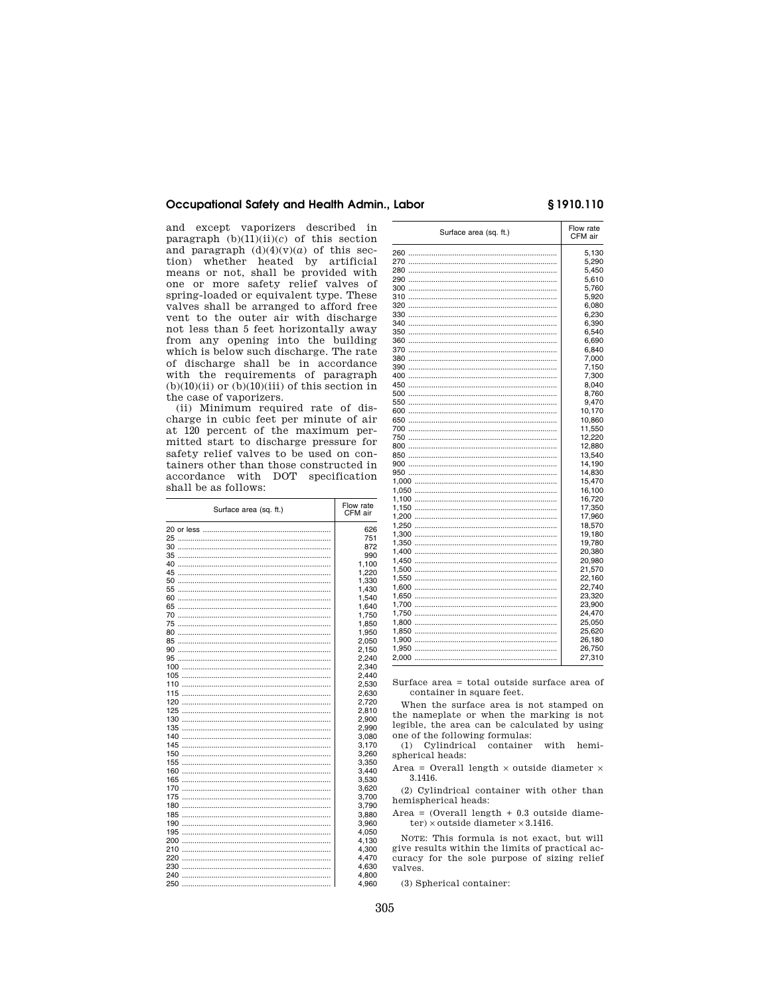# §1910.110

and except vaporizers described in paragraph  $(b)(11)(ii)(c)$  of this section and paragraph  $(d)(4)(v)(a)$  of this section) whether heated by artificial means or not, shall be provided with one or more safety relief valves of spring-loaded or equivalent type. These valves shall be arranged to afford free vent to the outer air with discharge not less than 5 feet horizontally away from any opening into the building which is below such discharge. The rate of discharge shall be in accordance with the requirements of paragraph  $(b)(10)(ii)$  or  $(b)(10)(iii)$  of this section in the case of vaporizers.

(ii) Minimum required rate of discharge in cubic feet per minute of air at 120 percent of the maximum permitted start to discharge pressure for safety relief valves to be used on containers other than those constructed in accordance with DOT specification shall be as follows:

| Surface area (sq. ft.) | Flow rate<br>CFM air |
|------------------------|----------------------|
|                        | 626                  |
|                        | 751                  |
|                        | 872                  |
| 35                     | 990                  |
|                        | 1,100                |
| 45                     | 1,220                |
| 50                     | 1.330                |
|                        | 1,430                |
|                        | 1,540                |
| 65                     | 1,640                |
|                        | 1,750                |
|                        | 1,850                |
| 80                     | 1,950                |
|                        | 2,050                |
|                        | 2,150                |
|                        | 2,240                |
|                        | 2,340                |
|                        | 2,440                |
| 110                    | 2,530                |
|                        | 2,630                |
|                        | 2,720                |
|                        | 2.810                |
|                        | 2,900                |
| 135                    | 2.990                |
| 140                    | 3,080                |
|                        | 3,170                |
|                        | 3.260                |
| 155                    | 3,350                |
|                        | 3,440                |
| 165                    | 3,530                |
| 170                    | 3,620                |
|                        | 3,700                |
| 180                    | 3,790                |
| 185                    | 3,880                |
| 190                    | 3,960                |
| 195                    | 4,050                |
| 200                    | 4.130                |
|                        | 4,300                |
| 220                    | 4,470                |
| 230                    | 4,630                |
| 240                    | 4,800                |
| 250                    | 4.960                |

| Surface area (sq. ft.) | Flow rate<br>CFM air |
|------------------------|----------------------|
|                        | 5,130                |
|                        | 5.290                |
|                        | 5.450                |
|                        | 5,610                |
|                        | 5,760                |
|                        | 5,920                |
|                        | 6,080                |
|                        | 6,230                |
|                        | 6.390                |
|                        | 6,540                |
|                        | 6,690                |
|                        | 6,840                |
|                        | 7,000                |
|                        | 7,150                |
|                        | 7,300                |
|                        | 8,040                |
|                        | 8.760                |
|                        | 9,470                |
|                        | 10,170               |
|                        | 10,860               |
|                        | 11,550               |
|                        | 12,220               |
|                        | 12,880               |
|                        | 13,540               |
|                        | 14,190               |
|                        | 14,830               |
|                        | 15,470               |
|                        | 16,100               |
|                        | 16,720               |
|                        | 17,350               |
|                        | 17,960               |
|                        | 18,570               |
|                        | 19,180               |
|                        | 19,780               |
|                        | 20,380               |
|                        | 20,980               |
|                        | 21,570               |
|                        | 22.160               |
|                        | 22,740               |
|                        | 23,320               |
|                        | 23,900               |
|                        | 24,470               |
|                        | 25,050               |
|                        | 25,620               |
|                        | 26,180               |
|                        | 26,750               |
|                        | 27,310               |

Surface area  $=$  total outside surface area of container in square feet.

When the surface area is not stamped on the nameplate or when the marking is not legible, the area can be calculated by using one of the following formulas:

(1) Cylindrical container with hemispherical heads:

Area = Overall length  $\times$  outside diameter  $\times$ 3.1416

(2) Cylindrical container with other than hemispherical heads:

Area =  $(Overall length + 0.3 outside diam$ ter)  $\times$  outside diameter  $\times$  3.1416.

NOTE: This formula is not exact, but will give results within the limits of practical accuracy for the sole purpose of sizing relief valves.

(3) Spherical container: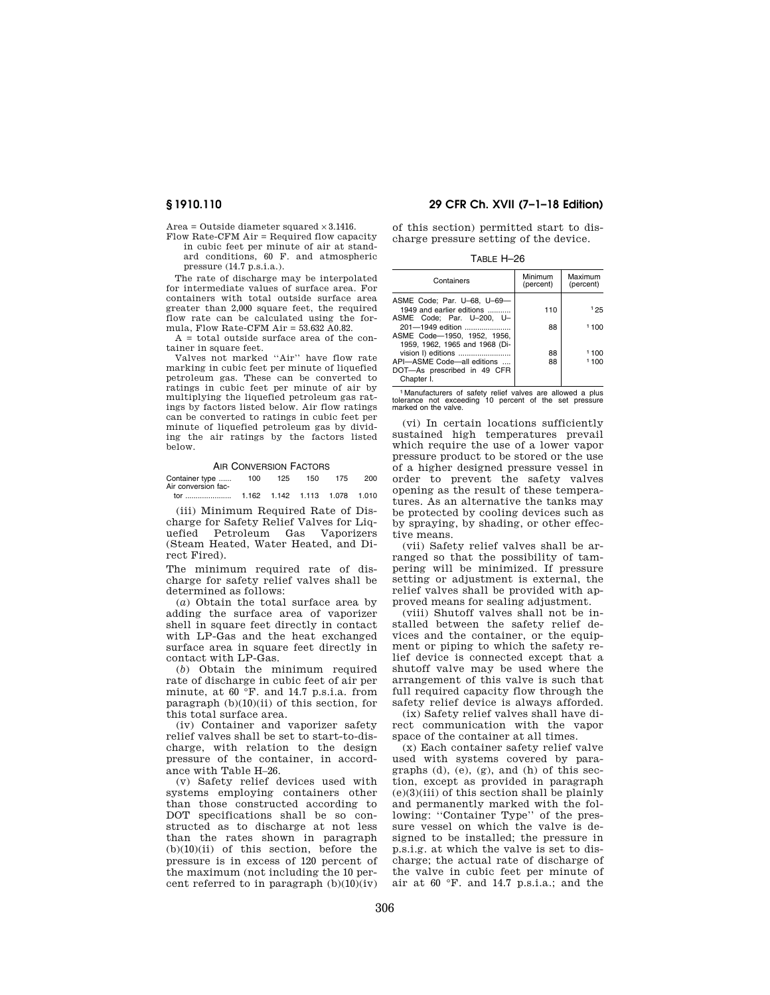Area = Outside diameter squared  $\times$  3.1416.

Flow Rate-CFM Air = Required flow capacity in cubic feet per minute of air at standard conditions, 60 F. and atmospheric pressure (14.7 p.s.i.a.).

The rate of discharge may be interpolated for intermediate values of surface area. For containers with total outside surface area greater than 2,000 square feet, the required flow rate can be calculated using the formula, Flow Rate-CFM Air = 53.632 A0.82.

A = total outside surface area of the container in square feet.

Valves not marked ''Air'' have flow rate marking in cubic feet per minute of liquefied petroleum gas. These can be converted to ratings in cubic feet per minute of air by multiplying the liquefied petroleum gas ratings by factors listed below. Air flow ratings can be converted to ratings in cubic feet per minute of liquefied petroleum gas by dividing the air ratings by the factors listed below.

# AIR CONVERSION FACTORS

Container type ...... 100 125 150 175 200 Air conversion fac-

tor ...................... 1.162 1.142 1.113 1.078 1.010

(iii) Minimum Required Rate of Discharge for Safety Relief Valves for Liquefied Petroleum Gas Vaporizers (Steam Heated, Water Heated, and Direct Fired).

The minimum required rate of discharge for safety relief valves shall be determined as follows:

(*a*) Obtain the total surface area by adding the surface area of vaporizer shell in square feet directly in contact with LP-Gas and the heat exchanged surface area in square feet directly in contact with LP-Gas.

(*b*) Obtain the minimum required rate of discharge in cubic feet of air per minute, at 60 °F. and 14.7 p.s.i.a. from paragraph  $(b)(10)(ii)$  of this section, for this total surface area.

(iv) Container and vaporizer safety relief valves shall be set to start-to-discharge, with relation to the design pressure of the container, in accordance with Table H–26.

(v) Safety relief devices used with systems employing containers other than those constructed according to DOT specifications shall be so constructed as to discharge at not less than the rates shown in paragraph  $(b)(10)(ii)$  of this section, before the pressure is in excess of 120 percent of the maximum (not including the 10 percent referred to in paragraph  $(b)(10)(iv)$ 

# **§ 1910.110 29 CFR Ch. XVII (7–1–18 Edition)**

of this section) permitted start to discharge pressure setting of the device.

TABLE H–26

| Containers                                                                            | Minimum<br>(percent) | Maximum<br>(percent) |
|---------------------------------------------------------------------------------------|----------------------|----------------------|
| ASME Code; Par. U-68, U-69-<br>1949 and earlier editions<br>ASME Code: Par. U-200. U- | 110                  | 125                  |
| 201-1949 edition<br>ASME Code-1950, 1952, 1956,<br>1959, 1962, 1965 and 1968 (Di-     | 88                   | 1100                 |
| vision I) editions                                                                    | 88                   | 1100                 |
| API-ASME Code-all editions<br>DOT-As prescribed in 49 CFR<br>Chapter I.               | 88                   | 1100                 |

1 Manufacturers of safety relief valves are allowed a plus tolerance not exceeding 10 percent of the set pressure marked on the valve.

(vi) In certain locations sufficiently sustained high temperatures prevail which require the use of a lower vapor pressure product to be stored or the use of a higher designed pressure vessel in order to prevent the safety valves opening as the result of these temperatures. As an alternative the tanks may be protected by cooling devices such as by spraying, by shading, or other effective means.

(vii) Safety relief valves shall be arranged so that the possibility of tampering will be minimized. If pressure setting or adjustment is external, the relief valves shall be provided with approved means for sealing adjustment.

(viii) Shutoff valves shall not be installed between the safety relief devices and the container, or the equipment or piping to which the safety relief device is connected except that a shutoff valve may be used where the arrangement of this valve is such that full required capacity flow through the safety relief device is always afforded.

(ix) Safety relief valves shall have direct communication with the vapor space of the container at all times.

(x) Each container safety relief valve used with systems covered by paragraphs (d), (e), (g), and (h) of this section, except as provided in paragraph  $(e)(3)(iii)$  of this section shall be plainly and permanently marked with the following: ''Container Type'' of the pressure vessel on which the valve is designed to be installed; the pressure in p.s.i.g. at which the valve is set to discharge; the actual rate of discharge of the valve in cubic feet per minute of air at 60 °F. and 14.7 p.s.i.a.; and the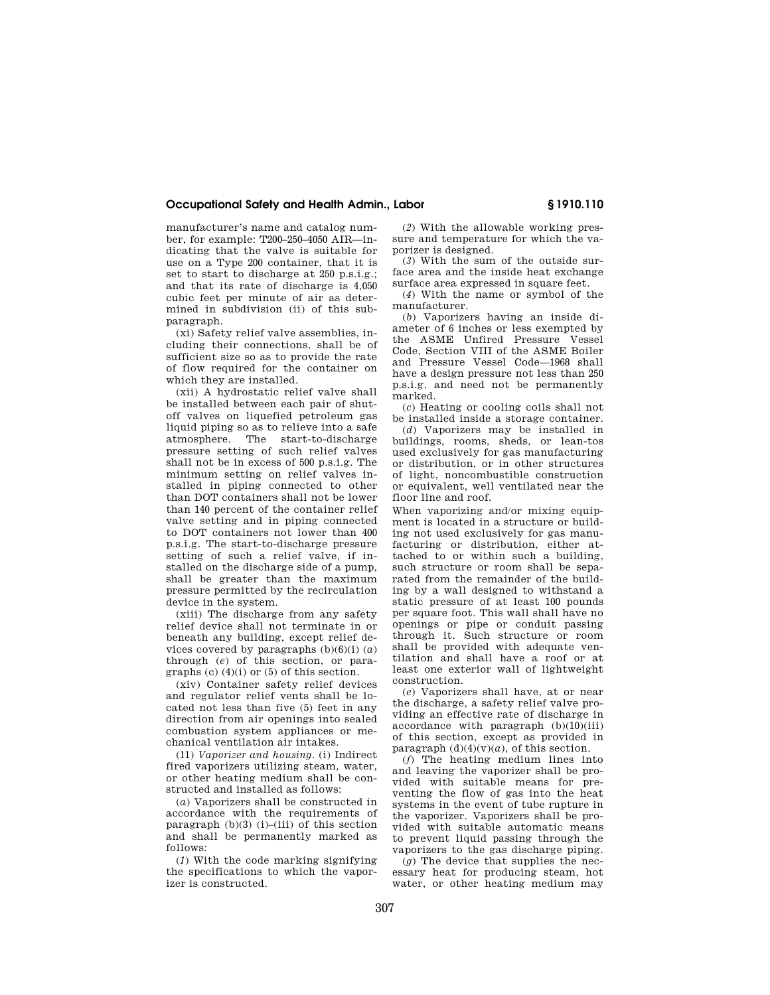manufacturer's name and catalog number, for example: T200–250–4050 AIR—indicating that the valve is suitable for use on a Type 200 container, that it is set to start to discharge at 250 p.s.i.g.; and that its rate of discharge is 4,050 cubic feet per minute of air as determined in subdivision (ii) of this subparagraph.

(xi) Safety relief valve assemblies, including their connections, shall be of sufficient size so as to provide the rate of flow required for the container on which they are installed.

(xii) A hydrostatic relief valve shall be installed between each pair of shutoff valves on liquefied petroleum gas liquid piping so as to relieve into a safe atmosphere. The start-to-discharge pressure setting of such relief valves shall not be in excess of 500 p.s.i.g. The minimum setting on relief valves installed in piping connected to other than DOT containers shall not be lower than 140 percent of the container relief valve setting and in piping connected to DOT containers not lower than 400 p.s.i.g. The start-to-discharge pressure setting of such a relief valve, if installed on the discharge side of a pump, shall be greater than the maximum pressure permitted by the recirculation device in the system.

(xiii) The discharge from any safety relief device shall not terminate in or beneath any building, except relief devices covered by paragraphs (b)(6)(i) (*a*) through (*e*) of this section, or paragraphs (c) (4)(i) or (5) of this section.

(xiv) Container safety relief devices and regulator relief vents shall be located not less than five (5) feet in any direction from air openings into sealed combustion system appliances or mechanical ventilation air intakes.

(11) *Vaporizer and housing.* (i) Indirect fired vaporizers utilizing steam, water, or other heating medium shall be constructed and installed as follows:

(*a*) Vaporizers shall be constructed in accordance with the requirements of paragraph  $(b)(3)$  (i)–(iii) of this section and shall be permanently marked as follows:

(*1*) With the code marking signifying the specifications to which the vaporizer is constructed.

(*2*) With the allowable working pressure and temperature for which the vaporizer is designed.

(*3*) With the sum of the outside surface area and the inside heat exchange surface area expressed in square feet.

(*4*) With the name or symbol of the manufacturer.

(*b*) Vaporizers having an inside diameter of 6 inches or less exempted by the ASME Unfired Pressure Vessel Code, Section VIII of the ASME Boiler and Pressure Vessel Code—1968 shall have a design pressure not less than 250 p.s.i.g. and need not be permanently marked.

(*c*) Heating or cooling coils shall not be installed inside a storage container.

(*d*) Vaporizers may be installed in buildings, rooms, sheds, or lean-tos used exclusively for gas manufacturing or distribution, or in other structures of light, noncombustible construction or equivalent, well ventilated near the floor line and roof.

When vaporizing and/or mixing equipment is located in a structure or building not used exclusively for gas manufacturing or distribution, either attached to or within such a building, such structure or room shall be separated from the remainder of the building by a wall designed to withstand a static pressure of at least 100 pounds per square foot. This wall shall have no openings or pipe or conduit passing through it. Such structure or room shall be provided with adequate ventilation and shall have a roof or at least one exterior wall of lightweight construction.

(*e*) Vaporizers shall have, at or near the discharge, a safety relief valve providing an effective rate of discharge in accordance with paragraph (b)(10)(iii) of this section, except as provided in paragraph  $(d)(4)(v)(a)$ , of this section.

(*f*) The heating medium lines into and leaving the vaporizer shall be provided with suitable means for preventing the flow of gas into the heat systems in the event of tube rupture in the vaporizer. Vaporizers shall be provided with suitable automatic means to prevent liquid passing through the vaporizers to the gas discharge piping.

(*g*) The device that supplies the necessary heat for producing steam, hot water, or other heating medium may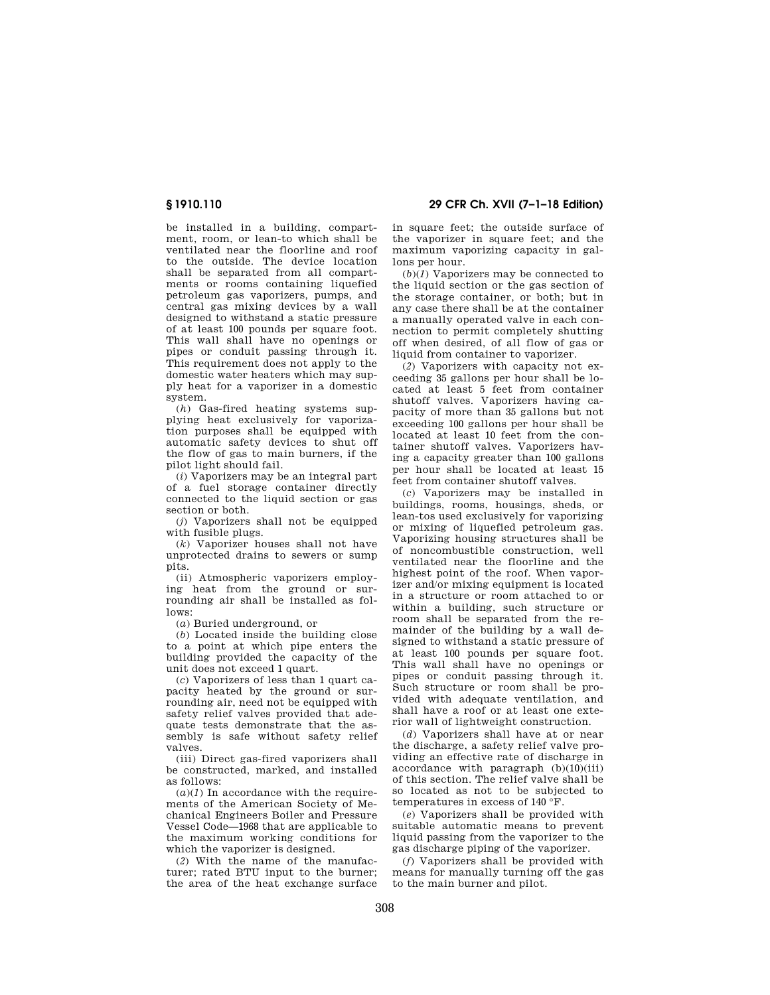be installed in a building, compartment, room, or lean-to which shall be ventilated near the floorline and roof to the outside. The device location shall be separated from all compartments or rooms containing liquefied petroleum gas vaporizers, pumps, and central gas mixing devices by a wall designed to withstand a static pressure of at least 100 pounds per square foot. This wall shall have no openings or pipes or conduit passing through it. This requirement does not apply to the domestic water heaters which may supply heat for a vaporizer in a domestic system.

(*h*) Gas-fired heating systems supplying heat exclusively for vaporization purposes shall be equipped with automatic safety devices to shut off the flow of gas to main burners, if the pilot light should fail.

(*i*) Vaporizers may be an integral part of a fuel storage container directly connected to the liquid section or gas section or both.

(*j*) Vaporizers shall not be equipped with fusible plugs.

(*k*) Vaporizer houses shall not have unprotected drains to sewers or sump pits.

(ii) Atmospheric vaporizers employing heat from the ground or surrounding air shall be installed as follows:

(*a*) Buried underground, or

(*b*) Located inside the building close to a point at which pipe enters the building provided the capacity of the unit does not exceed 1 quart.

(*c*) Vaporizers of less than 1 quart capacity heated by the ground or surrounding air, need not be equipped with safety relief valves provided that adequate tests demonstrate that the assembly is safe without safety relief valves.

(iii) Direct gas-fired vaporizers shall be constructed, marked, and installed as follows:

 $(a)(1)$  In accordance with the requirements of the American Society of Mechanical Engineers Boiler and Pressure Vessel Code—1968 that are applicable to the maximum working conditions for which the vaporizer is designed.

(*2*) With the name of the manufacturer; rated BTU input to the burner; the area of the heat exchange surface

**§ 1910.110 29 CFR Ch. XVII (7–1–18 Edition)** 

in square feet; the outside surface of the vaporizer in square feet; and the maximum vaporizing capacity in gallons per hour.

 $(b)(1)$  Vaporizers may be connected to the liquid section or the gas section of the storage container, or both; but in any case there shall be at the container a manually operated valve in each connection to permit completely shutting off when desired, of all flow of gas or liquid from container to vaporizer.

(*2*) Vaporizers with capacity not exceeding 35 gallons per hour shall be located at least 5 feet from container shutoff valves. Vaporizers having capacity of more than 35 gallons but not exceeding 100 gallons per hour shall be located at least 10 feet from the container shutoff valves. Vaporizers having a capacity greater than 100 gallons per hour shall be located at least 15 feet from container shutoff valves.

(*c*) Vaporizers may be installed in buildings, rooms, housings, sheds, or lean-tos used exclusively for vaporizing or mixing of liquefied petroleum gas. Vaporizing housing structures shall be of noncombustible construction, well ventilated near the floorline and the highest point of the roof. When vaporizer and/or mixing equipment is located in a structure or room attached to or within a building, such structure or room shall be separated from the remainder of the building by a wall designed to withstand a static pressure of at least 100 pounds per square foot. This wall shall have no openings or pipes or conduit passing through it. Such structure or room shall be provided with adequate ventilation, and shall have a roof or at least one exterior wall of lightweight construction.

(*d*) Vaporizers shall have at or near the discharge, a safety relief valve providing an effective rate of discharge in accordance with paragraph (b)(10)(iii) of this section. The relief valve shall be so located as not to be subjected to temperatures in excess of 140 °F.

(*e*) Vaporizers shall be provided with suitable automatic means to prevent liquid passing from the vaporizer to the gas discharge piping of the vaporizer.

(*f*) Vaporizers shall be provided with means for manually turning off the gas to the main burner and pilot.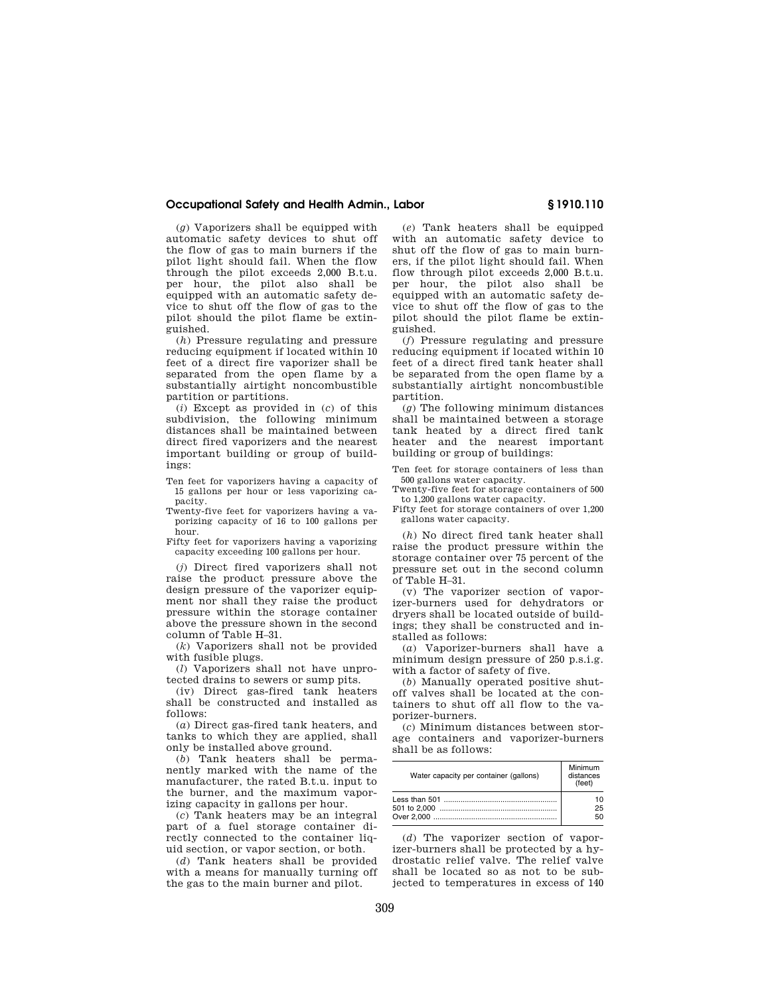(*g*) Vaporizers shall be equipped with automatic safety devices to shut off the flow of gas to main burners if the pilot light should fail. When the flow through the pilot exceeds 2,000 B.t.u. per hour, the pilot also shall be equipped with an automatic safety device to shut off the flow of gas to the pilot should the pilot flame be extinguished.

(*h*) Pressure regulating and pressure reducing equipment if located within 10 feet of a direct fire vaporizer shall be separated from the open flame by a substantially airtight noncombustible partition or partitions.

(*i*) Except as provided in (*c*) of this subdivision, the following minimum distances shall be maintained between direct fired vaporizers and the nearest important building or group of buildings:

Ten feet for vaporizers having a capacity of 15 gallons per hour or less vaporizing capacity.

Twenty-five feet for vaporizers having a vaporizing capacity of 16 to 100 gallons per hour.

Fifty feet for vaporizers having a vaporizing capacity exceeding 100 gallons per hour.

(*j*) Direct fired vaporizers shall not raise the product pressure above the design pressure of the vaporizer equipment nor shall they raise the product pressure within the storage container above the pressure shown in the second column of Table H–31.

(*k*) Vaporizers shall not be provided with fusible plugs.

(*l*) Vaporizers shall not have unprotected drains to sewers or sump pits.

(iv) Direct gas-fired tank heaters shall be constructed and installed as follows:

(*a*) Direct gas-fired tank heaters, and tanks to which they are applied, shall only be installed above ground.

(*b*) Tank heaters shall be permanently marked with the name of the manufacturer, the rated B.t.u. input to the burner, and the maximum vaporizing capacity in gallons per hour.

(*c*) Tank heaters may be an integral part of a fuel storage container directly connected to the container liquid section, or vapor section, or both.

(*d*) Tank heaters shall be provided with a means for manually turning off the gas to the main burner and pilot.

(*e*) Tank heaters shall be equipped with an automatic safety device to shut off the flow of gas to main burners, if the pilot light should fail. When flow through pilot exceeds 2,000 B.t.u. per hour, the pilot also shall be equipped with an automatic safety device to shut off the flow of gas to the pilot should the pilot flame be extinguished.

(*f*) Pressure regulating and pressure reducing equipment if located within 10 feet of a direct fired tank heater shall be separated from the open flame by a substantially airtight noncombustible partition.

(*g*) The following minimum distances shall be maintained between a storage tank heated by a direct fired tank heater and the nearest important building or group of buildings:

Ten feet for storage containers of less than 500 gallons water capacity.

Twenty-five feet for storage containers of 500 to 1,200 gallons water capacity.

Fifty feet for storage containers of over 1,200 gallons water capacity.

(*h*) No direct fired tank heater shall raise the product pressure within the storage container over 75 percent of the pressure set out in the second column of Table H–31.

(v) The vaporizer section of vaporizer-burners used for dehydrators or dryers shall be located outside of buildings; they shall be constructed and installed as follows:

(*a*) Vaporizer-burners shall have a minimum design pressure of 250 p.s.i.g. with a factor of safety of five.

(*b*) Manually operated positive shutoff valves shall be located at the containers to shut off all flow to the vaporizer-burners.

(*c*) Minimum distances between storage containers and vaporizer-burners shall be as follows:

| Water capacity per container (gallons) | Minimum<br>distances<br>(feet) |
|----------------------------------------|--------------------------------|
|                                        | 10                             |
|                                        | 25                             |
|                                        | 50                             |

(*d*) The vaporizer section of vaporizer-burners shall be protected by a hydrostatic relief valve. The relief valve shall be located so as not to be subjected to temperatures in excess of 140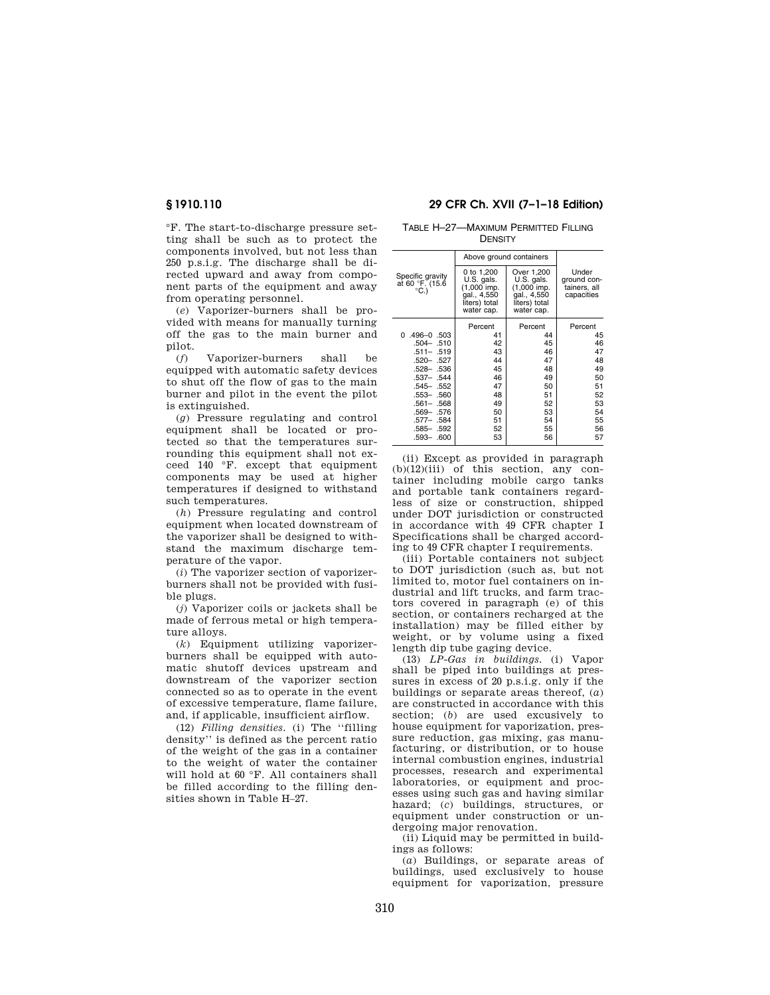°F. The start-to-discharge pressure setting shall be such as to protect the components involved, but not less than 250 p.s.i.g. The discharge shall be directed upward and away from component parts of the equipment and away from operating personnel.

(*e*) Vaporizer-burners shall be provided with means for manually turning off the gas to the main burner and pilot.

(*f*) Vaporizer-burners shall be equipped with automatic safety devices to shut off the flow of gas to the main burner and pilot in the event the pilot is extinguished.

(*g*) Pressure regulating and control equipment shall be located or protected so that the temperatures surrounding this equipment shall not exceed 140 °F. except that equipment components may be used at higher temperatures if designed to withstand such temperatures.

(*h*) Pressure regulating and control equipment when located downstream of the vaporizer shall be designed to withstand the maximum discharge temperature of the vapor.

(*i*) The vaporizer section of vaporizerburners shall not be provided with fusible plugs.

(*j*) Vaporizer coils or jackets shall be made of ferrous metal or high temperature alloys.

(*k*) Equipment utilizing vaporizerburners shall be equipped with automatic shutoff devices upstream and downstream of the vaporizer section connected so as to operate in the event of excessive temperature, flame failure, and, if applicable, insufficient airflow.

(12) *Filling densities.* (i) The ''filling density'' is defined as the percent ratio of the weight of the gas in a container to the weight of water the container will hold at 60 °F. All containers shall be filled according to the filling densities shown in Table H–27.

# **§ 1910.110 29 CFR Ch. XVII (7–1–18 Edition)**

TABLE H–27—MAXIMUM PERMITTED FILLING **DENSITY** 

|                                                        | Above ground containers                                                               |                                                                                       |                                                    |
|--------------------------------------------------------|---------------------------------------------------------------------------------------|---------------------------------------------------------------------------------------|----------------------------------------------------|
| Specific gravity<br>at 60 °F. (15.6)<br>$^{\circ}$ C.) | 0 to 1,200<br>U.S. gals.<br>(1,000 imp.<br>qal., 4,550<br>liters) total<br>water cap. | Over 1,200<br>U.S. gals.<br>(1,000 imp.<br>gal., 4,550<br>liters) total<br>water cap. | Under<br>ground con-<br>tainers, all<br>capacities |
|                                                        | Percent                                                                               | Percent                                                                               | Percent                                            |
| 0.496-0.503                                            | 41                                                                                    | 44                                                                                    | 45                                                 |
| .504-.510                                              | 42                                                                                    | 45                                                                                    | 46                                                 |
| $.511 - .519$                                          | 43                                                                                    | 46                                                                                    | 47                                                 |
| .520-.527                                              | 44                                                                                    | 47                                                                                    | 48                                                 |
| .528-.536                                              | 45                                                                                    | 48                                                                                    | 49                                                 |
| .537-.544                                              | 46                                                                                    | 49                                                                                    | 50                                                 |
| $.545 - .552$                                          | 47                                                                                    | 50                                                                                    | 51                                                 |
| .553-.560                                              | 48                                                                                    | 51                                                                                    | 52                                                 |
| .561 –.568                                             | 49                                                                                    | 52                                                                                    | 53                                                 |
| .569 - .576                                            | 50                                                                                    | 53                                                                                    | 54                                                 |
| .577–.584                                              | 51                                                                                    | 54                                                                                    | 55                                                 |
| .585 -.592                                             | 52                                                                                    | 55                                                                                    | 56                                                 |
| .593–.600                                              | 53                                                                                    | 56                                                                                    | 57                                                 |
|                                                        |                                                                                       |                                                                                       |                                                    |

(ii) Except as provided in paragraph  $(b)(12)(iii)$  of this section, any container including mobile cargo tanks and portable tank containers regardless of size or construction, shipped under DOT jurisdiction or constructed in accordance with 49 CFR chapter I Specifications shall be charged according to 49 CFR chapter I requirements.

(iii) Portable containers not subject to DOT jurisdiction (such as, but not limited to, motor fuel containers on industrial and lift trucks, and farm tractors covered in paragraph (e) of this section, or containers recharged at the installation) may be filled either by weight, or by volume using a fixed length dip tube gaging device.

(13) *LP-Gas in buildings.* (i) Vapor shall be piped into buildings at pressures in excess of 20 p.s.i.g. only if the buildings or separate areas thereof, (*a*) are constructed in accordance with this section; (*b*) are used excusively to house equipment for vaporization, pressure reduction, gas mixing, gas manufacturing, or distribution, or to house internal combustion engines, industrial processes, research and experimental laboratories, or equipment and processes using such gas and having similar hazard; (*c*) buildings, structures, or equipment under construction or undergoing major renovation.

(ii) Liquid may be permitted in buildings as follows:

(*a*) Buildings, or separate areas of buildings, used exclusively to house equipment for vaporization, pressure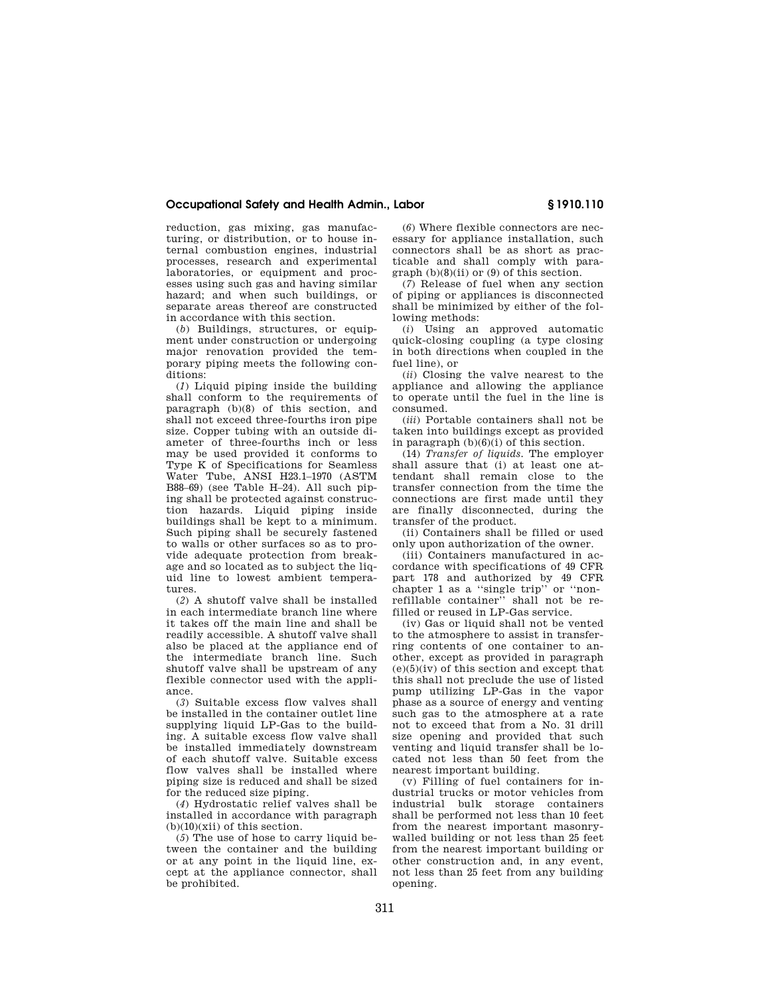reduction, gas mixing, gas manufacturing, or distribution, or to house internal combustion engines, industrial processes, research and experimental laboratories, or equipment and processes using such gas and having similar hazard; and when such buildings, or separate areas thereof are constructed in accordance with this section.

(*b*) Buildings, structures, or equipment under construction or undergoing major renovation provided the temporary piping meets the following conditions:

(*1*) Liquid piping inside the building shall conform to the requirements of paragraph (b)(8) of this section, and shall not exceed three-fourths iron pipe size. Copper tubing with an outside diameter of three-fourths inch or less may be used provided it conforms to Type K of Specifications for Seamless Water Tube, ANSI H23.1–1970 (ASTM B88–69) (see Table H–24). All such piping shall be protected against construction hazards. Liquid piping inside buildings shall be kept to a minimum. Such piping shall be securely fastened to walls or other surfaces so as to provide adequate protection from breakage and so located as to subject the liquid line to lowest ambient temperatures.

(*2*) A shutoff valve shall be installed in each intermediate branch line where it takes off the main line and shall be readily accessible. A shutoff valve shall also be placed at the appliance end of the intermediate branch line. Such shutoff valve shall be upstream of any flexible connector used with the appliance.

(*3*) Suitable excess flow valves shall be installed in the container outlet line supplying liquid LP-Gas to the building. A suitable excess flow valve shall be installed immediately downstream of each shutoff valve. Suitable excess flow valves shall be installed where piping size is reduced and shall be sized for the reduced size piping.

(*4*) Hydrostatic relief valves shall be installed in accordance with paragraph (b)(10)(xii) of this section.

(*5*) The use of hose to carry liquid between the container and the building or at any point in the liquid line, except at the appliance connector, shall be prohibited.

(*6*) Where flexible connectors are necessary for appliance installation, such connectors shall be as short as practicable and shall comply with paragraph (b)(8)(ii) or (9) of this section.

(*7*) Release of fuel when any section of piping or appliances is disconnected shall be minimized by either of the following methods:

(*i*) Using an approved automatic quick-closing coupling (a type closing in both directions when coupled in the fuel line) or

(*ii*) Closing the valve nearest to the appliance and allowing the appliance to operate until the fuel in the line is consumed.

(*iii*) Portable containers shall not be taken into buildings except as provided in paragraph  $(b)(6)(i)$  of this section.

(14) *Transfer of liquids.* The employer shall assure that (i) at least one attendant shall remain close to the transfer connection from the time the connections are first made until they are finally disconnected, during the transfer of the product.

(ii) Containers shall be filled or used only upon authorization of the owner.

(iii) Containers manufactured in accordance with specifications of 49 CFR part 178 and authorized by 49 CFR chapter 1 as a ''single trip'' or ''nonrefillable container'' shall not be refilled or reused in LP-Gas service.

(iv) Gas or liquid shall not be vented to the atmosphere to assist in transferring contents of one container to another, except as provided in paragraph  $(e)(5)(iv)$  of this section and except that this shall not preclude the use of listed pump utilizing LP-Gas in the vapor phase as a source of energy and venting such gas to the atmosphere at a rate not to exceed that from a No. 31 drill size opening and provided that such venting and liquid transfer shall be located not less than 50 feet from the nearest important building.

(v) Filling of fuel containers for industrial trucks or motor vehicles from industrial bulk storage containers shall be performed not less than 10 feet from the nearest important masonrywalled building or not less than 25 feet from the nearest important building or other construction and, in any event, not less than 25 feet from any building opening.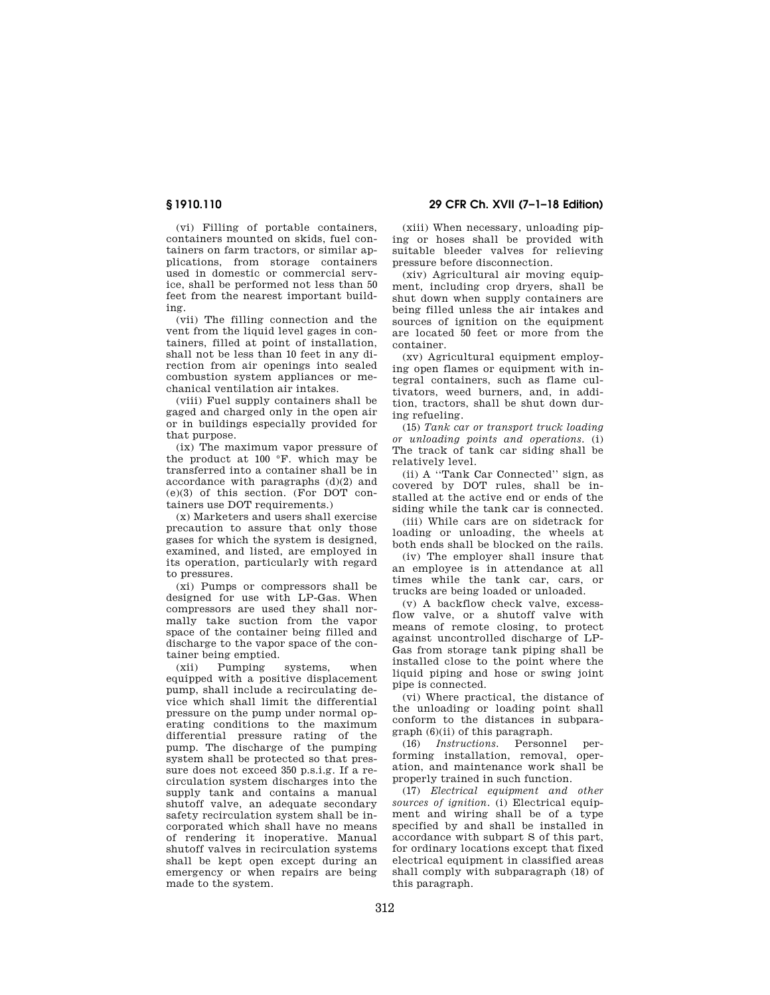(vi) Filling of portable containers, containers mounted on skids, fuel containers on farm tractors, or similar applications, from storage containers used in domestic or commercial service, shall be performed not less than 50 feet from the nearest important building.

(vii) The filling connection and the vent from the liquid level gages in containers, filled at point of installation, shall not be less than 10 feet in any direction from air openings into sealed combustion system appliances or mechanical ventilation air intakes.

(viii) Fuel supply containers shall be gaged and charged only in the open air or in buildings especially provided for that purpose.

(ix) The maximum vapor pressure of the product at 100  $\mathrm{F}$ . which may be transferred into a container shall be in accordance with paragraphs (d)(2) and (e)(3) of this section. (For DOT containers use DOT requirements.)

(x) Marketers and users shall exercise precaution to assure that only those gases for which the system is designed, examined, and listed, are employed in its operation, particularly with regard to pressures.

(xi) Pumps or compressors shall be designed for use with LP-Gas. When compressors are used they shall normally take suction from the vapor space of the container being filled and discharge to the vapor space of the container being emptied.

(xii) Pumping systems, when equipped with a positive displacement pump, shall include a recirculating device which shall limit the differential pressure on the pump under normal operating conditions to the maximum differential pressure rating of the pump. The discharge of the pumping system shall be protected so that pressure does not exceed 350 p.s.i.g. If a recirculation system discharges into the supply tank and contains a manual shutoff valve, an adequate secondary safety recirculation system shall be incorporated which shall have no means of rendering it inoperative. Manual shutoff valves in recirculation systems shall be kept open except during an emergency or when repairs are being made to the system.

**§ 1910.110 29 CFR Ch. XVII (7–1–18 Edition)** 

(xiii) When necessary, unloading piping or hoses shall be provided with suitable bleeder valves for relieving pressure before disconnection.

(xiv) Agricultural air moving equipment, including crop dryers, shall be shut down when supply containers are being filled unless the air intakes and sources of ignition on the equipment are located 50 feet or more from the container.

(xv) Agricultural equipment employing open flames or equipment with integral containers, such as flame cultivators, weed burners, and, in addition, tractors, shall be shut down during refueling.

(15) *Tank car or transport truck loading or unloading points and operations.* (i) The track of tank car siding shall be relatively level.

(ii) A ''Tank Car Connected'' sign, as covered by DOT rules, shall be installed at the active end or ends of the siding while the tank car is connected.

(iii) While cars are on sidetrack for loading or unloading, the wheels at both ends shall be blocked on the rails.

(iv) The employer shall insure that an employee is in attendance at all times while the tank car, cars, or trucks are being loaded or unloaded.

(v) A backflow check valve, excessflow valve, or a shutoff valve with means of remote closing, to protect against uncontrolled discharge of LP-Gas from storage tank piping shall be installed close to the point where the liquid piping and hose or swing joint pipe is connected.

(vi) Where practical, the distance of the unloading or loading point shall conform to the distances in subparagraph (6)(ii) of this paragraph.

(16) *Instructions.* Personnel performing installation, removal, operation, and maintenance work shall be properly trained in such function.

(17) *Electrical equipment and other sources of ignition.* (i) Electrical equipment and wiring shall be of a type specified by and shall be installed in accordance with subpart S of this part, for ordinary locations except that fixed electrical equipment in classified areas shall comply with subparagraph (18) of this paragraph.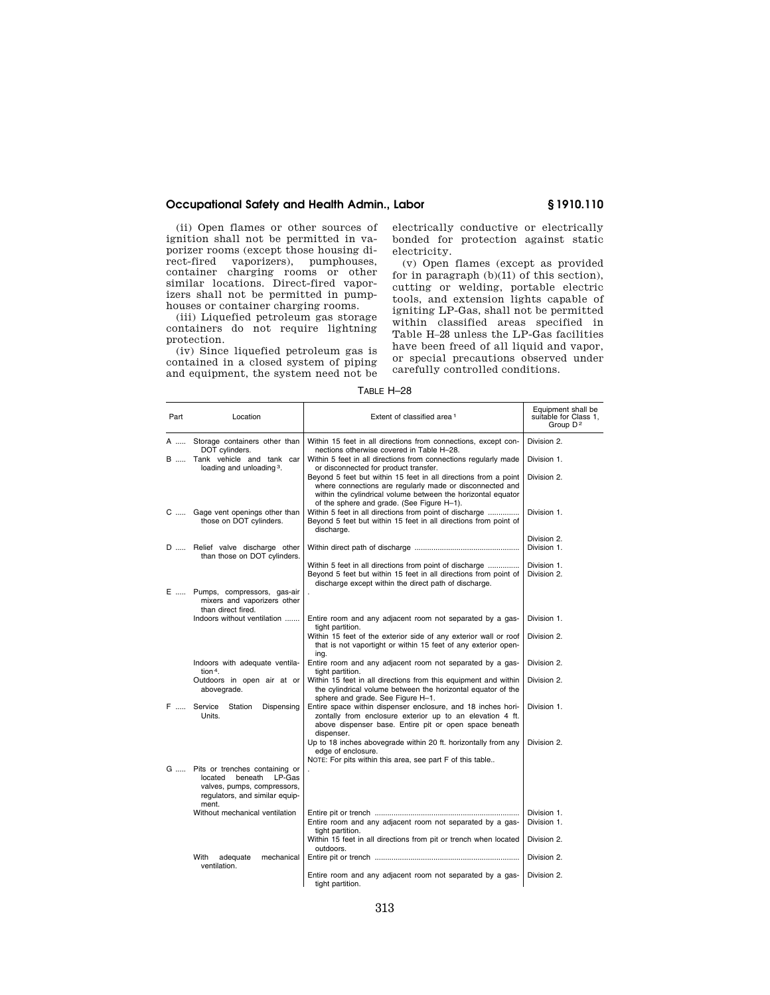(ii) Open flames or other sources of ignition shall not be permitted in vaporizer rooms (except those housing direct-fired vaporizers), pumphouses, container charging rooms or other similar locations. Direct-fired vaporizers shall not be permitted in pumphouses or container charging rooms.

(iii) Liquefied petroleum gas storage containers do not require lightning protection.

(iv) Since liquefied petroleum gas is contained in a closed system of piping and equipment, the system need not be

electrically conductive or electrically bonded for protection against static electricity.

(v) Open flames (except as provided for in paragraph (b)(11) of this section), cutting or welding, portable electric tools, and extension lights capable of igniting LP-Gas, shall not be permitted within classified areas specified in Table H–28 unless the LP-Gas facilities have been freed of all liquid and vapor, or special precautions observed under carefully controlled conditions.

TABLE H–28

| Part | Location                                                                                                                                      | Extent of classified area <sup>1</sup>                                                                                                                                                                                                    | Equipment shall be<br>suitable for Class 1.<br>Group D <sup>2</sup> |
|------|-----------------------------------------------------------------------------------------------------------------------------------------------|-------------------------------------------------------------------------------------------------------------------------------------------------------------------------------------------------------------------------------------------|---------------------------------------------------------------------|
|      | A  Storage containers other than<br>DOT cylinders.                                                                                            | Within 15 feet in all directions from connections, except con-<br>nections otherwise covered in Table H-28.                                                                                                                               | Division 2.                                                         |
|      | B  Tank vehicle and tank car<br>loading and unloading <sup>3</sup> .                                                                          | Within 5 feet in all directions from connections regularly made<br>or disconnected for product transfer.                                                                                                                                  | Division 1.                                                         |
|      |                                                                                                                                               | Beyond 5 feet but within 15 feet in all directions from a point<br>where connections are regularly made or disconnected and<br>within the cylindrical volume between the horizontal equator<br>of the sphere and grade. (See Figure H-1). | Division 2.                                                         |
|      | C  Gage vent openings other than<br>those on DOT cylinders.                                                                                   | Within 5 feet in all directions from point of discharge<br>Beyond 5 feet but within 15 feet in all directions from point of<br>discharge.                                                                                                 | Division 1.                                                         |
|      |                                                                                                                                               |                                                                                                                                                                                                                                           | Division 2.                                                         |
|      | D  Relief valve discharge other<br>than those on DOT cylinders.                                                                               |                                                                                                                                                                                                                                           | Division 1.                                                         |
|      |                                                                                                                                               | Within 5 feet in all directions from point of discharge<br>Beyond 5 feet but within 15 feet in all directions from point of<br>discharge except within the direct path of discharge.                                                      | Division 1.<br>Division 2.                                          |
|      | E  Pumps, compressors, gas-air<br>mixers and vaporizers other<br>than direct fired.                                                           |                                                                                                                                                                                                                                           |                                                                     |
|      | Indoors without ventilation                                                                                                                   | Entire room and any adjacent room not separated by a gas-<br>tight partition.                                                                                                                                                             | Division 1.                                                         |
|      |                                                                                                                                               | Within 15 feet of the exterior side of any exterior wall or roof<br>that is not vaportight or within 15 feet of any exterior open-<br>ing.                                                                                                | Division 2.                                                         |
|      | Indoors with adequate ventila-<br>tion $4$ .                                                                                                  | Entire room and any adjacent room not separated by a gas-<br>tight partition.                                                                                                                                                             | Division 2.                                                         |
|      | Outdoors in open air at or<br>abovegrade.                                                                                                     | Within 15 feet in all directions from this equipment and within<br>the cylindrical volume between the horizontal equator of the<br>sphere and grade. See Figure H-1.                                                                      | Division 2.                                                         |
|      | F  Service<br>Station<br>Dispensing<br>Units.                                                                                                 | Entire space within dispenser enclosure, and 18 inches hori-<br>zontally from enclosure exterior up to an elevation 4 ft.<br>above dispenser base. Entire pit or open space beneath<br>dispenser.                                         | Division 1.                                                         |
|      |                                                                                                                                               | Up to 18 inches abovegrade within 20 ft. horizontally from any<br>edge of enclosure.<br>NOTE: For pits within this area, see part F of this table                                                                                         | Division 2.                                                         |
|      | G  Pits or trenches containing or<br>$LP-Gas$<br>located<br>beneath<br>valves, pumps, compressors,<br>regulators, and similar equip-<br>ment. |                                                                                                                                                                                                                                           |                                                                     |
|      | Without mechanical ventilation                                                                                                                | Entire room and any adjacent room not separated by a gas-                                                                                                                                                                                 | Division 1.<br>Division 1.                                          |
|      |                                                                                                                                               | tight partition.<br>Within 15 feet in all directions from pit or trench when located                                                                                                                                                      | Division 2.                                                         |
|      | With<br>adequate<br>mechanical                                                                                                                | outdoors.                                                                                                                                                                                                                                 | Division 2.                                                         |
|      | ventilation.                                                                                                                                  | Entire room and any adjacent room not separated by a gas-<br>tight partition.                                                                                                                                                             | Division 2.                                                         |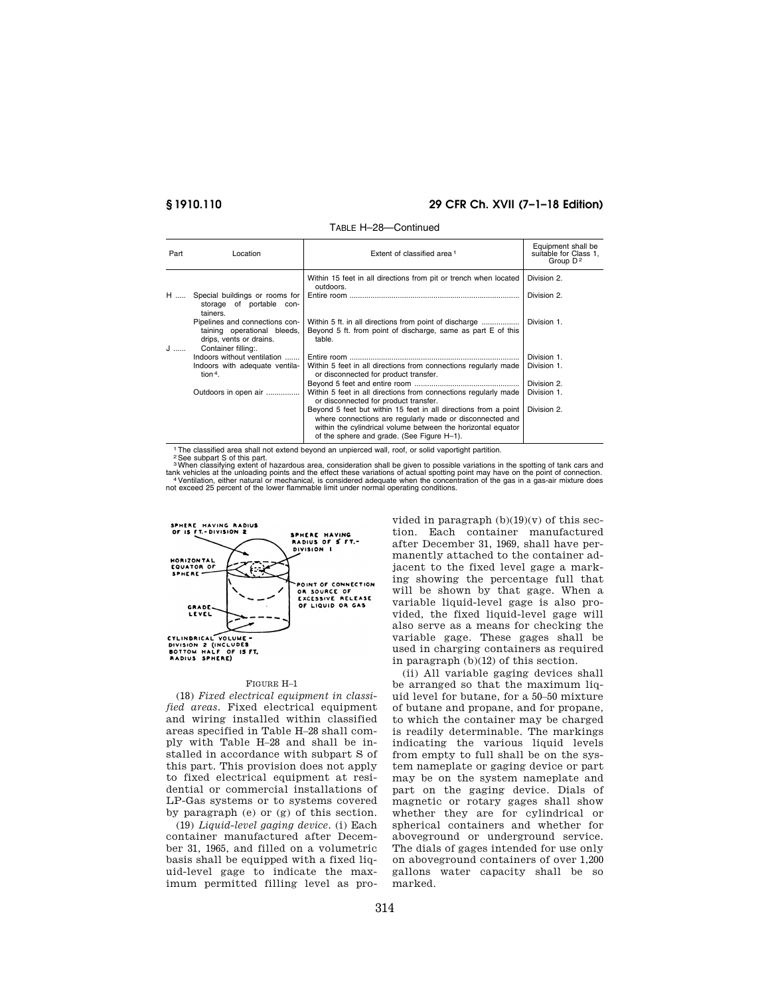# **§ 1910.110 29 CFR Ch. XVII (7–1–18 Edition)**

| Part | Location                                                                                                        | Extent of classified area <sup>1</sup>                                                                                                                                                                                                    | Equipment shall be<br>suitable for Class 1,<br>Group D <sup>2</sup> |
|------|-----------------------------------------------------------------------------------------------------------------|-------------------------------------------------------------------------------------------------------------------------------------------------------------------------------------------------------------------------------------------|---------------------------------------------------------------------|
|      |                                                                                                                 | Within 15 feet in all directions from pit or trench when located<br>outdoors.                                                                                                                                                             | Division 2.                                                         |
| H    | Special buildings or rooms for<br>storage of portable con-<br>tainers.                                          |                                                                                                                                                                                                                                           | Division 2.                                                         |
| ل    | Pipelines and connections con-<br>taining operational bleeds,<br>drips, vents or drains.<br>Container filling:. | Beyond 5 ft. from point of discharge, same as part E of this<br>table.                                                                                                                                                                    | Division 1.                                                         |
|      | Indoors without ventilation                                                                                     |                                                                                                                                                                                                                                           | Division 1.                                                         |
|      | Indoors with adequate ventila-<br>tion 4.                                                                       | Within 5 feet in all directions from connections regularly made<br>or disconnected for product transfer.                                                                                                                                  | Division 1.                                                         |
|      |                                                                                                                 |                                                                                                                                                                                                                                           | Division 2.                                                         |
|      | Outdoors in open air                                                                                            | Within 5 feet in all directions from connections regularly made<br>or disconnected for product transfer.                                                                                                                                  | Division 1.                                                         |
|      |                                                                                                                 | Beyond 5 feet but within 15 feet in all directions from a point<br>where connections are regularly made or disconnected and<br>within the cylindrical volume between the horizontal equator<br>of the sphere and grade. (See Figure H-1). | Division 2.                                                         |

TABLE H–28—Continued

<sup>1</sup>The classified area shall not extend beyond an unpierced wall, roof, or solid vaportight partition.

<sup>2</sup> See subpart S of this part.<br>When classifying extent of hazardous area, consideration shall be given to possible variations in the spotting of tank cars and<br>tank vehicles at the unloading points and the effect these var



### FIGURE H–1

(18) *Fixed electrical equipment in classified areas.* Fixed electrical equipment and wiring installed within classified areas specified in Table H–28 shall comply with Table H–28 and shall be installed in accordance with subpart S of this part. This provision does not apply to fixed electrical equipment at residential or commercial installations of LP-Gas systems or to systems covered by paragraph (e) or (g) of this section.

(19) *Liquid-level gaging device.* (i) Each container manufactured after December 31, 1965, and filled on a volumetric basis shall be equipped with a fixed liquid-level gage to indicate the maximum permitted filling level as pro-

vided in paragraph  $(b)(19)(v)$  of this section. Each container manufactured after December 31, 1969, shall have permanently attached to the container adjacent to the fixed level gage a marking showing the percentage full that will be shown by that gage. When a variable liquid-level gage is also provided, the fixed liquid-level gage will also serve as a means for checking the variable gage. These gages shall be used in charging containers as required in paragraph (b)(12) of this section.

(ii) All variable gaging devices shall be arranged so that the maximum liquid level for butane, for a 50–50 mixture of butane and propane, and for propane, to which the container may be charged is readily determinable. The markings indicating the various liquid levels from empty to full shall be on the system nameplate or gaging device or part may be on the system nameplate and part on the gaging device. Dials of magnetic or rotary gages shall show whether they are for cylindrical or spherical containers and whether for aboveground or underground service. The dials of gages intended for use only on aboveground containers of over 1,200 gallons water capacity shall be so marked.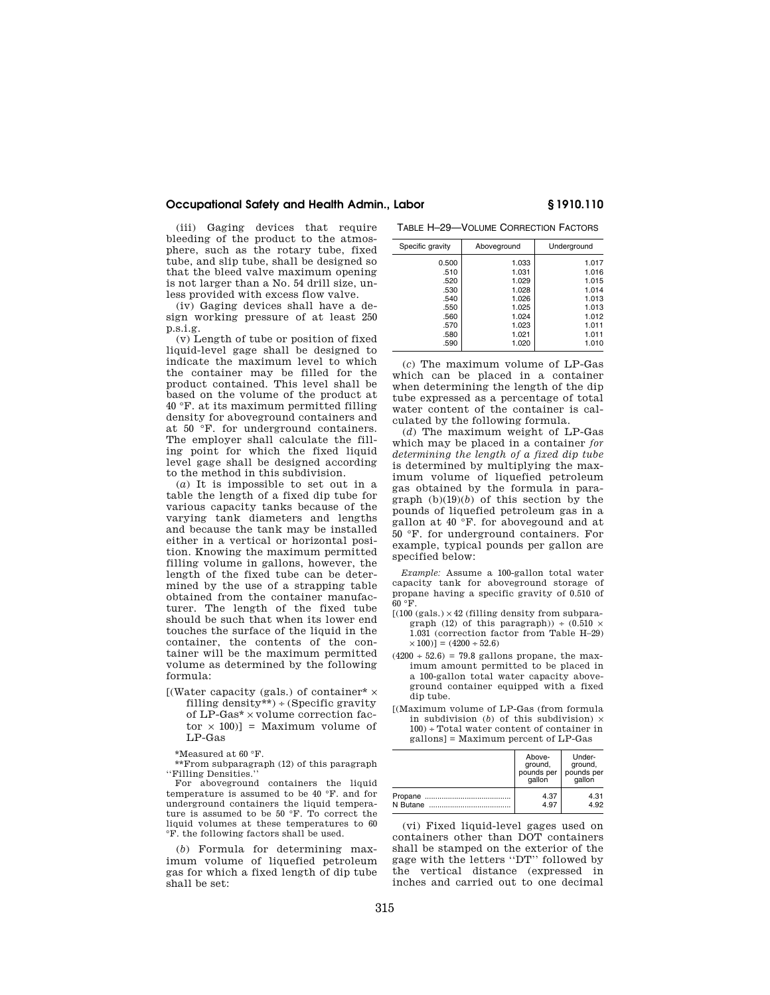(iii) Gaging devices that require bleeding of the product to the atmosphere, such as the rotary tube, fixed tube, and slip tube, shall be designed so that the bleed valve maximum opening is not larger than a No. 54 drill size, unless provided with excess flow valve.

(iv) Gaging devices shall have a design working pressure of at least 250 p.s.i.g.

(v) Length of tube or position of fixed liquid-level gage shall be designed to indicate the maximum level to which the container may be filled for the product contained. This level shall be based on the volume of the product at 40 °F. at its maximum permitted filling density for aboveground containers and at 50 °F. for underground containers. The employer shall calculate the filling point for which the fixed liquid level gage shall be designed according to the method in this subdivision.

(*a*) It is impossible to set out in a table the length of a fixed dip tube for various capacity tanks because of the varying tank diameters and lengths and because the tank may be installed either in a vertical or horizontal position. Knowing the maximum permitted filling volume in gallons, however, the length of the fixed tube can be determined by the use of a strapping table obtained from the container manufacturer. The length of the fixed tube should be such that when its lower end touches the surface of the liquid in the container, the contents of the container will be the maximum permitted volume as determined by the following formula:

[(Water capacity (gals.) of container\*  $\times$ filling density\*\*) ÷ (Specific gravity of LP-Gas\* × volume correction fac $tor \times 100$ ] = Maximum volume of LP-Gas

\*Measured at 60 °F.

\*\*From subparagraph (12) of this paragraph ''Filling Densities.''

For aboveground containers the liquid temperature is assumed to be 40 °F. and for underground containers the liquid temperature is assumed to be 50 °F. To correct the liquid volumes at these temperatures to 60 °F. the following factors shall be used.

(*b*) Formula for determining maximum volume of liquefied petroleum gas for which a fixed length of dip tube shall be set:

| Specific gravity | Aboveground | Underground |
|------------------|-------------|-------------|
| 0.500            | 1.033       | 1.017       |
| .510             | 1.031       | 1.016       |
| .520             | 1.029       | 1.015       |
| .530             | 1.028       | 1.014       |
| .540             | 1.026       | 1.013       |
| .550             | 1.025       | 1.013       |
| .560             | 1.024       | 1.012       |
| .570             | 1.023       | 1.011       |
| .580             | 1.021       | 1.011       |
| .590             | 1.020       | 1.010       |

(*c*) The maximum volume of LP-Gas which can be placed in a container when determining the length of the dip tube expressed as a percentage of total water content of the container is calculated by the following formula.

(*d*) The maximum weight of LP-Gas which may be placed in a container *for determining the length of a fixed dip tube*  is determined by multiplying the maximum volume of liquefied petroleum gas obtained by the formula in paragraph  $(b)(19)(b)$  of this section by the pounds of liquefied petroleum gas in a gallon at 40 °F. for abovegound and at 50 °F. for underground containers. For example, typical pounds per gallon are specified below:

*Example:* Assume a 100-gallon total water capacity tank for aboveground storage of propane having a specific gravity of 0.510 of 60 °F.

- $[(100 (gals.) \times 42 (filling density from subpara$ graph (12) of this paragraph))  $\div$  (0.510  $\times$ 1.031 (correction factor from Table H–29)  $\times$ 100)] = (4200 ÷ 52.6)
- $(4200 \div 52.6) = 79.8$  gallons propane, the maximum amount permitted to be placed in a 100-gallon total water capacity aboveground container equipped with a fixed dip tube.
- [(Maximum volume of LP-Gas (from formula in subdivision  $(b)$  of this subdivision)  $\times$ 100) ÷ Total water content of container in gallons] = Maximum percent of LP-Gas

|          | Above-<br>ground,<br>pounds per<br>qallon | Under-<br>ground,<br>pounds per<br>qallon |
|----------|-------------------------------------------|-------------------------------------------|
|          | 4.37                                      | 4.31                                      |
| N Butane | 4.97                                      | 4.92                                      |

(vi) Fixed liquid-level gages used on containers other than DOT containers shall be stamped on the exterior of the gage with the letters ''DT'' followed by the vertical distance (expressed in inches and carried out to one decimal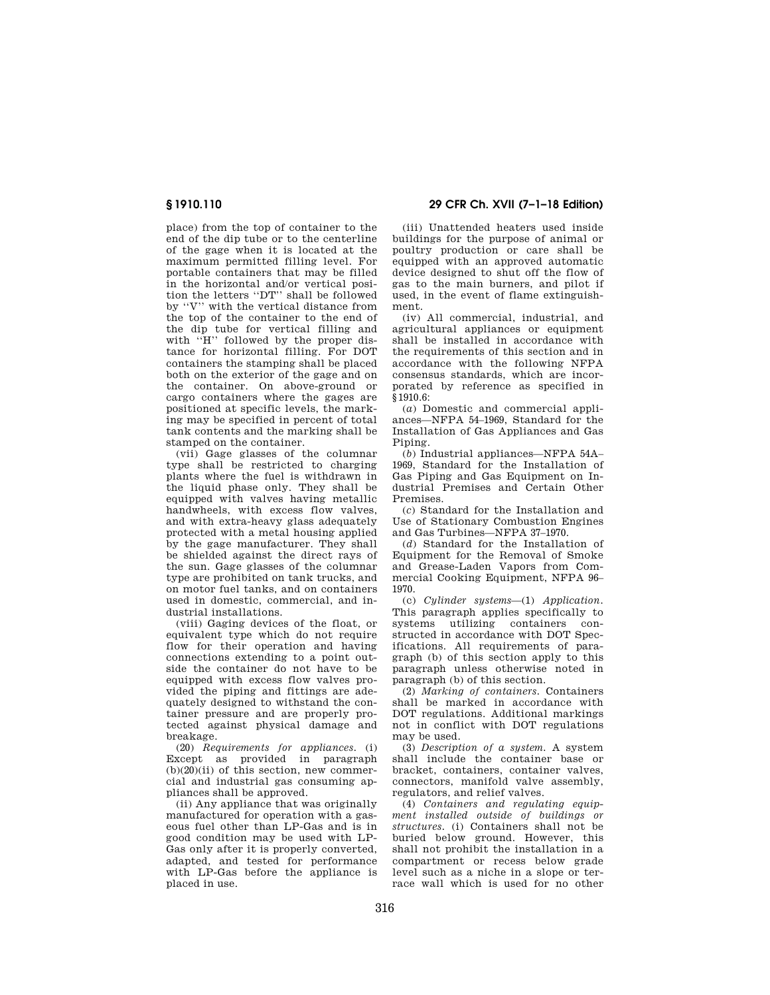place) from the top of container to the end of the dip tube or to the centerline of the gage when it is located at the maximum permitted filling level. For portable containers that may be filled in the horizontal and/or vertical position the letters ''DT'' shall be followed by ''V'' with the vertical distance from the top of the container to the end of the dip tube for vertical filling and with "H" followed by the proper distance for horizontal filling. For DOT containers the stamping shall be placed both on the exterior of the gage and on the container. On above-ground or cargo containers where the gages are positioned at specific levels, the marking may be specified in percent of total tank contents and the marking shall be stamped on the container.

(vii) Gage glasses of the columnar type shall be restricted to charging plants where the fuel is withdrawn in the liquid phase only. They shall be equipped with valves having metallic handwheels, with excess flow valves, and with extra-heavy glass adequately protected with a metal housing applied by the gage manufacturer. They shall be shielded against the direct rays of the sun. Gage glasses of the columnar type are prohibited on tank trucks, and on motor fuel tanks, and on containers used in domestic, commercial, and industrial installations.

(viii) Gaging devices of the float, or equivalent type which do not require flow for their operation and having connections extending to a point outside the container do not have to be equipped with excess flow valves provided the piping and fittings are adequately designed to withstand the container pressure and are properly protected against physical damage and breakage.

(20) *Requirements for appliances.* (i) Except as provided in paragraph  $(b)(20)(ii)$  of this section, new commercial and industrial gas consuming appliances shall be approved.

(ii) Any appliance that was originally manufactured for operation with a gaseous fuel other than LP-Gas and is in good condition may be used with LP-Gas only after it is properly converted, adapted, and tested for performance with LP-Gas before the appliance is placed in use.

**§ 1910.110 29 CFR Ch. XVII (7–1–18 Edition)** 

(iii) Unattended heaters used inside buildings for the purpose of animal or poultry production or care shall be equipped with an approved automatic device designed to shut off the flow of gas to the main burners, and pilot if used, in the event of flame extinguishment.

(iv) All commercial, industrial, and agricultural appliances or equipment shall be installed in accordance with the requirements of this section and in accordance with the following NFPA consensus standards, which are incorporated by reference as specified in §1910.6:

(*a*) Domestic and commercial appliances—NFPA 54–1969, Standard for the Installation of Gas Appliances and Gas Pining

(*b*) Industrial appliances—NFPA 54A– 1969, Standard for the Installation of Gas Piping and Gas Equipment on Industrial Premises and Certain Other Premises.

(*c*) Standard for the Installation and Use of Stationary Combustion Engines and Gas Turbines—NFPA 37–1970.

(*d*) Standard for the Installation of Equipment for the Removal of Smoke and Grease-Laden Vapors from Commercial Cooking Equipment, NFPA 96– 1970.

(c) *Cylinder systems*—(1) *Application.*  This paragraph applies specifically to systems utilizing containers constructed in accordance with DOT Specifications. All requirements of paragraph (b) of this section apply to this paragraph unless otherwise noted in paragraph (b) of this section.

(2) *Marking of containers.* Containers shall be marked in accordance with DOT regulations. Additional markings not in conflict with DOT regulations may be used.

(3) *Description of a system.* A system shall include the container base or bracket, containers, container valves, connectors, manifold valve assembly, regulators, and relief valves.

(4) *Containers and regulating equipment installed outside of buildings or structures.* (i) Containers shall not be buried below ground. However, this shall not prohibit the installation in a compartment or recess below grade level such as a niche in a slope or terrace wall which is used for no other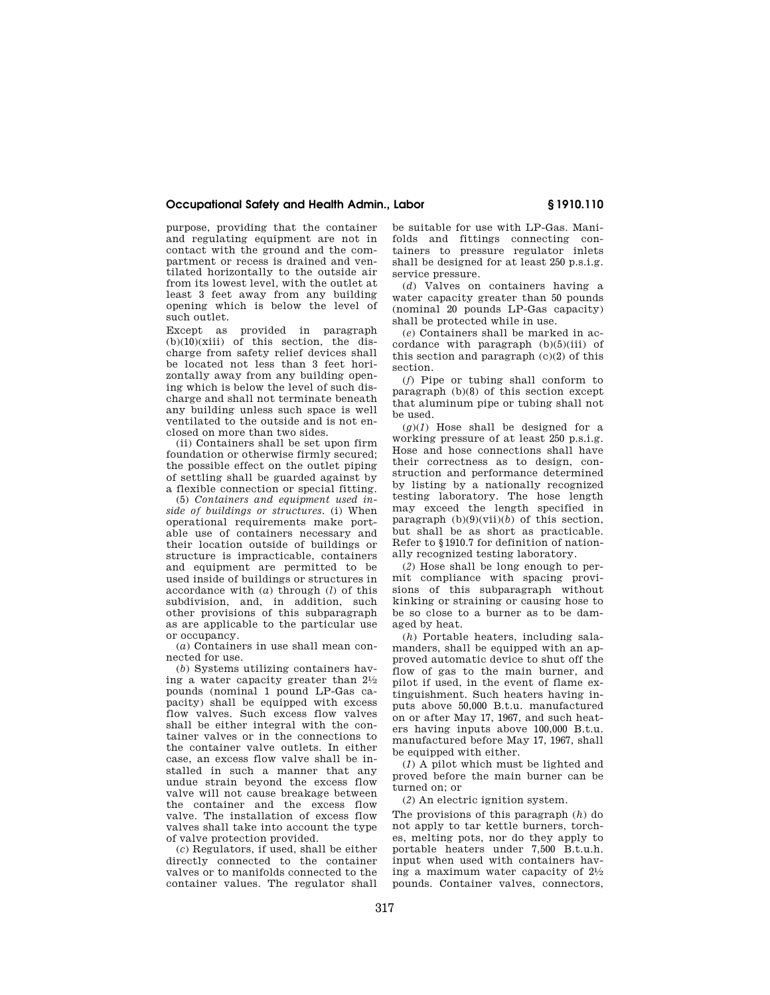purpose, providing that the container and regulating equipment are not in contact with the ground and the compartment or recess is drained and ventilated horizontally to the outside air from its lowest level, with the outlet at least 3 feet away from any building opening which is below the level of such outlet.

Except as provided in paragraph  $(b)(10)(xiii)$  of this section, the discharge from safety relief devices shall be located not less than 3 feet horizontally away from any building opening which is below the level of such discharge and shall not terminate beneath any building unless such space is well ventilated to the outside and is not enclosed on more than two sides.

(ii) Containers shall be set upon firm foundation or otherwise firmly secured; the possible effect on the outlet piping of settling shall be guarded against by a flexible connection or special fitting.

(5) *Containers and equipment used inside of buildings or structures.* (i) When operational requirements make portable use of containers necessary and their location outside of buildings or structure is impracticable, containers and equipment are permitted to be used inside of buildings or structures in accordance with (*a*) through (*l*) of this subdivision, and, in addition, such other provisions of this subparagraph as are applicable to the particular use or occupancy.

(*a*) Containers in use shall mean connected for use.

(*b*) Systems utilizing containers having a water capacity greater than 21⁄2 pounds (nominal 1 pound LP-Gas capacity) shall be equipped with excess flow valves. Such excess flow valves shall be either integral with the container valves or in the connections to the container valve outlets. In either case, an excess flow valve shall be installed in such a manner that any undue strain beyond the excess flow valve will not cause breakage between the container and the excess flow valve. The installation of excess flow valves shall take into account the type of valve protection provided.

(*c*) Regulators, if used, shall be either directly connected to the container valves or to manifolds connected to the container values. The regulator shall

be suitable for use with LP-Gas. Manifolds and fittings connecting containers to pressure regulator inlets shall be designed for at least 250 p.s.i.g. service pressure.

(*d*) Valves on containers having a water capacity greater than 50 pounds (nominal 20 pounds LP-Gas capacity) shall be protected while in use.

(*e*) Containers shall be marked in accordance with paragraph (b)(5)(iii) of this section and paragraph (c)(2) of this section.

(*f*) Pipe or tubing shall conform to paragraph (b)(8) of this section except that aluminum pipe or tubing shall not be used.

 $(g)(1)$  Hose shall be designed for a working pressure of at least 250 p.s.i.g. Hose and hose connections shall have their correctness as to design, construction and performance determined by listing by a nationally recognized testing laboratory. The hose length may exceed the length specified in paragraph (b)(9)(vii)(*b*) of this section, but shall be as short as practicable. Refer to §1910.7 for definition of nationally recognized testing laboratory.

(*2*) Hose shall be long enough to permit compliance with spacing provisions of this subparagraph without kinking or straining or causing hose to be so close to a burner as to be damaged by heat.

(*h*) Portable heaters, including salamanders, shall be equipped with an approved automatic device to shut off the flow of gas to the main burner, and pilot if used, in the event of flame extinguishment. Such heaters having inputs above 50,000 B.t.u. manufactured on or after May 17, 1967, and such heaters having inputs above 100,000 B.t.u. manufactured before May 17, 1967, shall be equipped with either.

(*1*) A pilot which must be lighted and proved before the main burner can be turned on; or

(*2*) An electric ignition system.

The provisions of this paragraph (*h*) do not apply to tar kettle burners, torches, melting pots, nor do they apply to portable heaters under 7,500 B.t.u.h. input when used with containers having a maximum water capacity of 21⁄2 pounds. Container valves, connectors,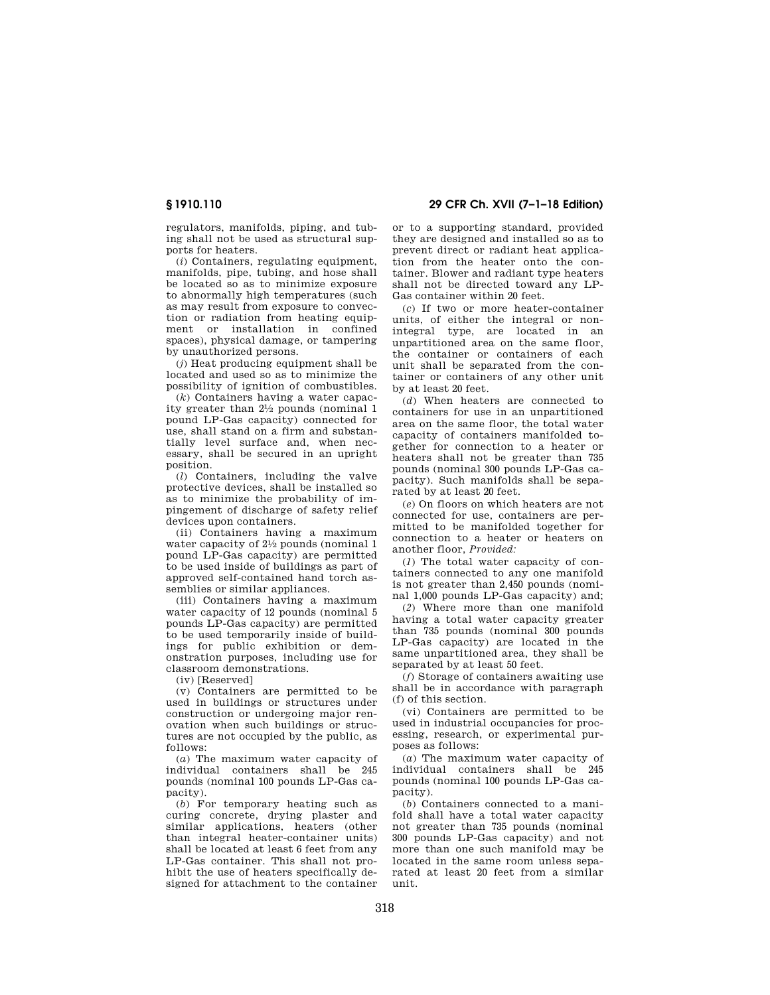regulators, manifolds, piping, and tubing shall not be used as structural supports for heaters.

(*i*) Containers, regulating equipment, manifolds, pipe, tubing, and hose shall be located so as to minimize exposure to abnormally high temperatures (such as may result from exposure to convection or radiation from heating equipment or installation in confined spaces), physical damage, or tampering by unauthorized persons.

(*j*) Heat producing equipment shall be located and used so as to minimize the possibility of ignition of combustibles.

(*k*) Containers having a water capacity greater than 21⁄2 pounds (nominal 1 pound LP-Gas capacity) connected for use, shall stand on a firm and substantially level surface and, when necessary, shall be secured in an upright position.

(*l*) Containers, including the valve protective devices, shall be installed so as to minimize the probability of impingement of discharge of safety relief devices upon containers.

(ii) Containers having a maximum water capacity of 21⁄2 pounds (nominal 1 pound LP-Gas capacity) are permitted to be used inside of buildings as part of approved self-contained hand torch assemblies or similar appliances.

(iii) Containers having a maximum water capacity of 12 pounds (nominal 5 pounds LP-Gas capacity) are permitted to be used temporarily inside of buildings for public exhibition or demonstration purposes, including use for classroom demonstrations.

(iv) [Reserved]

(v) Containers are permitted to be used in buildings or structures under construction or undergoing major renovation when such buildings or structures are not occupied by the public, as follows:

(*a*) The maximum water capacity of individual containers shall be 245 pounds (nominal 100 pounds LP-Gas capacity).

(*b*) For temporary heating such as curing concrete, drying plaster and similar applications, heaters (other than integral heater-container units) shall be located at least 6 feet from any LP-Gas container. This shall not prohibit the use of heaters specifically designed for attachment to the container

**§ 1910.110 29 CFR Ch. XVII (7–1–18 Edition)** 

or to a supporting standard, provided they are designed and installed so as to prevent direct or radiant heat application from the heater onto the container. Blower and radiant type heaters shall not be directed toward any LP-Gas container within 20 feet.

(*c*) If two or more heater-container units, of either the integral or nonintegral type, are located in an unpartitioned area on the same floor, the container or containers of each unit shall be separated from the container or containers of any other unit by at least 20 feet.

(*d*) When heaters are connected to containers for use in an unpartitioned area on the same floor, the total water capacity of containers manifolded together for connection to a heater or heaters shall not be greater than 735 pounds (nominal 300 pounds LP-Gas capacity). Such manifolds shall be separated by at least 20 feet.

(*e*) On floors on which heaters are not connected for use, containers are permitted to be manifolded together for connection to a heater or heaters on another floor, *Provided:* 

(*1*) The total water capacity of containers connected to any one manifold is not greater than 2,450 pounds (nominal 1,000 pounds LP-Gas capacity) and;

(*2*) Where more than one manifold having a total water capacity greater than 735 pounds (nominal 300 pounds LP-Gas capacity) are located in the same unpartitioned area, they shall be separated by at least 50 feet.

(*f*) Storage of containers awaiting use shall be in accordance with paragraph (f) of this section.

(vi) Containers are permitted to be used in industrial occupancies for processing, research, or experimental purposes as follows:

(*a*) The maximum water capacity of individual containers shall be 245 pounds (nominal 100 pounds LP-Gas capacity).

(*b*) Containers connected to a manifold shall have a total water capacity not greater than 735 pounds (nominal 300 pounds LP-Gas capacity) and not more than one such manifold may be located in the same room unless separated at least 20 feet from a similar unit.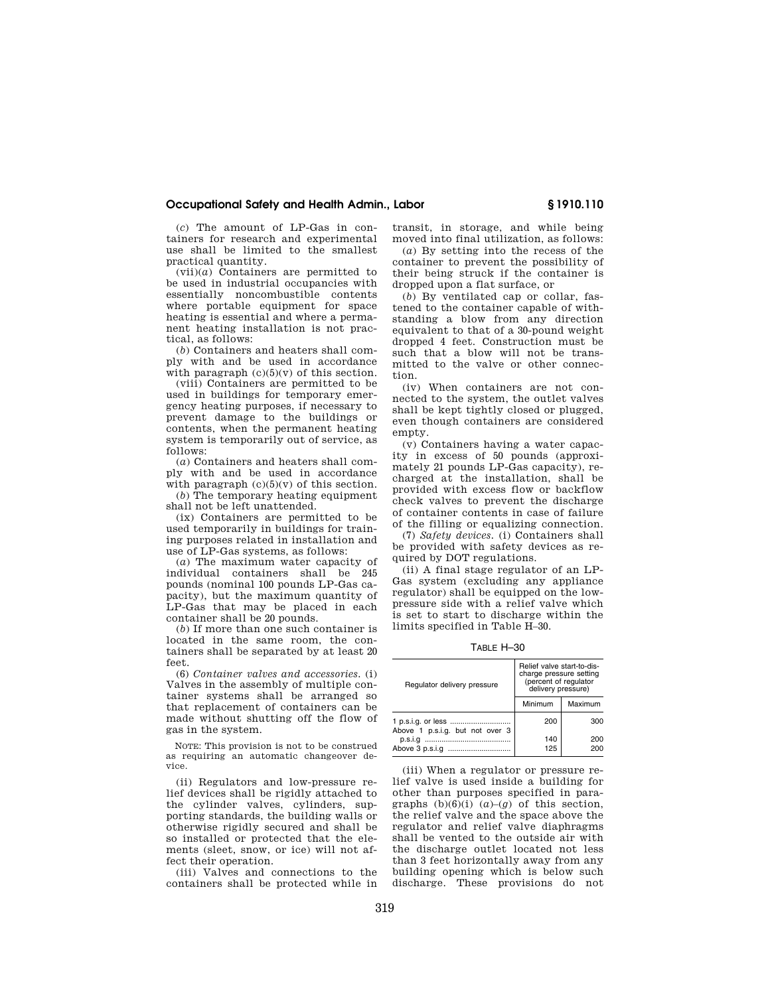(*c*) The amount of LP-Gas in containers for research and experimental use shall be limited to the smallest practical quantity.

 $(vii)(a)$  Containers are permitted to be used in industrial occupancies with essentially noncombustible contents where portable equipment for space heating is essential and where a permanent heating installation is not practical, as follows:

(*b*) Containers and heaters shall comply with and be used in accordance with paragraph  $(c)(5)(v)$  of this section.

(viii) Containers are permitted to be used in buildings for temporary emergency heating purposes, if necessary to prevent damage to the buildings or contents, when the permanent heating system is temporarily out of service, as follows:

(*a*) Containers and heaters shall comply with and be used in accordance with paragraph  $(c)(5)(v)$  of this section.

(*b*) The temporary heating equipment shall not be left unattended.

(ix) Containers are permitted to be used temporarily in buildings for training purposes related in installation and use of LP-Gas systems, as follows:

(*a*) The maximum water capacity of individual containers shall be 245 pounds (nominal 100 pounds LP-Gas capacity), but the maximum quantity of LP-Gas that may be placed in each container shall be 20 pounds.

(*b*) If more than one such container is located in the same room, the containers shall be separated by at least 20 feet.

(6) *Container valves and accessories.* (i) Valves in the assembly of multiple container systems shall be arranged so that replacement of containers can be made without shutting off the flow of gas in the system.

NOTE: This provision is not to be construed as requiring an automatic changeover device.

(ii) Regulators and low-pressure relief devices shall be rigidly attached to the cylinder valves, cylinders, supporting standards, the building walls or otherwise rigidly secured and shall be so installed or protected that the elements (sleet, snow, or ice) will not affect their operation.

(iii) Valves and connections to the containers shall be protected while in

transit, in storage, and while being moved into final utilization, as follows:

(*a*) By setting into the recess of the container to prevent the possibility of their being struck if the container is dropped upon a flat surface, or

(*b*) By ventilated cap or collar, fastened to the container capable of withstanding a blow from any direction equivalent to that of a 30-pound weight dropped 4 feet. Construction must be such that a blow will not be transmitted to the valve or other connection.

(iv) When containers are not connected to the system, the outlet valves shall be kept tightly closed or plugged, even though containers are considered empty.

(v) Containers having a water capacity in excess of 50 pounds (approximately 21 pounds LP-Gas capacity), recharged at the installation, shall be provided with excess flow or backflow check valves to prevent the discharge of container contents in case of failure of the filling or equalizing connection.

(7) *Safety devices.* (i) Containers shall be provided with safety devices as required by DOT regulations.

(ii) A final stage regulator of an LP-Gas system (excluding any appliance regulator) shall be equipped on the lowpressure side with a relief valve which is set to start to discharge within the limits specified in Table H–30.

TABLE H–30

| Regulator delivery pressure     | Relief valve start-to-dis-<br>charge pressure setting<br>(percent of regulator<br>delivery pressure) |         |
|---------------------------------|------------------------------------------------------------------------------------------------------|---------|
|                                 | Minimum                                                                                              | Maximum |
| Above 1 p.s.i.g. but not over 3 | 200                                                                                                  | 300     |
|                                 | 140                                                                                                  | 200     |
|                                 | 125                                                                                                  | 200     |

(iii) When a regulator or pressure relief valve is used inside a building for other than purposes specified in paragraphs  $(b)(6)(i)$   $(a)-(g)$  of this section, the relief valve and the space above the regulator and relief valve diaphragms shall be vented to the outside air with the discharge outlet located not less than 3 feet horizontally away from any building opening which is below such discharge. These provisions do not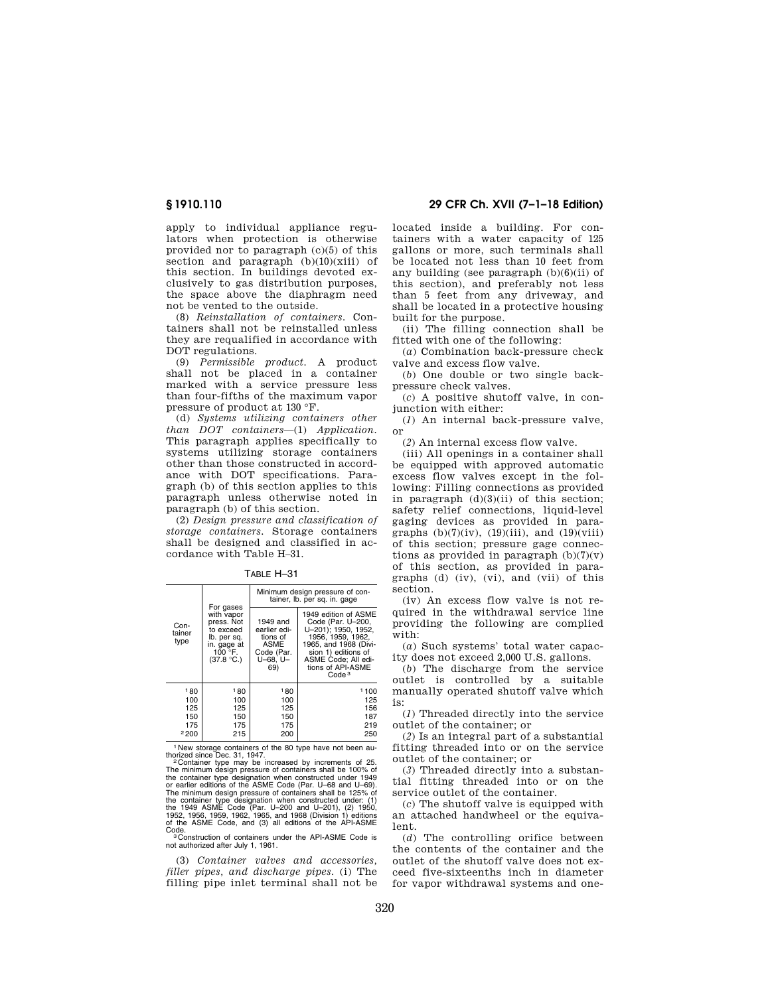apply to individual appliance regulators when protection is otherwise provided nor to paragraph (c)(5) of this section and paragraph (b)(10)(xiii) of this section. In buildings devoted exclusively to gas distribution purposes, the space above the diaphragm need not be vented to the outside.

(8) *Reinstallation of containers.* Containers shall not be reinstalled unless they are requalified in accordance with DOT regulations.

(9) *Permissible product.* A product shall not be placed in a container marked with a service pressure less than four-fifths of the maximum vapor pressure of product at 130 °F.

(d) *Systems utilizing containers other than DOT containers*—(1) *Application.*  This paragraph applies specifically to systems utilizing storage containers other than those constructed in accordance with DOT specifications. Paragraph (b) of this section applies to this paragraph unless otherwise noted in paragraph (b) of this section.

(2) *Design pressure and classification of storage containers.* Storage containers shall be designed and classified in accordance with Table H–31.

|                        |                                                                                                           | Minimum design pressure of con-<br>tainer, lb. per sq. in. gage               |                                                                                                                                                                                                        |  |
|------------------------|-----------------------------------------------------------------------------------------------------------|-------------------------------------------------------------------------------|--------------------------------------------------------------------------------------------------------------------------------------------------------------------------------------------------------|--|
| Con-<br>tainer<br>type | For gases<br>with vapor<br>press. Not<br>to exceed<br>lb. per sq.<br>in. gage at<br>100 °F.<br>(37.8 °C.) | 1949 and<br>earlier edi-<br>tions of<br>ASME<br>Code (Par.<br>U-68, U-<br>69) | 1949 edition of ASME<br>Code (Par. U-200,<br>U-201): 1950. 1952.<br>1956, 1959, 1962.<br>1965, and 1968 (Divi-<br>sion 1) editions of<br>ASME Code: All edi-<br>tions of API-ASME<br>Code <sup>3</sup> |  |
| 180                    | 180                                                                                                       | 180                                                                           | 1100                                                                                                                                                                                                   |  |
| 100                    | 100                                                                                                       | 100                                                                           | 125                                                                                                                                                                                                    |  |
| 125                    | 125                                                                                                       | 125                                                                           | 156                                                                                                                                                                                                    |  |
| 150                    | 150                                                                                                       | 150                                                                           | 187                                                                                                                                                                                                    |  |
| 175                    | 175                                                                                                       | 175                                                                           | 219                                                                                                                                                                                                    |  |
| 2200                   | 215                                                                                                       | 200                                                                           | 250                                                                                                                                                                                                    |  |

TABLE H–31

1 New storage containers of the 80 type have not been au-

thorized since Dec. 31, 1947.<br>- <sup>2</sup> Container type may be increased by increments of 25.<br>The minimum design pressure of containers shall be 100% of the container type designation when constructed under 1949<br>or earlier editions of the ASME Code (Par. U–68 and U–69).<br>The minimum design pressure of containers shall be 125% of<br>the container type designation when construct

Code.<br>⊸ Construction of containers under the API-ASME Code is<br>not authorized after July 1, 1961.

(3) *Container valves and accessories, filler pipes, and discharge pipes.* (i) The filling pipe inlet terminal shall not be

**§ 1910.110 29 CFR Ch. XVII (7–1–18 Edition)** 

located inside a building. For containers with a water capacity of 125 gallons or more, such terminals shall be located not less than 10 feet from any building (see paragraph (b)(6)(ii) of this section), and preferably not less than 5 feet from any driveway, and shall be located in a protective housing built for the purpose.

(ii) The filling connection shall be fitted with one of the following:

(*a*) Combination back-pressure check valve and excess flow valve.

(*b*) One double or two single backpressure check valves.

(*c*) A positive shutoff valve, in conjunction with either:

(*1*) An internal back-pressure valve, or

(*2*) An internal excess flow valve.

(iii) All openings in a container shall be equipped with approved automatic excess flow valves except in the following: Filling connections as provided in paragraph  $(d)(3)(ii)$  of this section: safety relief connections, liquid-level gaging devices as provided in paragraphs  $(b)(7)(iv)$ ,  $(19)(iii)$ , and  $(19)(viii)$ of this section; pressure gage connections as provided in paragraph  $(b)(7)(v)$ of this section, as provided in paragraphs (d) (iv), (vi), and (vii) of this section.

(iv) An excess flow valve is not required in the withdrawal service line providing the following are complied  $\bar{w}$ ith:

(*a*) Such systems' total water capacity does not exceed 2,000 U.S. gallons.

(*b*) The discharge from the service outlet is controlled by a suitable manually operated shutoff valve which is:

(*1*) Threaded directly into the service outlet of the container; or

(*2*) Is an integral part of a substantial fitting threaded into or on the service outlet of the container; or

(*3*) Threaded directly into a substantial fitting threaded into or on the service outlet of the container.

(*c*) The shutoff valve is equipped with an attached handwheel or the equivalent.

(*d*) The controlling orifice between the contents of the container and the outlet of the shutoff valve does not exceed five-sixteenths inch in diameter for vapor withdrawal systems and one-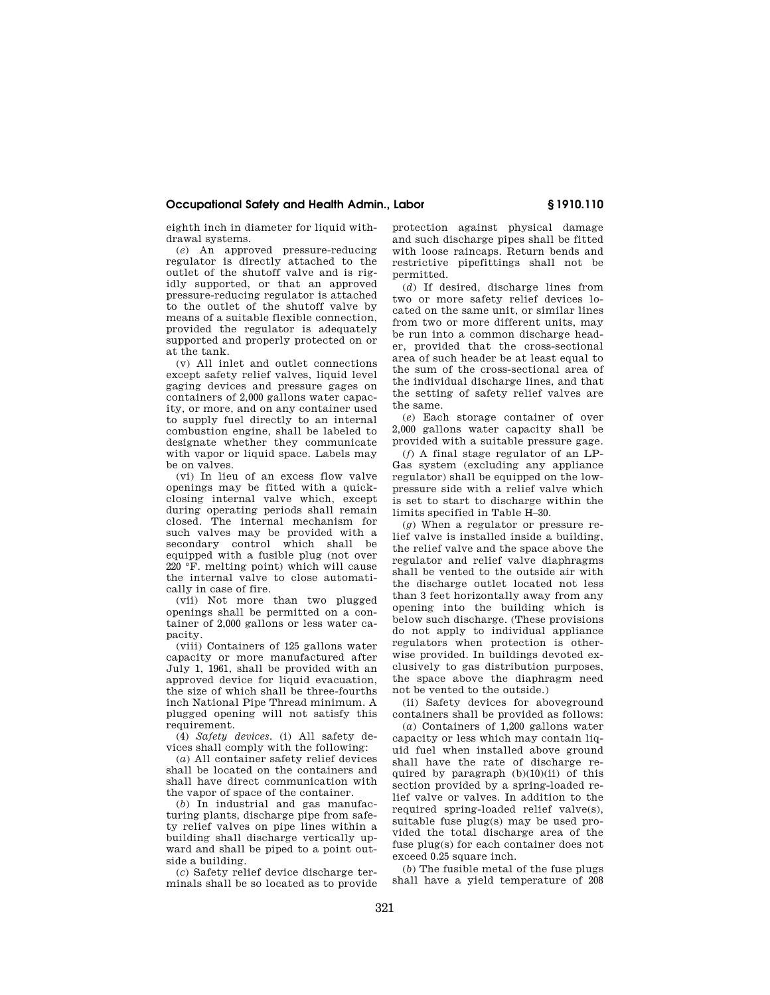eighth inch in diameter for liquid withdrawal systems.

(*e*) An approved pressure-reducing regulator is directly attached to the outlet of the shutoff valve and is rigidly supported, or that an approved pressure-reducing regulator is attached to the outlet of the shutoff valve by means of a suitable flexible connection, provided the regulator is adequately supported and properly protected on or at the tank.

(v) All inlet and outlet connections except safety relief valves, liquid level gaging devices and pressure gages on containers of 2,000 gallons water capacity, or more, and on any container used to supply fuel directly to an internal combustion engine, shall be labeled to designate whether they communicate with vapor or liquid space. Labels may be on valves.

(vi) In lieu of an excess flow valve openings may be fitted with a quickclosing internal valve which, except during operating periods shall remain closed. The internal mechanism for such valves may be provided with a secondary control which shall be equipped with a fusible plug (not over 220 °F. melting point) which will cause the internal valve to close automatically in case of fire.

(vii) Not more than two plugged openings shall be permitted on a container of 2,000 gallons or less water capacity.

(viii) Containers of 125 gallons water capacity or more manufactured after July 1, 1961, shall be provided with an approved device for liquid evacuation, the size of which shall be three-fourths inch National Pipe Thread minimum. A plugged opening will not satisfy this requirement.

(4) *Safety devices.* (i) All safety devices shall comply with the following:

(*a*) All container safety relief devices shall be located on the containers and shall have direct communication with the vapor of space of the container.

(*b*) In industrial and gas manufacturing plants, discharge pipe from safety relief valves on pipe lines within a building shall discharge vertically upward and shall be piped to a point outside a building.

(*c*) Safety relief device discharge terminals shall be so located as to provide protection against physical damage and such discharge pipes shall be fitted with loose raincaps. Return bends and restrictive pipefittings shall not be permitted.

(*d*) If desired, discharge lines from two or more safety relief devices located on the same unit, or similar lines from two or more different units, may be run into a common discharge header, provided that the cross-sectional area of such header be at least equal to the sum of the cross-sectional area of the individual discharge lines, and that the setting of safety relief valves are the same.

(*e*) Each storage container of over 2,000 gallons water capacity shall be provided with a suitable pressure gage.

(*f*) A final stage regulator of an LP-Gas system (excluding any appliance regulator) shall be equipped on the lowpressure side with a relief valve which is set to start to discharge within the limits specified in Table H–30.

(*g*) When a regulator or pressure relief valve is installed inside a building, the relief valve and the space above the regulator and relief valve diaphragms shall be vented to the outside air with the discharge outlet located not less than 3 feet horizontally away from any opening into the building which is below such discharge. (These provisions do not apply to individual appliance regulators when protection is otherwise provided. In buildings devoted exclusively to gas distribution purposes, the space above the diaphragm need not be vented to the outside.)

(ii) Safety devices for aboveground containers shall be provided as follows:

(*a*) Containers of 1,200 gallons water capacity or less which may contain liquid fuel when installed above ground shall have the rate of discharge required by paragraph  $(b)(10)(ii)$  of this section provided by a spring-loaded relief valve or valves. In addition to the required spring-loaded relief valve(s), suitable fuse plug(s) may be used provided the total discharge area of the fuse plug(s) for each container does not exceed 0.25 square inch.

(*b*) The fusible metal of the fuse plugs shall have a yield temperature of 208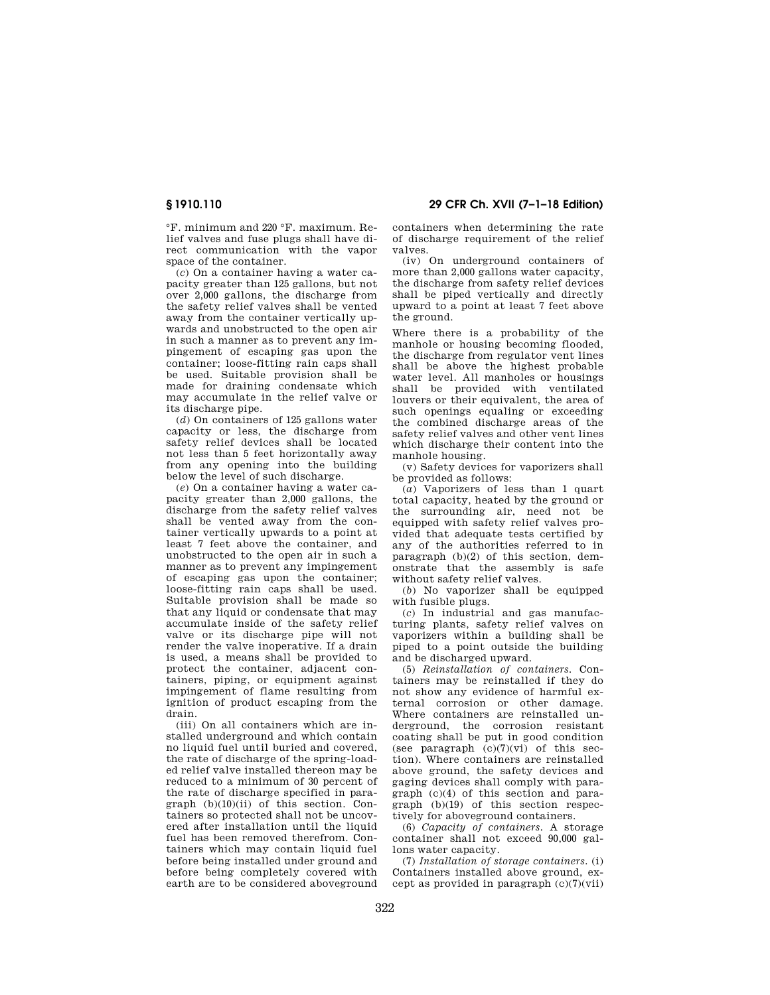°F. minimum and 220 °F. maximum. Relief valves and fuse plugs shall have direct communication with the vapor space of the container.

(*c*) On a container having a water capacity greater than 125 gallons, but not over 2,000 gallons, the discharge from the safety relief valves shall be vented away from the container vertically upwards and unobstructed to the open air in such a manner as to prevent any impingement of escaping gas upon the container; loose-fitting rain caps shall be used. Suitable provision shall be made for draining condensate which may accumulate in the relief valve or its discharge pipe.

(*d*) On containers of 125 gallons water capacity or less, the discharge from safety relief devices shall be located not less than 5 feet horizontally away from any opening into the building below the level of such discharge.

(*e*) On a container having a water capacity greater than 2,000 gallons, the discharge from the safety relief valves shall be vented away from the container vertically upwards to a point at least 7 feet above the container, and unobstructed to the open air in such a manner as to prevent any impingement of escaping gas upon the container; loose-fitting rain caps shall be used. Suitable provision shall be made so that any liquid or condensate that may accumulate inside of the safety relief valve or its discharge pipe will not render the valve inoperative. If a drain is used, a means shall be provided to protect the container, adjacent containers, piping, or equipment against impingement of flame resulting from ignition of product escaping from the drain.

(iii) On all containers which are installed underground and which contain no liquid fuel until buried and covered, the rate of discharge of the spring-loaded relief valve installed thereon may be reduced to a minimum of 30 percent of the rate of discharge specified in paragraph (b)(10)(ii) of this section. Containers so protected shall not be uncovered after installation until the liquid fuel has been removed therefrom. Containers which may contain liquid fuel before being installed under ground and before being completely covered with earth are to be considered aboveground

**§ 1910.110 29 CFR Ch. XVII (7–1–18 Edition)** 

containers when determining the rate of discharge requirement of the relief valves.

(iv) On underground containers of more than 2,000 gallons water capacity, the discharge from safety relief devices shall be piped vertically and directly upward to a point at least 7 feet above the ground.

Where there is a probability of the manhole or housing becoming flooded, the discharge from regulator vent lines shall be above the highest probable water level. All manholes or housings shall be provided with ventilated louvers or their equivalent, the area of such openings equaling or exceeding the combined discharge areas of the safety relief valves and other vent lines which discharge their content into the manhole housing.

(v) Safety devices for vaporizers shall be provided as follows:

(*a*) Vaporizers of less than 1 quart total capacity, heated by the ground or the surrounding air, need not be equipped with safety relief valves provided that adequate tests certified by any of the authorities referred to in paragraph (b)(2) of this section, demonstrate that the assembly is safe without safety relief valves.

(*b*) No vaporizer shall be equipped with fusible plugs.

(*c*) In industrial and gas manufacturing plants, safety relief valves on vaporizers within a building shall be piped to a point outside the building and be discharged upward.

(5) *Reinstallation of containers.* Containers may be reinstalled if they do not show any evidence of harmful external corrosion or other damage. Where containers are reinstalled underground, the corrosion resistant coating shall be put in good condition (see paragraph  $(c)(7)(vi)$  of this section). Where containers are reinstalled above ground, the safety devices and gaging devices shall comply with paragraph (c)(4) of this section and paragraph (b)(19) of this section respectively for aboveground containers.

(6) *Capacity of containers.* A storage container shall not exceed 90,000 gallons water capacity.

(7) *Installation of storage containers.* (i) Containers installed above ground, except as provided in paragraph  $(c)(7)(vi)$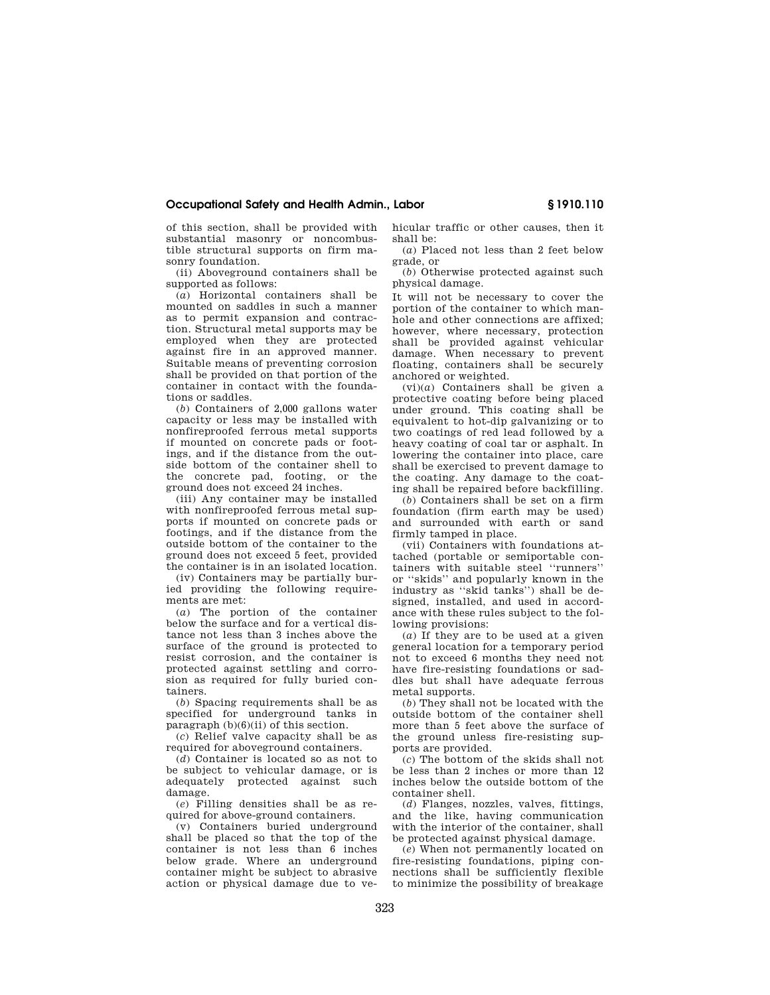of this section, shall be provided with substantial masonry or noncombustible structural supports on firm masonry foundation.

(ii) Aboveground containers shall be supported as follows:

(*a*) Horizontal containers shall be mounted on saddles in such a manner as to permit expansion and contraction. Structural metal supports may be employed when they are protected against fire in an approved manner. Suitable means of preventing corrosion shall be provided on that portion of the container in contact with the foundations or saddles.

(*b*) Containers of 2,000 gallons water capacity or less may be installed with nonfireproofed ferrous metal supports if mounted on concrete pads or footings, and if the distance from the outside bottom of the container shell to the concrete pad, footing, or the ground does not exceed 24 inches.

(iii) Any container may be installed with nonfireproofed ferrous metal supports if mounted on concrete pads or footings, and if the distance from the outside bottom of the container to the ground does not exceed 5 feet, provided the container is in an isolated location.

(iv) Containers may be partially buried providing the following requirements are met:

(*a*) The portion of the container below the surface and for a vertical distance not less than 3 inches above the surface of the ground is protected to resist corrosion, and the container is protected against settling and corrosion as required for fully buried containers.

(*b*) Spacing requirements shall be as specified for underground tanks in paragraph  $(b)(6)(ii)$  of this section.

(*c*) Relief valve capacity shall be as required for aboveground containers.

(*d*) Container is located so as not to be subject to vehicular damage, or is adequately protected against such damage.

(*e*) Filling densities shall be as required for above-ground containers.

(v) Containers buried underground shall be placed so that the top of the container is not less than 6 inches below grade. Where an underground container might be subject to abrasive action or physical damage due to vehicular traffic or other causes, then it shall be:

(*a*) Placed not less than 2 feet below grade, or

(*b*) Otherwise protected against such physical damage.

It will not be necessary to cover the portion of the container to which manhole and other connections are affixed; however, where necessary, protection shall be provided against vehicular damage. When necessary to prevent floating, containers shall be securely anchored or weighted.

 $(vi)(a)$  Containers shall be given a protective coating before being placed under ground. This coating shall be equivalent to hot-dip galvanizing or to two coatings of red lead followed by a heavy coating of coal tar or asphalt. In lowering the container into place, care shall be exercised to prevent damage to the coating. Any damage to the coating shall be repaired before backfilling.

(*b*) Containers shall be set on a firm foundation (firm earth may be used) and surrounded with earth or sand firmly tamped in place.

(vii) Containers with foundations attached (portable or semiportable containers with suitable steel ''runners'' or ''skids'' and popularly known in the industry as ''skid tanks'') shall be designed, installed, and used in accordance with these rules subject to the following provisions:

(*a*) If they are to be used at a given general location for a temporary period not to exceed 6 months they need not have fire-resisting foundations or saddles but shall have adequate ferrous metal supports.

(*b*) They shall not be located with the outside bottom of the container shell more than 5 feet above the surface of the ground unless fire-resisting supports are provided.

(*c*) The bottom of the skids shall not be less than 2 inches or more than 12 inches below the outside bottom of the container shell.

(*d*) Flanges, nozzles, valves, fittings, and the like, having communication with the interior of the container, shall be protected against physical damage.

(*e*) When not permanently located on fire-resisting foundations, piping connections shall be sufficiently flexible to minimize the possibility of breakage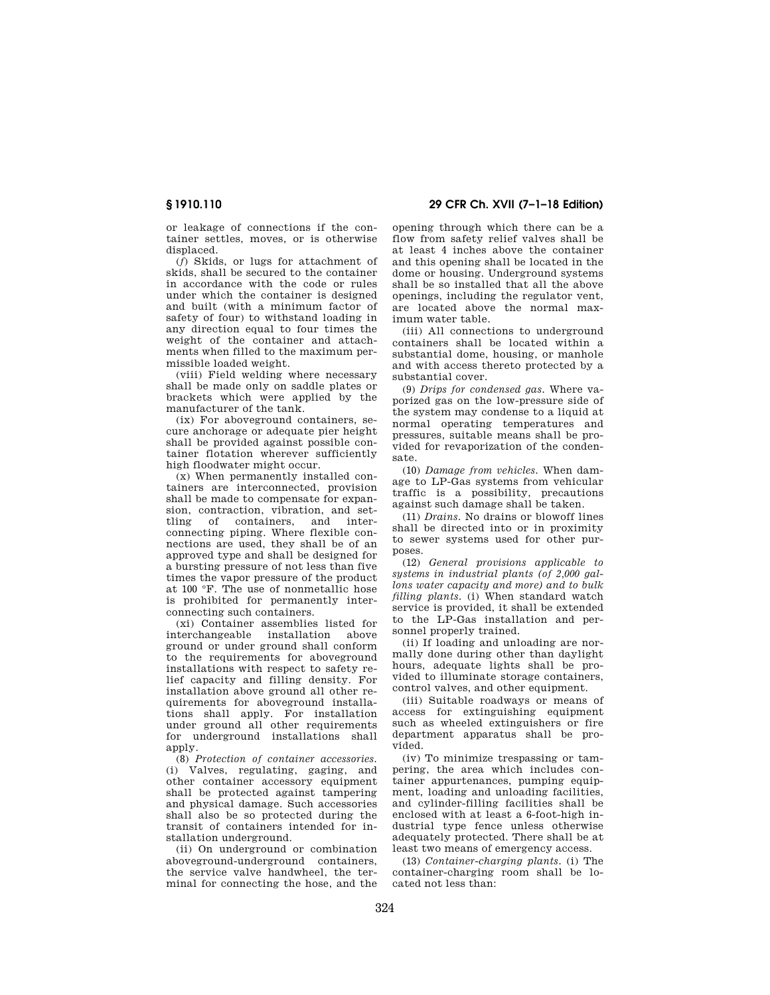or leakage of connections if the container settles, moves, or is otherwise displaced.

(*f*) Skids, or lugs for attachment of skids, shall be secured to the container in accordance with the code or rules under which the container is designed and built (with a minimum factor of safety of four) to withstand loading in any direction equal to four times the weight of the container and attachments when filled to the maximum permissible loaded weight.

(viii) Field welding where necessary shall be made only on saddle plates or brackets which were applied by the manufacturer of the tank.

(ix) For aboveground containers, secure anchorage or adequate pier height shall be provided against possible container flotation wherever sufficiently high floodwater might occur.

(x) When permanently installed containers are interconnected, provision shall be made to compensate for expansion, contraction, vibration, and settling of containers, and interconnecting piping. Where flexible connections are used, they shall be of an approved type and shall be designed for a bursting pressure of not less than five times the vapor pressure of the product at 100 °F. The use of nonmetallic hose is prohibited for permanently interconnecting such containers.

(xi) Container assemblies listed for interchangeable installation above ground or under ground shall conform to the requirements for aboveground installations with respect to safety relief capacity and filling density. For installation above ground all other requirements for aboveground installations shall apply. For installation under ground all other requirements for underground installations shall apply.

(8) *Protection of container accessories.*  (i) Valves, regulating, gaging, and other container accessory equipment shall be protected against tampering and physical damage. Such accessories shall also be so protected during the transit of containers intended for installation underground.

(ii) On underground or combination aboveground-underground containers, the service valve handwheel, the terminal for connecting the hose, and the

**§ 1910.110 29 CFR Ch. XVII (7–1–18 Edition)** 

opening through which there can be a flow from safety relief valves shall be at least 4 inches above the container and this opening shall be located in the dome or housing. Underground systems shall be so installed that all the above openings, including the regulator vent, are located above the normal maximum water table.

(iii) All connections to underground containers shall be located within a substantial dome, housing, or manhole and with access thereto protected by a substantial cover.

(9) *Drips for condensed gas.* Where vaporized gas on the low-pressure side of the system may condense to a liquid at normal operating temperatures and pressures, suitable means shall be provided for revaporization of the condensate.

(10) *Damage from vehicles.* When damage to LP-Gas systems from vehicular traffic is a possibility, precautions against such damage shall be taken.

(11) *Drains.* No drains or blowoff lines shall be directed into or in proximity to sewer systems used for other purposes.

(12) *General provisions applicable to systems in industrial plants (of 2,000 gallons water capacity and more) and to bulk filling plants.* (i) When standard watch service is provided, it shall be extended to the LP-Gas installation and personnel properly trained.

(ii) If loading and unloading are normally done during other than daylight hours, adequate lights shall be provided to illuminate storage containers, control valves, and other equipment.

(iii) Suitable roadways or means of access for extinguishing equipment such as wheeled extinguishers or fire department apparatus shall be provided.

(iv) To minimize trespassing or tampering, the area which includes container appurtenances, pumping equipment, loading and unloading facilities, and cylinder-filling facilities shall be enclosed with at least a 6-foot-high industrial type fence unless otherwise adequately protected. There shall be at least two means of emergency access.

(13) *Container-charging plants.* (i) The container-charging room shall be located not less than: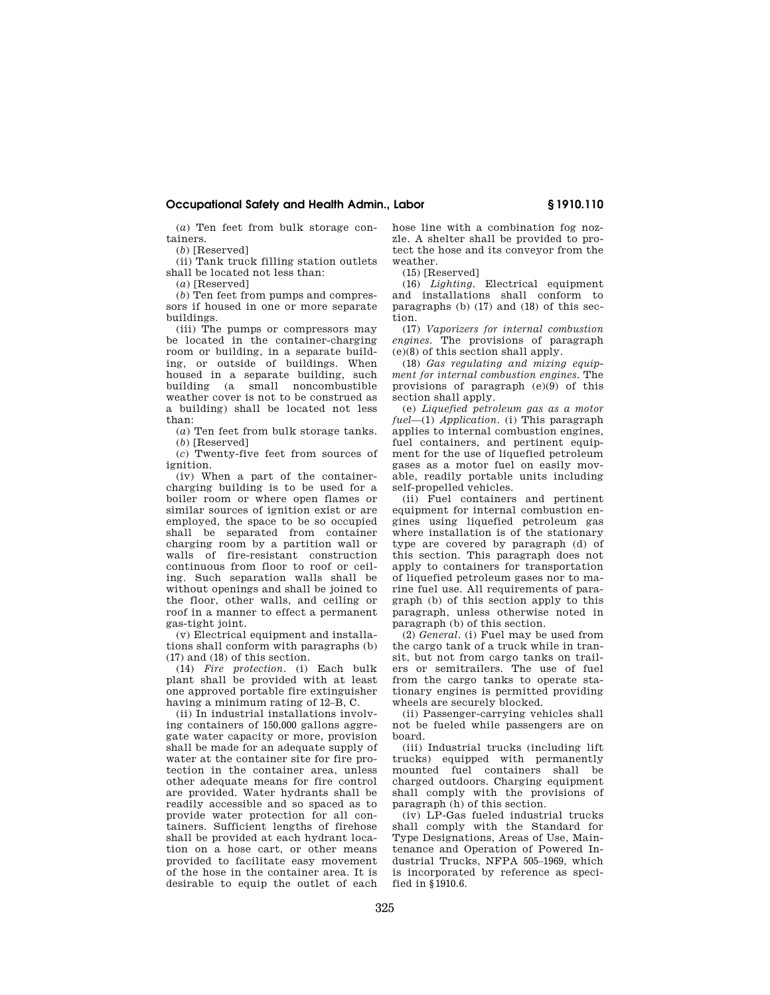(*a*) Ten feet from bulk storage containers.

(*b*) [Reserved]

(ii) Tank truck filling station outlets shall be located not less than:

(*a*) [Reserved]

(*b*) Ten feet from pumps and compressors if housed in one or more separate buildings.

(iii) The pumps or compressors may be located in the container-charging room or building, in a separate building, or outside of buildings. When housed in a separate building, such building (a small noncombustible weather cover is not to be construed as a building) shall be located not less than:

(*a*) Ten feet from bulk storage tanks. (*b*) [Reserved]

(*c*) Twenty-five feet from sources of ignition.

(iv) When a part of the containercharging building is to be used for a boiler room or where open flames or similar sources of ignition exist or are employed, the space to be so occupied shall be separated from container charging room by a partition wall or walls of fire-resistant construction continuous from floor to roof or ceiling. Such separation walls shall be without openings and shall be joined to the floor, other walls, and ceiling or roof in a manner to effect a permanent gas-tight joint.

 $(v)$  Electrical equipment and installations shall conform with paragraphs (b) (17) and (18) of this section.

(14) *Fire protection.* (i) Each bulk plant shall be provided with at least one approved portable fire extinguisher having a minimum rating of 12–B, C.

(ii) In industrial installations involving containers of 150,000 gallons aggregate water capacity or more, provision shall be made for an adequate supply of water at the container site for fire protection in the container area, unless other adequate means for fire control are provided. Water hydrants shall be readily accessible and so spaced as to provide water protection for all containers. Sufficient lengths of firehose shall be provided at each hydrant location on a hose cart, or other means provided to facilitate easy movement of the hose in the container area. It is desirable to equip the outlet of each hose line with a combination fog nozzle. A shelter shall be provided to protect the hose and its conveyor from the weather.

(15) [Reserved]

(16) *Lighting.* Electrical equipment and installations shall conform to paragraphs (b) (17) and (18) of this section.

(17) *Vaporizers for internal combustion engines.* The provisions of paragraph (e)(8) of this section shall apply.

(18) *Gas regulating and mixing equipment for internal combustion engines.* The provisions of paragraph  $(e)(9)$  of this section shall apply.

(e) *Liquefied petroleum gas as a motor fuel*—(1) *Application.* (i) This paragraph applies to internal combustion engines, fuel containers, and pertinent equipment for the use of liquefied petroleum gases as a motor fuel on easily movable, readily portable units including self-propelled vehicles.

(ii) Fuel containers and pertinent equipment for internal combustion engines using liquefied petroleum gas where installation is of the stationary type are covered by paragraph (d) of this section. This paragraph does not apply to containers for transportation of liquefied petroleum gases nor to marine fuel use. All requirements of paragraph (b) of this section apply to this paragraph, unless otherwise noted in paragraph (b) of this section.

(2) *General.* (i) Fuel may be used from the cargo tank of a truck while in transit, but not from cargo tanks on trailers or semitrailers. The use of fuel from the cargo tanks to operate stationary engines is permitted providing wheels are securely blocked.

(ii) Passenger-carrying vehicles shall not be fueled while passengers are on board.

(iii) Industrial trucks (including lift trucks) equipped with permanently mounted fuel containers shall be charged outdoors. Charging equipment shall comply with the provisions of paragraph (h) of this section.

(iv) LP-Gas fueled industrial trucks shall comply with the Standard for Type Designations, Areas of Use, Maintenance and Operation of Powered Industrial Trucks, NFPA 505–1969, which is incorporated by reference as specified in §1910.6.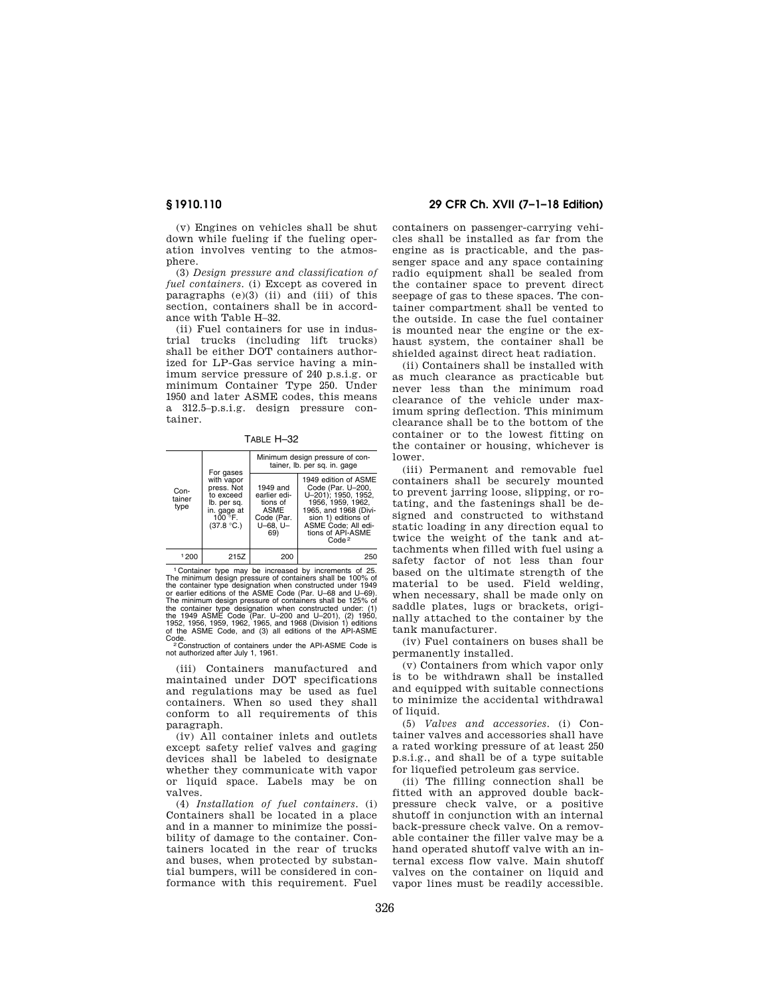(v) Engines on vehicles shall be shut down while fueling if the fueling operation involves venting to the atmosphere.

(3) *Design pressure and classification of fuel containers.* (i) Except as covered in paragraphs  $(e)(3)$  (ii) and (iii) of this section, containers shall be in accordance with Table H–32.

(ii) Fuel containers for use in industrial trucks (including lift trucks) shall be either DOT containers authorized for LP-Gas service having a minimum service pressure of 240 p.s.i.g. or minimum Container Type 250. Under 1950 and later ASME codes, this means a 312.5–p.s.i.g. design pressure container.

TABLE H–32

|                        |                                                                                                           | Minimum design pressure of con-<br>tainer, lb. per sq. in. gage               |                                                                                                                                                                                                        |  |
|------------------------|-----------------------------------------------------------------------------------------------------------|-------------------------------------------------------------------------------|--------------------------------------------------------------------------------------------------------------------------------------------------------------------------------------------------------|--|
| Con-<br>tainer<br>type | For gases<br>with vapor<br>press, Not<br>to exceed<br>lb. per sq.<br>in. gage at<br>100 °F.<br>(37.8 °C.) | 1949 and<br>earlier edi-<br>tions of<br>ASME<br>Code (Par.<br>U-68, U-<br>69) | 1949 edition of ASME<br>Code (Par. U-200,<br>U-201); 1950, 1952,<br>1956, 1959, 1962,<br>1965, and 1968 (Divi-<br>sion 1) editions of<br>ASME Code; All edi-<br>tions of API-ASME<br>Code <sup>2</sup> |  |
| 1200                   | 215Z                                                                                                      | 200                                                                           | 25                                                                                                                                                                                                     |  |

1 Container type may be increased by increments of 25. The minimum design pressure of containers shall be 100% of the container type designation when constructed under 1949 or earlier editions of the ASME Code (Par. U–68 and U–69). The minimum design pressure of containers shall be 125% of the container type designation when constructed under: (1)<br>the 1949 ASME Code (Par. U–200 and U–201), (2) 1950,<br>1952, 1956, 1959, 1962, 1965, and 1968 (Division 1) editions<br>of the ASME Code, and (3) all editions of the API

Code.<br><sup>2</sup> <sup>2</sup> Construction of containers under the API-ASME Code is<br>not authorized after July 1, 1961.

(iii) Containers manufactured and maintained under DOT specifications and regulations may be used as fuel containers. When so used they shall conform to all requirements of this paragraph.

(iv) All container inlets and outlets except safety relief valves and gaging devices shall be labeled to designate whether they communicate with vapor or liquid space. Labels may be on valves.

(4) *Installation of fuel containers.* (i) Containers shall be located in a place and in a manner to minimize the possibility of damage to the container. Containers located in the rear of trucks and buses, when protected by substantial bumpers, will be considered in conformance with this requirement. Fuel

# **§ 1910.110 29 CFR Ch. XVII (7–1–18 Edition)**

containers on passenger-carrying vehicles shall be installed as far from the engine as is practicable, and the passenger space and any space containing radio equipment shall be sealed from the container space to prevent direct seepage of gas to these spaces. The container compartment shall be vented to the outside. In case the fuel container is mounted near the engine or the exhaust system, the container shall be shielded against direct heat radiation.

(ii) Containers shall be installed with as much clearance as practicable but never less than the minimum road clearance of the vehicle under maximum spring deflection. This minimum clearance shall be to the bottom of the container or to the lowest fitting on the container or housing, whichever is lower.

(iii) Permanent and removable fuel containers shall be securely mounted to prevent jarring loose, slipping, or rotating, and the fastenings shall be designed and constructed to withstand static loading in any direction equal to twice the weight of the tank and attachments when filled with fuel using a safety factor of not less than four based on the ultimate strength of the material to be used. Field welding, when necessary, shall be made only on saddle plates, lugs or brackets, originally attached to the container by the tank manufacturer.

(iv) Fuel containers on buses shall be permanently installed.

(v) Containers from which vapor only is to be withdrawn shall be installed and equipped with suitable connections to minimize the accidental withdrawal of liquid.

(5) *Valves and accessories.* (i) Container valves and accessories shall have a rated working pressure of at least 250 p.s.i.g., and shall be of a type suitable for liquefied petroleum gas service.

(ii) The filling connection shall be fitted with an approved double backpressure check valve, or a positive shutoff in conjunction with an internal back-pressure check valve. On a removable container the filler valve may be a hand operated shutoff valve with an internal excess flow valve. Main shutoff valves on the container on liquid and vapor lines must be readily accessible.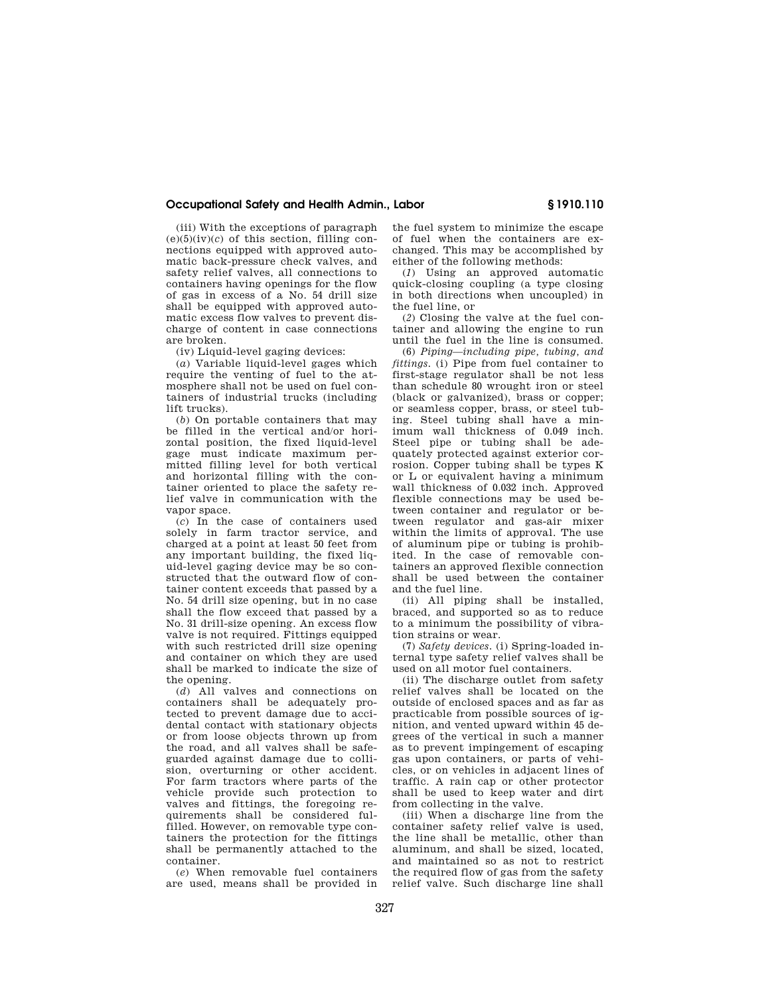(iii) With the exceptions of paragraph  $(e)(5)(iv)(c)$  of this section, filling connections equipped with approved automatic back-pressure check valves, and safety relief valves, all connections to containers having openings for the flow of gas in excess of a No. 54 drill size shall be equipped with approved automatic excess flow valves to prevent discharge of content in case connections are broken.

(iv) Liquid-level gaging devices:

(*a*) Variable liquid-level gages which require the venting of fuel to the atmosphere shall not be used on fuel containers of industrial trucks (including lift trucks).

(*b*) On portable containers that may be filled in the vertical and/or horizontal position, the fixed liquid-level gage must indicate maximum permitted filling level for both vertical and horizontal filling with the container oriented to place the safety relief valve in communication with the vapor space.

(*c*) In the case of containers used solely in farm tractor service, and charged at a point at least 50 feet from any important building, the fixed liquid-level gaging device may be so constructed that the outward flow of container content exceeds that passed by a No. 54 drill size opening, but in no case shall the flow exceed that passed by a No. 31 drill-size opening. An excess flow valve is not required. Fittings equipped with such restricted drill size opening and container on which they are used shall be marked to indicate the size of the opening.

(*d*) All valves and connections on containers shall be adequately protected to prevent damage due to accidental contact with stationary objects or from loose objects thrown up from the road, and all valves shall be safeguarded against damage due to collision, overturning or other accident. For farm tractors where parts of the vehicle provide such protection to valves and fittings, the foregoing requirements shall be considered fulfilled. However, on removable type containers the protection for the fittings shall be permanently attached to the container.

(*e*) When removable fuel containers are used, means shall be provided in the fuel system to minimize the escape of fuel when the containers are exchanged. This may be accomplished by either of the following methods:

(*1*) Using an approved automatic quick-closing coupling (a type closing in both directions when uncoupled) in the fuel line, or

(*2*) Closing the valve at the fuel container and allowing the engine to run until the fuel in the line is consumed.

(6) *Piping—including pipe, tubing, and fittings.* (i) Pipe from fuel container to first-stage regulator shall be not less than schedule 80 wrought iron or steel (black or galvanized), brass or copper; or seamless copper, brass, or steel tubing. Steel tubing shall have a minimum wall thickness of 0.049 inch. Steel pipe or tubing shall be adequately protected against exterior corrosion. Copper tubing shall be types K or L or equivalent having a minimum wall thickness of 0.032 inch. Approved flexible connections may be used between container and regulator or between regulator and gas-air mixer within the limits of approval. The use of aluminum pipe or tubing is prohibited. In the case of removable containers an approved flexible connection shall be used between the container and the fuel line.

(ii) All piping shall be installed, braced, and supported so as to reduce to a minimum the possibility of vibration strains or wear.

(7) *Safety devices.* (i) Spring-loaded internal type safety relief valves shall be used on all motor fuel containers.

(ii) The discharge outlet from safety relief valves shall be located on the outside of enclosed spaces and as far as practicable from possible sources of ignition, and vented upward within 45 degrees of the vertical in such a manner as to prevent impingement of escaping gas upon containers, or parts of vehicles, or on vehicles in adjacent lines of traffic. A rain cap or other protector shall be used to keep water and dirt from collecting in the valve.

(iii) When a discharge line from the container safety relief valve is used, the line shall be metallic, other than aluminum, and shall be sized, located, and maintained so as not to restrict the required flow of gas from the safety relief valve. Such discharge line shall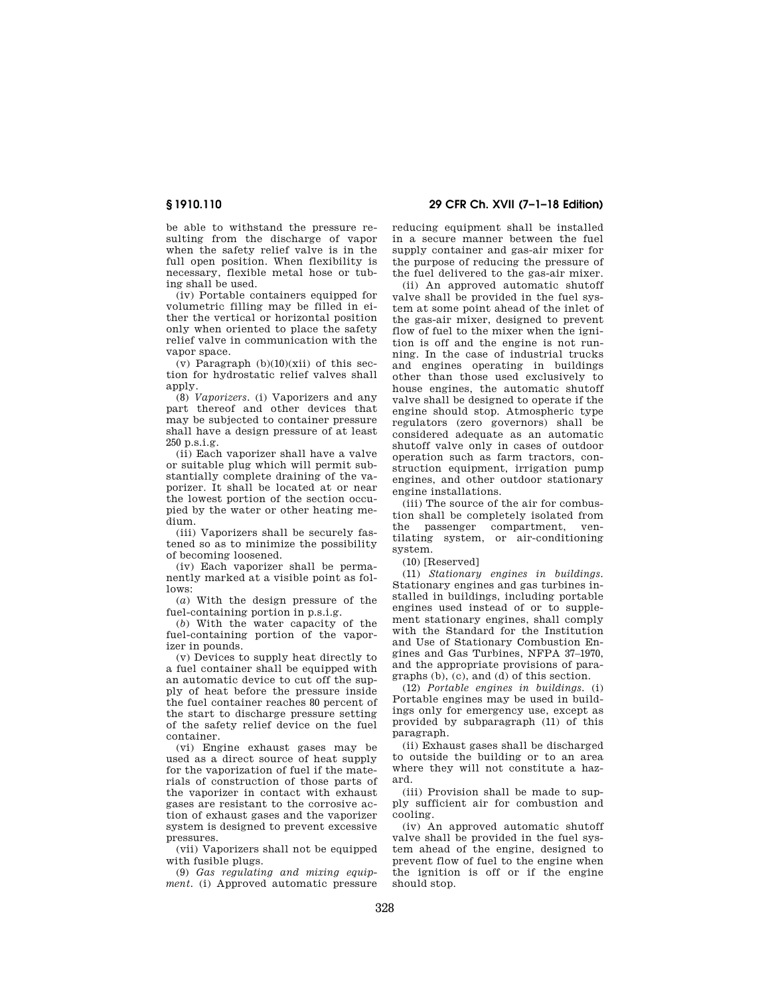be able to withstand the pressure resulting from the discharge of vapor when the safety relief valve is in the full open position. When flexibility is necessary, flexible metal hose or tubing shall be used.

(iv) Portable containers equipped for volumetric filling may be filled in either the vertical or horizontal position only when oriented to place the safety relief valve in communication with the vapor space.

 $(v)$  Paragraph  $(b)(10)(xii)$  of this section for hydrostatic relief valves shall apply.

(8) *Vaporizers.* (i) Vaporizers and any part thereof and other devices that may be subjected to container pressure shall have a design pressure of at least  $250 \text{ n s i.}$ g.

(ii) Each vaporizer shall have a valve or suitable plug which will permit substantially complete draining of the vaporizer. It shall be located at or near the lowest portion of the section occupied by the water or other heating medium.

(iii) Vaporizers shall be securely fastened so as to minimize the possibility of becoming loosened.

(iv) Each vaporizer shall be permanently marked at a visible point as follows:

(*a*) With the design pressure of the fuel-containing portion in p.s.i.g.

(*b*) With the water capacity of the fuel-containing portion of the vaporizer in pounds.

(v) Devices to supply heat directly to a fuel container shall be equipped with an automatic device to cut off the supply of heat before the pressure inside the fuel container reaches 80 percent of the start to discharge pressure setting of the safety relief device on the fuel container.

(vi) Engine exhaust gases may be used as a direct source of heat supply for the vaporization of fuel if the materials of construction of those parts of the vaporizer in contact with exhaust gases are resistant to the corrosive action of exhaust gases and the vaporizer system is designed to prevent excessive pressures.

(vii) Vaporizers shall not be equipped with fusible plugs.

(9) *Gas regulating and mixing equipment.* (i) Approved automatic pressure

**§ 1910.110 29 CFR Ch. XVII (7–1–18 Edition)** 

reducing equipment shall be installed in a secure manner between the fuel supply container and gas-air mixer for the purpose of reducing the pressure of the fuel delivered to the gas-air mixer.

(ii) An approved automatic shutoff valve shall be provided in the fuel system at some point ahead of the inlet of the gas-air mixer, designed to prevent flow of fuel to the mixer when the ignition is off and the engine is not running. In the case of industrial trucks and engines operating in buildings other than those used exclusively to house engines, the automatic shutoff valve shall be designed to operate if the engine should stop. Atmospheric type regulators (zero governors) shall be considered adequate as an automatic shutoff valve only in cases of outdoor operation such as farm tractors, construction equipment, irrigation pump engines, and other outdoor stationary engine installations.

(iii) The source of the air for combustion shall be completely isolated from the passenger compartment, ventilating system, or air-conditioning system.

(10) [Reserved]

(11) *Stationary engines in buildings.*  Stationary engines and gas turbines installed in buildings, including portable engines used instead of or to supplement stationary engines, shall comply with the Standard for the Institution and Use of Stationary Combustion Engines and Gas Turbines, NFPA 37–1970, and the appropriate provisions of paragraphs (b), (c), and (d) of this section.

(12) *Portable engines in buildings.* (i) Portable engines may be used in buildings only for emergency use, except as provided by subparagraph (11) of this paragraph.

(ii) Exhaust gases shall be discharged to outside the building or to an area where they will not constitute a hazard.

(iii) Provision shall be made to supply sufficient air for combustion and cooling.

(iv) An approved automatic shutoff valve shall be provided in the fuel system ahead of the engine, designed to prevent flow of fuel to the engine when the ignition is off or if the engine should stop.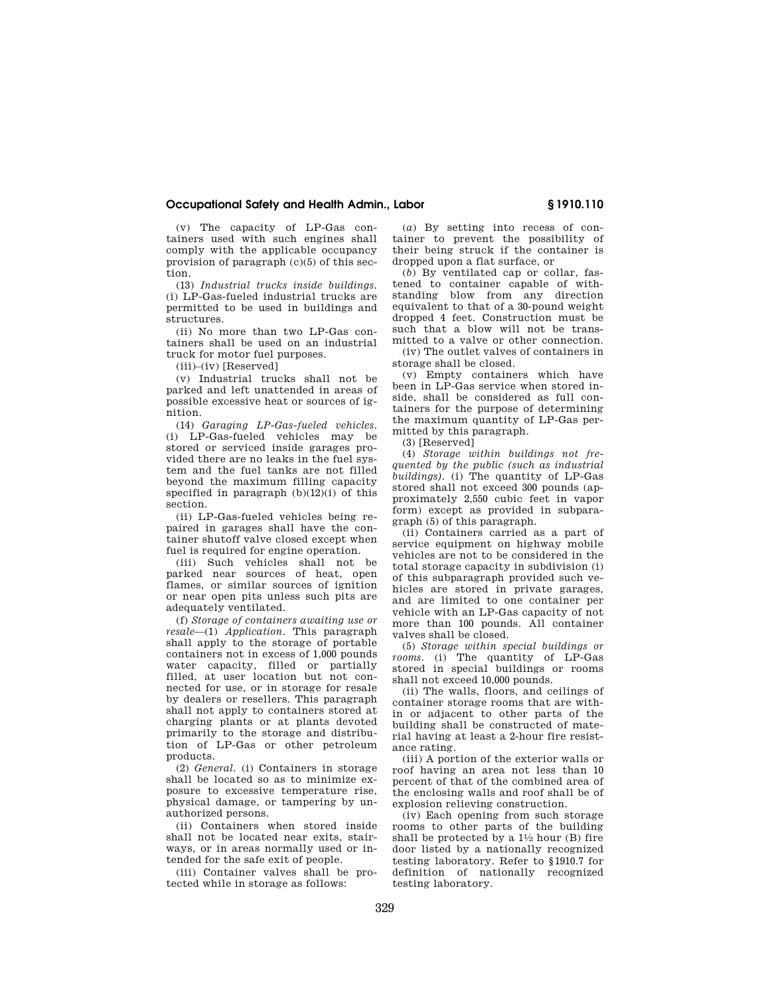(v) The capacity of LP-Gas containers used with such engines shall comply with the applicable occupancy provision of paragraph (c)(5) of this section.

(13) *Industrial trucks inside buildings.*  (i) LP-Gas-fueled industrial trucks are permitted to be used in buildings and structures.

(ii) No more than two LP-Gas containers shall be used on an industrial truck for motor fuel purposes.

(iii)–(iv) [Reserved]

(v) Industrial trucks shall not be parked and left unattended in areas of possible excessive heat or sources of ignition.

(14) *Garaging LP-Gas-fueled vehicles.*  (i) LP-Gas-fueled vehicles may be stored or serviced inside garages provided there are no leaks in the fuel system and the fuel tanks are not filled beyond the maximum filling capacity specified in paragraph  $(b)(12)(i)$  of this section.

(ii) LP-Gas-fueled vehicles being repaired in garages shall have the container shutoff valve closed except when fuel is required for engine operation.

(iii) Such vehicles shall not be parked near sources of heat, open flames, or similar sources of ignition or near open pits unless such pits are adequately ventilated.

(f) *Storage of containers awaiting use or resale*—(1) *Application.* This paragraph shall apply to the storage of portable containers not in excess of 1,000 pounds water capacity, filled or partially filled, at user location but not connected for use, or in storage for resale by dealers or resellers. This paragraph shall not apply to containers stored at charging plants or at plants devoted primarily to the storage and distribution of LP-Gas or other petroleum products.

(2) *General.* (i) Containers in storage shall be located so as to minimize exposure to excessive temperature rise, physical damage, or tampering by unauthorized persons.

(ii) Containers when stored inside shall not be located near exits, stairways, or in areas normally used or intended for the safe exit of people.

(iii) Container valves shall be protected while in storage as follows:

(*a*) By setting into recess of container to prevent the possibility of their being struck if the container is dropped upon a flat surface, or

(*b*) By ventilated cap or collar, fastened to container capable of withstanding blow from any direction equivalent to that of a 30-pound weight dropped 4 feet. Construction must be such that a blow will not be transmitted to a valve or other connection.

(iv) The outlet valves of containers in storage shall be closed.

(v) Empty containers which have been in LP-Gas service when stored inside, shall be considered as full containers for the purpose of determining the maximum quantity of LP-Gas permitted by this paragraph.

(3) [Reserved]

(4) *Storage within buildings not frequented by the public (such as industrial buildings).* (i) The quantity of LP-Gas stored shall not exceed 300 pounds (approximately 2,550 cubic feet in vapor form) except as provided in subparagraph (5) of this paragraph.

(ii) Containers carried as a part of service equipment on highway mobile vehicles are not to be considered in the total storage capacity in subdivision (i) of this subparagraph provided such vehicles are stored in private garages, and are limited to one container per vehicle with an LP-Gas capacity of not more than 100 pounds. All container valves shall be closed.

(5) *Storage within special buildings or rooms.* (i) The quantity of LP-Gas stored in special buildings or rooms shall not exceed 10,000 pounds.

(ii) The walls, floors, and ceilings of container storage rooms that are within or adjacent to other parts of the building shall be constructed of material having at least a 2-hour fire resistance rating.

(iii) A portion of the exterior walls or roof having an area not less than 10 percent of that of the combined area of the enclosing walls and roof shall be of explosion relieving construction.

(iv) Each opening from such storage rooms to other parts of the building shall be protected by a  $1\frac{1}{2}$  hour (B) fire door listed by a nationally recognized testing laboratory. Refer to §1910.7 for definition of nationally recognized testing laboratory.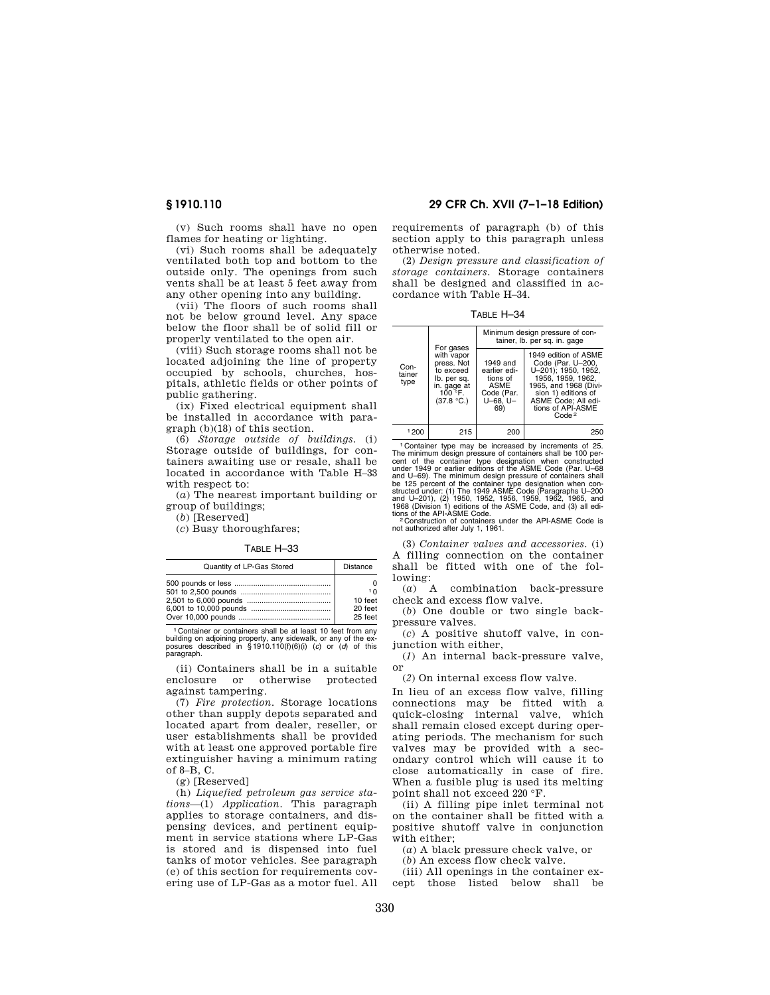(v) Such rooms shall have no open flames for heating or lighting.

(vi) Such rooms shall be adequately ventilated both top and bottom to the outside only. The openings from such vents shall be at least 5 feet away from any other opening into any building.

(vii) The floors of such rooms shall not be below ground level. Any space below the floor shall be of solid fill or properly ventilated to the open air.

(viii) Such storage rooms shall not be located adjoining the line of property occupied by schools, churches, hospitals, athletic fields or other points of public gathering.

(ix) Fixed electrical equipment shall be installed in accordance with paragraph (b)(18) of this section.

(6) *Storage outside of buildings.* (i) Storage outside of buildings, for containers awaiting use or resale, shall be located in accordance with Table H–33 with respect to:

(*a*) The nearest important building or group of buildings;

(*b*) [Reserved]

(*c*) Busy thoroughfares;

TABLE H–33

| Quantity of LP-Gas Stored | <b>Distance</b>                                 |
|---------------------------|-------------------------------------------------|
|                           | 1 <sub>0</sub><br>10 feet<br>20 feet<br>25 feet |

<sup>1</sup> Container or containers shall be at least 10 feet from any building on adjoining property, any sidewalk, or any of the ex-posures described in § 1910.110(f)(6)(i) (*c*) or (*d*) of this paragraph.

(ii) Containers shall be in a suitable enclosure or otherwise protected against tampering.

(7) *Fire protection.* Storage locations other than supply depots separated and located apart from dealer, reseller, or user establishments shall be provided with at least one approved portable fire extinguisher having a minimum rating of 8–B, C.

(g) [Reserved]

(h) *Liquefied petroleum gas service stations*—(1) *Application.* This paragraph applies to storage containers, and dispensing devices, and pertinent equipment in service stations where LP-Gas is stored and is dispensed into fuel tanks of motor vehicles. See paragraph (e) of this section for requirements covering use of LP-Gas as a motor fuel. All

**§ 1910.110 29 CFR Ch. XVII (7–1–18 Edition)** 

requirements of paragraph (b) of this section apply to this paragraph unless otherwise noted.

(2) *Design pressure and classification of storage containers.* Storage containers shall be designed and classified in accordance with Table H–34.

TABLE H–34

|                        |                                                                                                           | Minimum design pressure of con-<br>tainer, lb. per sq. in. gage               |                                                                                                                                                                                                        |
|------------------------|-----------------------------------------------------------------------------------------------------------|-------------------------------------------------------------------------------|--------------------------------------------------------------------------------------------------------------------------------------------------------------------------------------------------------|
| Con-<br>tainer<br>type | For gases<br>with vapor<br>press. Not<br>to exceed<br>lb. per sq.<br>in. gage at<br>100 °F.<br>(37.8 °C.) | 1949 and<br>earlier edi-<br>tions of<br>ASME<br>Code (Par.<br>U-68, U-<br>69) | 1949 edition of ASME<br>Code (Par. U-200,<br>U-201); 1950, 1952,<br>1956, 1959, 1962,<br>1965, and 1968 (Divi-<br>sion 1) editions of<br>ASME Code; All edi-<br>tions of API-ASME<br>Code <sup>2</sup> |
| 1200                   | 215                                                                                                       | 200                                                                           | 250                                                                                                                                                                                                    |

<sup>1</sup> Container type may be increased by increments of 25.<br>The minimum design pressure of containers shall be 100 per-<br>cent of the container type designation when constructed<br>under 1949 or earlier editions of the ASME Code ( and U–69). The minimum design pressure of containers shall<br>be 125 percent of the container type designation when con-<br>structed under: (1) The 1949 ASME Code (Paragraphs U–200<br>and U–201), (2) 1950, 1952, 1956, 1959, 1962, 1

not authorized after July 1, 1961.

(3) *Container valves and accessories.* (i) A filling connection on the container shall be fitted with one of the following:

(*a*) A combination back-pressure check and excess flow valve.

(*b*) One double or two single backpressure valves.

(*c*) A positive shutoff valve, in conjunction with either,

(*1*) An internal back-pressure valve, or

(*2*) On internal excess flow valve.

In lieu of an excess flow valve, filling connections may be fitted with a quick-closing internal valve, which shall remain closed except during operating periods. The mechanism for such valves may be provided with a secondary control which will cause it to close automatically in case of fire. When a fusible plug is used its melting point shall not exceed 220 °F.

(ii) A filling pipe inlet terminal not on the container shall be fitted with a positive shutoff valve in conjunction with either;

(*a*) A black pressure check valve, or

(*b*) An excess flow check valve.

(iii) All openings in the container except those listed below shall be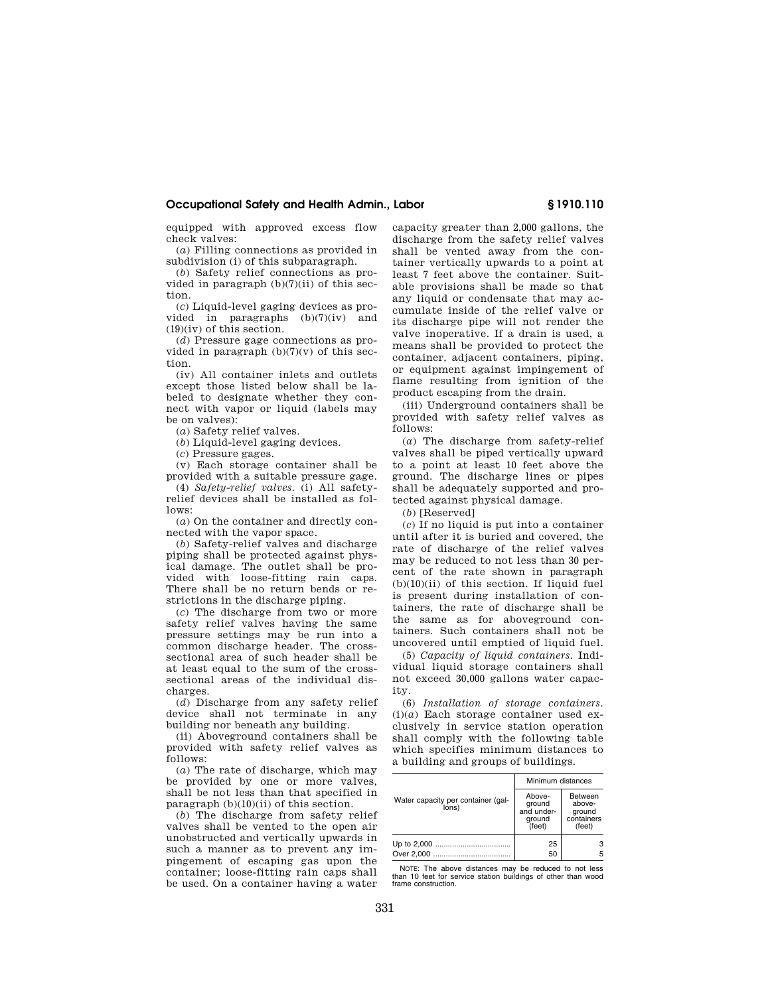equipped with approved excess flow check valves:

(*a*) Filling connections as provided in subdivision (i) of this subparagraph.

(*b*) Safety relief connections as provided in paragraph (b)(7)(ii) of this section.

(*c*) Liquid-level gaging devices as provided in paragraphs (b)(7)(iv) and (19)(iv) of this section.

(*d*) Pressure gage connections as provided in paragraph  $(b)(7)(v)$  of this section.

(iv) All container inlets and outlets except those listed below shall be labeled to designate whether they connect with vapor or liquid (labels may be on valves):

(*a*) Safety relief valves.

(*b*) Liquid-level gaging devices.

(*c*) Pressure gages.

(v) Each storage container shall be provided with a suitable pressure gage.

(4) *Safety-relief valves.* (i) All safetyrelief devices shall be installed as follows:

(*a*) On the container and directly connected with the vapor space.

(*b*) Safety-relief valves and discharge piping shall be protected against physical damage. The outlet shall be provided with loose-fitting rain caps. There shall be no return bends or restrictions in the discharge piping.

(*c*) The discharge from two or more safety relief valves having the same pressure settings may be run into a common discharge header. The crosssectional area of such header shall be at least equal to the sum of the crosssectional areas of the individual discharges.

(*d*) Discharge from any safety relief device shall not terminate in any building nor beneath any building.

(ii) Aboveground containers shall be provided with safety relief valves as follows:

(*a*) The rate of discharge, which may be provided by one or more valves, shall be not less than that specified in paragraph  $(b)(10)(ii)$  of this section.

(*b*) The discharge from safety relief valves shall be vented to the open air unobstructed and vertically upwards in such a manner as to prevent any impingement of escaping gas upon the container; loose-fitting rain caps shall be used. On a container having a water

capacity greater than 2,000 gallons, the discharge from the safety relief valves shall be vented away from the container vertically upwards to a point at least 7 feet above the container. Suitable provisions shall be made so that any liquid or condensate that may accumulate inside of the relief valve or its discharge pipe will not render the valve inoperative. If a drain is used, a means shall be provided to protect the container, adjacent containers, piping, or equipment against impingement of flame resulting from ignition of the product escaping from the drain.

(iii) Underground containers shall be provided with safety relief valves as follows:

(*a*) The discharge from safety-relief valves shall be piped vertically upward to a point at least 10 feet above the ground. The discharge lines or pipes shall be adequately supported and protected against physical damage.

(*b*) [Reserved]

(*c*) If no liquid is put into a container until after it is buried and covered, the rate of discharge of the relief valves may be reduced to not less than 30 percent of the rate shown in paragraph  $(b)(10)(ii)$  of this section. If liquid fuel is present during installation of containers, the rate of discharge shall be the same as for aboveground containers. Such containers shall not be uncovered until emptied of liquid fuel.

(5) *Capacity of liquid containers.* Individual liquid storage containers shall not exceed 30,000 gallons water capacity.

(6) *Installation of storage containers.*   $(i)(a)$  Each storage container used exclusively in service station operation shall comply with the following table which specifies minimum distances to a building and groups of buildings.

| Water capacity per container (gal-<br>lons) | Minimum distances                                  |                                                            |
|---------------------------------------------|----------------------------------------------------|------------------------------------------------------------|
|                                             | Above-<br>ground<br>and under-<br>ground<br>(feet) | <b>Between</b><br>above-<br>ground<br>containers<br>(feet) |
| Over 2,000                                  | 25<br>50                                           | з<br>5                                                     |

NOTE: The above distances may be reduced to not less than 10 feet for service station buildings of other than wood frame construction.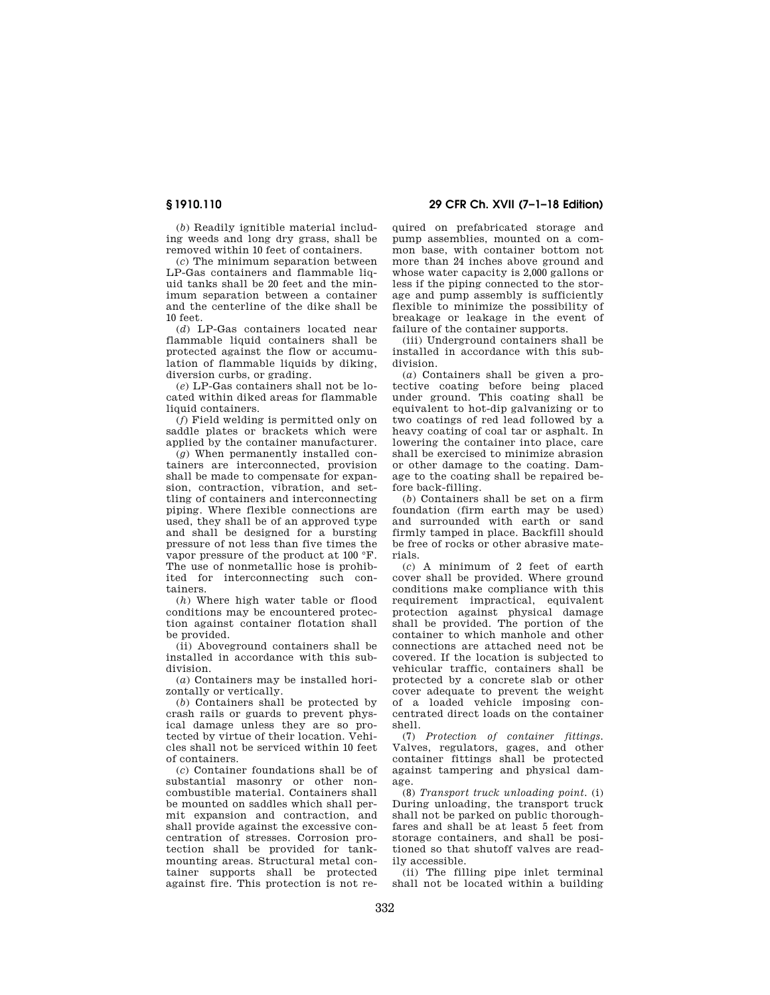(*b*) Readily ignitible material including weeds and long dry grass, shall be removed within 10 feet of containers.

(*c*) The minimum separation between LP-Gas containers and flammable liquid tanks shall be 20 feet and the minimum separation between a container and the centerline of the dike shall be 10 feet.

(*d*) LP-Gas containers located near flammable liquid containers shall be protected against the flow or accumulation of flammable liquids by diking, diversion curbs, or grading.

(*e*) LP-Gas containers shall not be located within diked areas for flammable liquid containers.

(*f*) Field welding is permitted only on saddle plates or brackets which were applied by the container manufacturer.

(*g*) When permanently installed containers are interconnected, provision shall be made to compensate for expansion, contraction, vibration, and settling of containers and interconnecting piping. Where flexible connections are used, they shall be of an approved type and shall be designed for a bursting pressure of not less than five times the vapor pressure of the product at 100 °F. The use of nonmetallic hose is prohibited for interconnecting such containers.

(*h*) Where high water table or flood conditions may be encountered protection against container flotation shall be provided.

(ii) Aboveground containers shall be installed in accordance with this subdivision.

(*a*) Containers may be installed horizontally or vertically.

(*b*) Containers shall be protected by crash rails or guards to prevent physical damage unless they are so protected by virtue of their location. Vehicles shall not be serviced within 10 feet of containers.

(*c*) Container foundations shall be of substantial masonry or other noncombustible material. Containers shall be mounted on saddles which shall permit expansion and contraction, and shall provide against the excessive concentration of stresses. Corrosion protection shall be provided for tankmounting areas. Structural metal container supports shall be protected against fire. This protection is not re-

**§ 1910.110 29 CFR Ch. XVII (7–1–18 Edition)** 

quired on prefabricated storage and pump assemblies, mounted on a common base, with container bottom not more than 24 inches above ground and whose water capacity is 2,000 gallons or less if the piping connected to the storage and pump assembly is sufficiently flexible to minimize the possibility of breakage or leakage in the event of failure of the container supports.

(iii) Underground containers shall be installed in accordance with this subdivision.

(*a*) Containers shall be given a protective coating before being placed under ground. This coating shall be equivalent to hot-dip galvanizing or to two coatings of red lead followed by a heavy coating of coal tar or asphalt. In lowering the container into place, care shall be exercised to minimize abrasion or other damage to the coating. Damage to the coating shall be repaired before back-filling.

(*b*) Containers shall be set on a firm foundation (firm earth may be used) and surrounded with earth or sand firmly tamped in place. Backfill should be free of rocks or other abrasive materials.

(*c*) A minimum of 2 feet of earth cover shall be provided. Where ground conditions make compliance with this requirement impractical, equivalent protection against physical damage shall be provided. The portion of the container to which manhole and other connections are attached need not be covered. If the location is subjected to vehicular traffic, containers shall be protected by a concrete slab or other cover adequate to prevent the weight of a loaded vehicle imposing concentrated direct loads on the container shell.

(7) *Protection of container fittings.*  Valves, regulators, gages, and other container fittings shall be protected against tampering and physical damage.

(8) *Transport truck unloading point.* (i) During unloading, the transport truck shall not be parked on public thoroughfares and shall be at least 5 feet from storage containers, and shall be positioned so that shutoff valves are readily accessible.

(ii) The filling pipe inlet terminal shall not be located within a building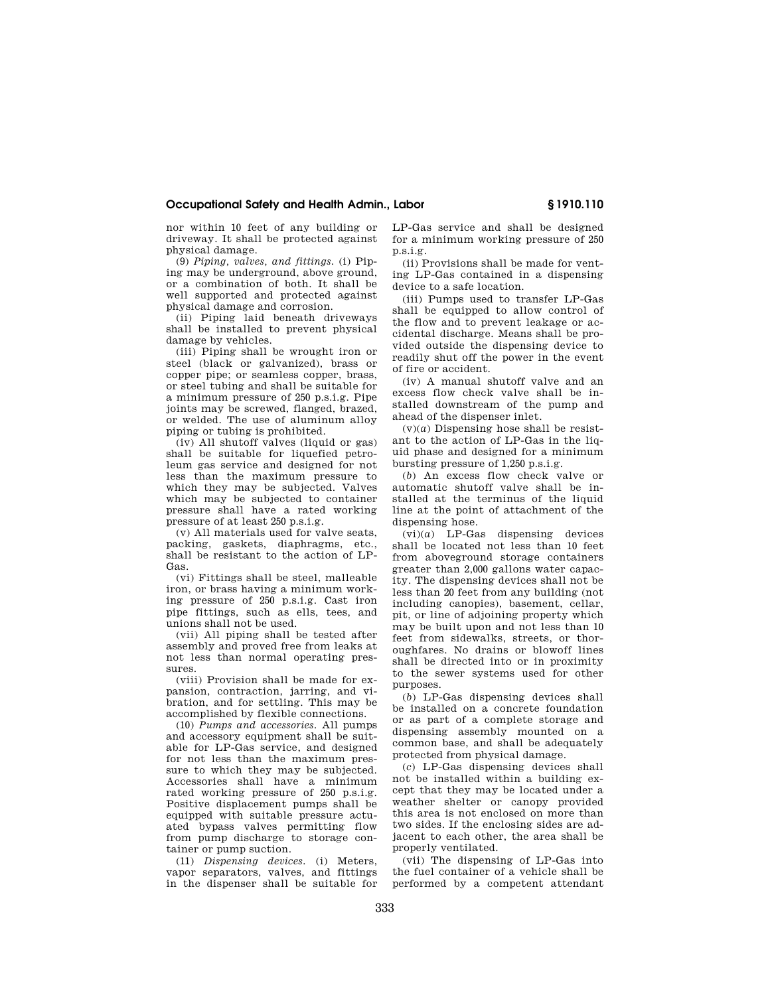nor within 10 feet of any building or driveway. It shall be protected against physical damage.

(9) *Piping, valves, and fittings.* (i) Piping may be underground, above ground, or a combination of both. It shall be well supported and protected against physical damage and corrosion.

(ii) Piping laid beneath driveways shall be installed to prevent physical damage by vehicles.

(iii) Piping shall be wrought iron or steel (black or galvanized), brass or copper pipe; or seamless copper, brass, or steel tubing and shall be suitable for a minimum pressure of 250 p.s.i.g. Pipe joints may be screwed, flanged, brazed, or welded. The use of aluminum alloy piping or tubing is prohibited.

 $(iv)$  All shutoff valves (liquid or gas) shall be suitable for liquefied petroleum gas service and designed for not less than the maximum pressure to which they may be subjected. Valves which may be subjected to container pressure shall have a rated working pressure of at least 250 p.s.i.g.

(v) All materials used for valve seats, packing, gaskets, diaphragms, etc., shall be resistant to the action of LP-Gas.

(vi) Fittings shall be steel, malleable iron, or brass having a minimum working pressure of 250 p.s.i.g. Cast iron pipe fittings, such as ells, tees, and unions shall not be used.

(vii) All piping shall be tested after assembly and proved free from leaks at not less than normal operating pressures.

(viii) Provision shall be made for expansion, contraction, jarring, and vibration, and for settling. This may be accomplished by flexible connections.

(10) *Pumps and accessories.* All pumps and accessory equipment shall be suitable for LP-Gas service, and designed for not less than the maximum pressure to which they may be subjected. Accessories shall have a minimum rated working pressure of 250 p.s.i.g. Positive displacement pumps shall be equipped with suitable pressure actuated bypass valves permitting flow from pump discharge to storage container or pump suction.

(11) *Dispensing devices.* (i) Meters, vapor separators, valves, and fittings in the dispenser shall be suitable for LP-Gas service and shall be designed for a minimum working pressure of 250 p.s.i.g.

(ii) Provisions shall be made for venting LP-Gas contained in a dispensing device to a safe location.

(iii) Pumps used to transfer LP-Gas shall be equipped to allow control of the flow and to prevent leakage or accidental discharge. Means shall be provided outside the dispensing device to readily shut off the power in the event of fire or accident.

(iv) A manual shutoff valve and an excess flow check valve shall be installed downstream of the pump and ahead of the dispenser inlet.

 $(v)(a)$  Dispensing hose shall be resistant to the action of LP-Gas in the liquid phase and designed for a minimum bursting pressure of 1,250 p.s.i.g.

(*b*) An excess flow check valve or automatic shutoff valve shall be installed at the terminus of the liquid line at the point of attachment of the dispensing hose.

 $(vi)(a)$  LP-Gas dispensing devices shall be located not less than 10 feet from aboveground storage containers greater than 2,000 gallons water capacity. The dispensing devices shall not be less than 20 feet from any building (not including canopies), basement, cellar, pit, or line of adjoining property which may be built upon and not less than 10 feet from sidewalks, streets, or thoroughfares. No drains or blowoff lines shall be directed into or in proximity to the sewer systems used for other purposes.

(*b*) LP-Gas dispensing devices shall be installed on a concrete foundation or as part of a complete storage and dispensing assembly mounted on a common base, and shall be adequately protected from physical damage.

(*c*) LP-Gas dispensing devices shall not be installed within a building except that they may be located under a weather shelter or canopy provided this area is not enclosed on more than two sides. If the enclosing sides are adjacent to each other, the area shall be properly ventilated.

(vii) The dispensing of LP-Gas into the fuel container of a vehicle shall be performed by a competent attendant